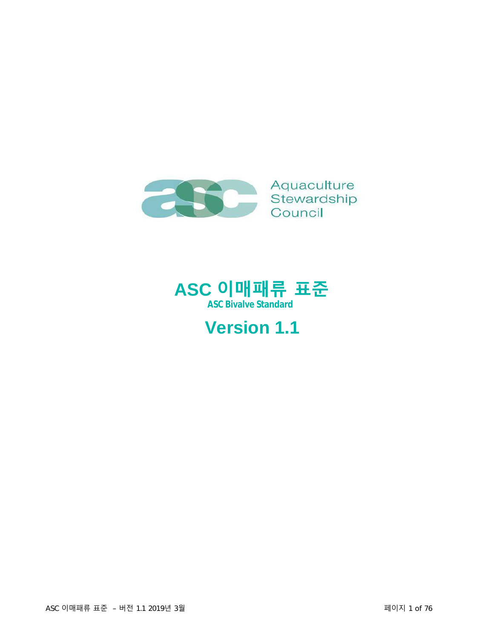



# **Version 1.1**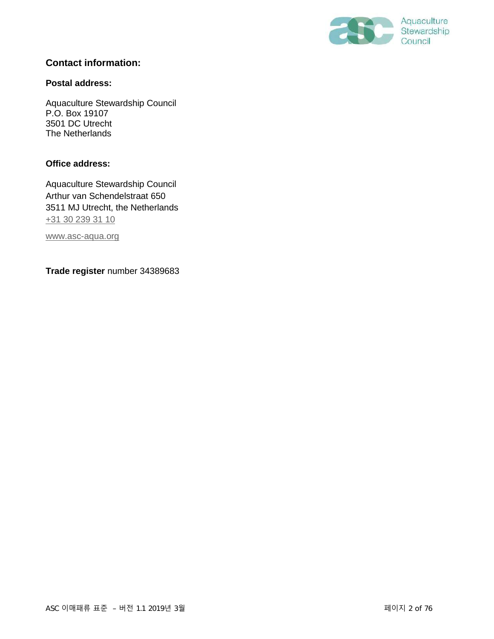

#### **Contact information:**

#### **Postal address:**

Aquaculture Stewardship Council P.O. Box 19107 3501 DC Utrecht The Netherlands

#### **Office address:**

Aquaculture Stewardship Council Arthur van Schendelstraat 650 3511 MJ Utrecht, the Netherlands [+31 30 239 31 10](tel:+31302393110)

[www.asc-aqua.org](http://www.asc-aqua.org/)

**Trade register** number 34389683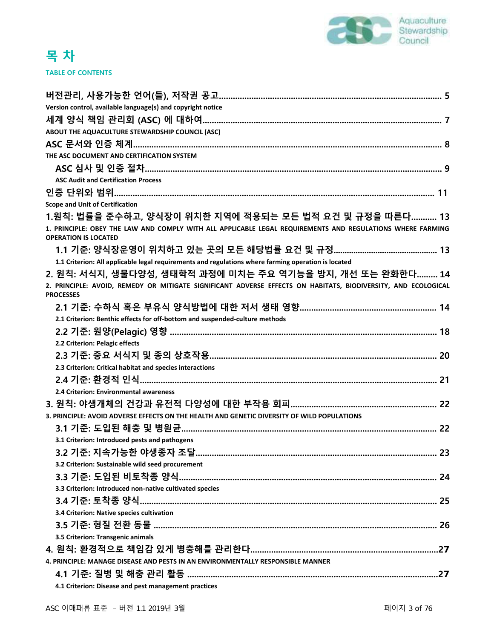

| Version control, available language(s) and copyright notice                                                                               |
|-------------------------------------------------------------------------------------------------------------------------------------------|
|                                                                                                                                           |
| ABOUT THE AQUACULTURE STEWARDSHIP COUNCIL (ASC)                                                                                           |
|                                                                                                                                           |
| THE ASC DOCUMENT AND CERTIFICATION SYSTEM                                                                                                 |
|                                                                                                                                           |
| <b>ASC Audit and Certification Process</b>                                                                                                |
|                                                                                                                                           |
| <b>Scope and Unit of Certification</b>                                                                                                    |
| 1.원칙: 법률을 준수하고, 양식장이 위치한 지역에 적용되는 모든 법적 요건 및 규정을 따른다 13                                                                                   |
| 1. PRINCIPLE: OBEY THE LAW AND COMPLY WITH ALL APPLICABLE LEGAL REQUIREMENTS AND REGULATIONS WHERE FARMING<br><b>OPERATION IS LOCATED</b> |
|                                                                                                                                           |
| 1.1 Criterion: All applicable legal requirements and regulations where farming operation is located                                       |
| 2. 원칙: 서식지, 생물다양성, 생태학적 과정에 미치는 주요 역기능을 방지, 개선 또는 완화한다 14                                                                                 |
| 2. PRINCIPLE: AVOID, REMEDY OR MITIGATE SIGNIFICANT ADVERSE EFFECTS ON HABITATS, BIODIVERSITY, AND ECOLOGICAL<br><b>PROCESSES</b>         |
|                                                                                                                                           |
| 2.1 Criterion: Benthic effects for off-bottom and suspended-culture methods                                                               |
|                                                                                                                                           |
| 2.2 Criterion: Pelagic effects                                                                                                            |
|                                                                                                                                           |
| 2.3 Criterion: Critical habitat and species interactions                                                                                  |
|                                                                                                                                           |
| 2.4 Criterion: Environmental awareness                                                                                                    |
|                                                                                                                                           |
| 3. PRINCIPLE: AVOID ADVERSE EFFECTS ON THE HEALTH AND GENETIC DIVERSITY OF WILD POPULATIONS                                               |
|                                                                                                                                           |
| 3.1 Criterion: Introduced pests and pathogens                                                                                             |
|                                                                                                                                           |
| 3.2 Criterion: Sustainable wild seed procurement                                                                                          |
|                                                                                                                                           |
| 3.3 Criterion: Introduced non-native cultivated species                                                                                   |
|                                                                                                                                           |
| 3.4 Criterion: Native species cultivation                                                                                                 |
|                                                                                                                                           |
| 3.5 Criterion: Transgenic animals                                                                                                         |
|                                                                                                                                           |
| 4. PRINCIPLE: MANAGE DISEASE AND PESTS IN AN ENVIRONMENTALLY RESPONSIBLE MANNER                                                           |
|                                                                                                                                           |
| 4.1 Criterion: Disease and pest management practices                                                                                      |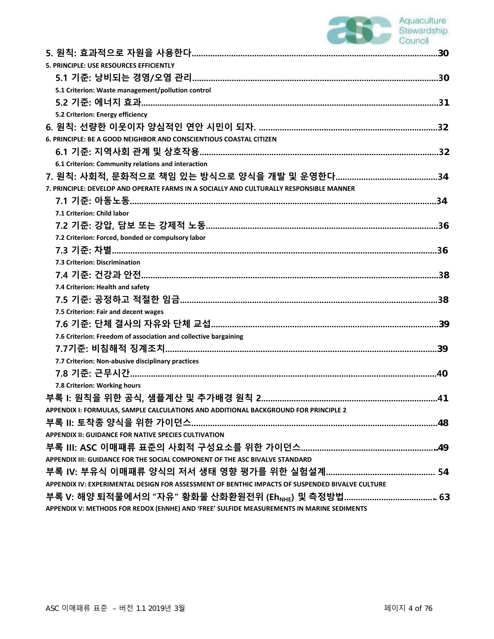# Aquaculture<br>Stewardship<br>Council

| 5. PRINCIPLE: USE RESOURCES EFFICIENTLY                                                         |  |
|-------------------------------------------------------------------------------------------------|--|
|                                                                                                 |  |
| 5.1 Criterion: Waste management/pollution control                                               |  |
|                                                                                                 |  |
| 5.2 Criterion: Energy efficiency                                                                |  |
|                                                                                                 |  |
| 6. PRINCIPLE: BE A GOOD NEIGHBOR AND CONSCIENTIOUS COASTAL CITIZEN                              |  |
|                                                                                                 |  |
| 6.1 Criterion: Community relations and interaction                                              |  |
|                                                                                                 |  |
| 7. PRINCIPLE: DEVELOP AND OPERATE FARMS IN A SOCIALLY AND CULTURALLY RESPONSIBLE MANNER         |  |
|                                                                                                 |  |
| 7.1 Criterion: Child labor                                                                      |  |
|                                                                                                 |  |
| 7.2 Criterion: Forced, bonded or compulsory labor                                               |  |
|                                                                                                 |  |
| 7.3 Criterion: Discrimination                                                                   |  |
|                                                                                                 |  |
| 7.4 Criterion: Health and safety                                                                |  |
|                                                                                                 |  |
| 7.5 Criterion: Fair and decent wages                                                            |  |
|                                                                                                 |  |
| 7.6 Criterion: Freedom of association and collective bargaining                                 |  |
|                                                                                                 |  |
| 7.7 Criterion: Non-abusive disciplinary practices                                               |  |
|                                                                                                 |  |
| 7.8 Criterion: Working hours                                                                    |  |
|                                                                                                 |  |
| APPENDIX I: FORMULAS, SAMPLE CALCULATIONS AND ADDITIONAL BACKGROUND FOR PRINCIPLE 2             |  |
|                                                                                                 |  |
| <b>APPENDIX II: GUIDANCE FOR NATIVE SPECIES CULTIVATION</b>                                     |  |
|                                                                                                 |  |
| APPENDIX III: GUIDANCE FOR THE SOCIAL COMPONENT OF THE ASC BIVALVE STANDARD                     |  |
|                                                                                                 |  |
| APPENDIX IV: EXPERIMENTAL DESIGN FOR ASSESSMENT OF BENTHIC IMPACTS OF SUSPENDED BIVALVE CULTURE |  |
|                                                                                                 |  |
| APPENDIX V: METHODS FOR REDOX (EhNHE) AND 'FREE' SULFIDE MEASUREMENTS IN MARINE SEDIMENTS       |  |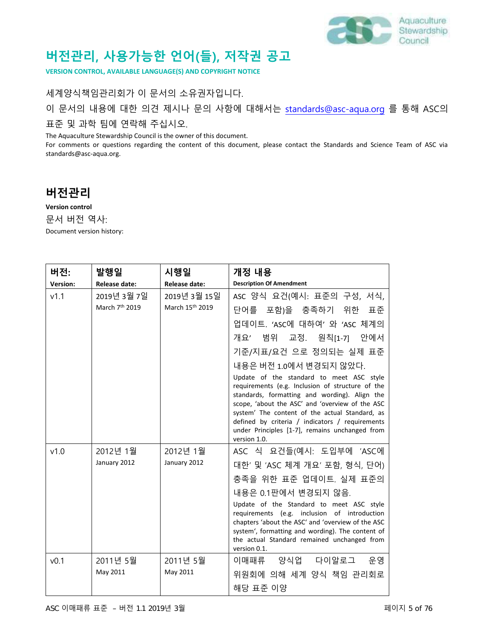

# **버전관리, 사용가능한 언어(들), 저작권 공고**

**VERSION CONTROL, AVAILABLE LANGUAGE(S) AND COPYRIGHT NOTICE**

세계양식책임관리회가 이 문서의 소유권자입니다. 이 문서의 내용에 대한 의견 제시나 문의 사항에 대해서는 [standards@asc-aqua.org](mailto:standards@asc-aqua.org) 를 통해 ASC의 표준 및 과학 팀에 연락해 주십시오.

The Aquaculture Stewardship Council is the owner of this document.

For comments or questions regarding the content of this document, please contact the Standards and Science Team of ASC via standards@asc-aqua.org.

### **버전관리**

**Version control** 문서 버전 역사: Document version history:

| 버전:              | 발행일                                       | 시행일                             | 개정 내용                                                                                                                                                                                                                                                                                                                                                                                                                                                                                                                                       |
|------------------|-------------------------------------------|---------------------------------|---------------------------------------------------------------------------------------------------------------------------------------------------------------------------------------------------------------------------------------------------------------------------------------------------------------------------------------------------------------------------------------------------------------------------------------------------------------------------------------------------------------------------------------------|
| Version:         | Release date:                             | <b>Release date:</b>            | <b>Description Of Amendment</b>                                                                                                                                                                                                                                                                                                                                                                                                                                                                                                             |
| V1.1             | 2019년 3월 7일<br>March 7 <sup>th</sup> 2019 | 2019년 3월 15일<br>March 15th 2019 | ASC 양식 요건(예시: 표준의 구성, 서식,<br>단어를 포함)을 충족하기 위한<br>표준<br>업데이트. 'ASC에 대하여' 와 'ASC 체계의<br>개요' 범위 교정. 원칙[1-7] 안에서<br>기준/지표/요건 으로 정의되는 실제 표준<br>내용은 버전 1.0에서 변경되지 않았다.<br>Update of the standard to meet ASC style<br>requirements (e.g. Inclusion of structure of the<br>standards, formatting and wording). Align the<br>scope, 'about the ASC' and 'overview of the ASC<br>system' The content of the actual Standard, as<br>defined by criteria / indicators / requirements<br>under Principles [1-7], remains unchanged from<br>version 1.0. |
| v1.0             | 2012년 1월<br>January 2012                  | 2012년 1월<br>January 2012        | ASC 식 요건들(예시: 도입부에 'ASC에<br>대한' 및 'ASC 체계 개요' 포함, 형식, 단어)<br>충족을 위한 표준 업데이트. 실제 표준의<br>내용은 0.1판에서 변경되지 않음.<br>Update of the Standard to meet ASC style<br>requirements (e.g. inclusion of introduction<br>chapters 'about the ASC' and 'overview of the ASC<br>system', formatting and wording). The content of<br>the actual Standard remained unchanged from<br>version 0.1.                                                                                                                                                              |
| v <sub>0.1</sub> | 2011년 5월<br>May 2011                      | 2011년 5월<br>May 2011            | 이매패류 양식업 다이알로그 운영<br>위원회에 의해 세계 양식 책임 관리회로<br>해당 표준 이양                                                                                                                                                                                                                                                                                                                                                                                                                                                                                      |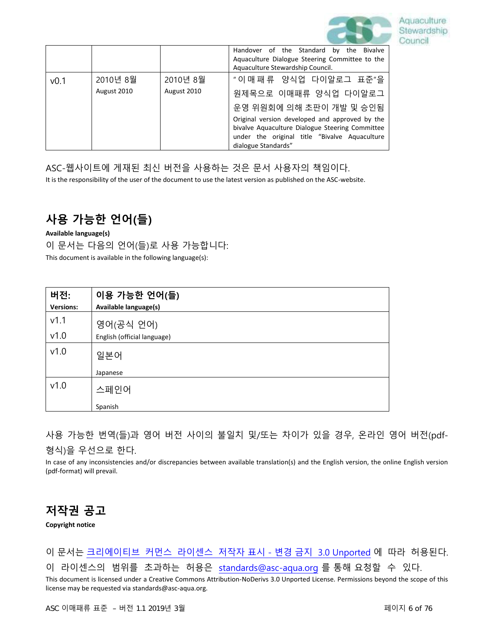

|                  |             |             | Handover of the Standard by the Bivalve         |  |
|------------------|-------------|-------------|-------------------------------------------------|--|
|                  |             |             | Aquaculture Dialogue Steering Committee to the  |  |
|                  |             |             | Aquaculture Stewardship Council.                |  |
| v <sub>0.1</sub> | 2010년 8월    | 2010년 8월    | "이매패류 양식업 다이알로그 표준"을                            |  |
|                  | August 2010 | August 2010 | 원제목으로 이매패류 양식업 다이알로그                            |  |
|                  |             |             | 운영 위원회에 의해 초판이 개발 및 승인됨                         |  |
|                  |             |             | Original version developed and approved by the  |  |
|                  |             |             | bivalve Aquaculture Dialogue Steering Committee |  |
|                  |             |             | under the original title "Bivalve Aquaculture   |  |
|                  |             |             | dialogue Standards"                             |  |

ASC-웹사이트에 게재된 최신 버전을 사용하는 것은 문서 사용자의 책임이다.

It is the responsibility of the user of the document to use the latest version as published on the ASC-website.

# **사용 가능한 언어(들)**

**Available language(s)** 

이 문서는 다음의 언어(들)로 사용 가능합니다:

This document is available in the following language(s):

| 버전:              | 이용 가능한 언어(들)                |
|------------------|-----------------------------|
| <b>Versions:</b> | Available language(s)       |
| v1.1             | 영어(공식 언어)                   |
| v1.0             | English (official language) |
| v1.0             | 일본어                         |
|                  | Japanese                    |
| v1.0             | 스페인어                        |
|                  | Spanish                     |

사용 가능한 번역(들)과 영어 버전 사이의 불일치 및/또는 차이가 있을 경우, 온라인 영어 버전(pdf-형식)을 우선으로 한다.

In case of any inconsistencies and/or discrepancies between available translation(s) and the English version, the online English version (pdf-format) will prevail.

### **저작권 공고**

**Copyright notice**

이 문서는 크리에이티브 커먼스 라이센스 저작자 표시 - 변경 금지 [3.0 Unported](https://creativecommons.org/licenses/by-nd/3.0/) 에 따라 허용된다.

이 라이센스의 범위를 초과하는 허용은 [standards@asc-aqua.org](mailto:standards@asc-aqua.org) 를 통해 요청할 수 있다.

This document is licensed under a Creative Commons Attribution-NoDerivs 3.0 Unported License. Permissions beyond the scope of this license may be requested via standards@asc-aqua.org.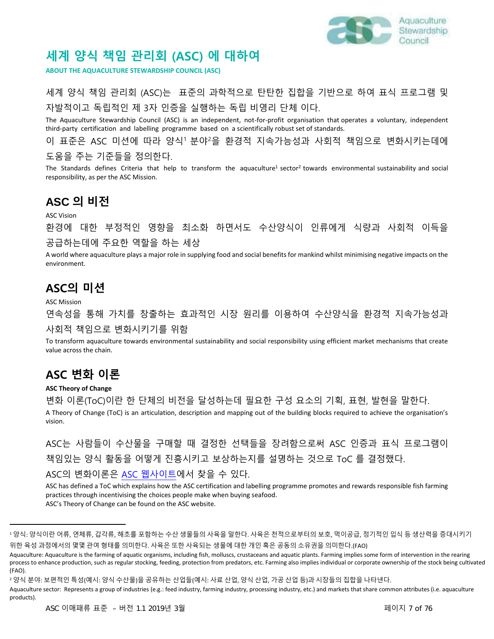

### **세계 양식 책임 관리회 (ASC) 에 대하여**

**ABOUT THE AQUACULTURE STEWARDSHIP COUNCIL (ASC)**

### 세계 양식 책임 관리회 (ASC)는 표준의 과학적으로 탄탄한 집합을 기반으로 하여 표식 프로그램 및 자발적이고 독립적인 제 3자 인증을 실행하는 독립 비영리 단체 이다.

The Aquaculture Stewardship Council (ASC) is an independent, not-for-profit organisation that operates a voluntary, independent third-party certification and labelling programme based on a scientifically robust set of standards.

이 표준은 ASC 미션에 따라 양식<sup>1</sup> 분야<sup>2</sup>을 환경적 지속가능성과 사회적 책임으로 변화시키는데에

#### 도움을 주는 기준들을 정의한다.

The Standards defines Criteria that help to transform the aquaculture<sup>1</sup> sector<sup>2</sup> towards environmental sustainability and social responsibility, as per the ASC Mission.

### **ASC 의 비전**

ASC Vision

환경에 대한 부정적인 영향을 최소화 하면서도 수산양식이 인류에게 식량과 사회적 이득을 공급하는데에 주요한 역할을 하는 세상

A world where aquaculture plays a major role in supplying food and social benefits for mankind whilst minimising negative impacts on the environment.

### **ASC의 미션**

ASC Mission

연속성을 통해 가치를 창출하는 효과적인 시장 원리를 이용하여 수산양식을 환경적 지속가능성과 사회적 책임으로 변화시키기를 위함

To transform aquaculture towards environmental sustainability and social responsibility using efficient market mechanisms that create value across the chain.

### **ASC 변화 이론**

#### **ASC Theory of Change**

변화 이론(ToC)이란 한 단체의 비전을 달성하는데 필요한 구성 요소의 기획, 표현, 발현을 말한다. A Theory of Change (ToC) is an articulation, description and mapping out of the building blocks required to achieve the organisation's

vision.

ASC는 사람들이 수산물을 구매할 때 결정한 선택들을 장려함으로써 ASC 인증과 표식 프로그램이 책임있는 양식 활동을 어떻게 진흥시키고 보상하는지를 설명하는 것으로 ToC 를 결정했다.

#### ASC의 변화이론은 ASC [웹사이트에](https://www.asc-aqua.org/what-we-do/how-we-make-a-difference/theory-of-change/)서 찾을 수 있다.

ASC has defined a ToC which explains how the ASC certification and labelling programme promotes and rewards responsible fish farming practices through incentivising the choices people make when buying seafood. ASC's Theory of Change can be found on the ASC website.

<sup>1</sup> 양식: 양식이란 어류, 연체류, 갑각류, 해초를 포함하는 수산 생물들의 사육을 말한다. 사육은 천적으로부터의 보호, 먹이공급, 정기적인 입식 등 생산력을 증대시키기 위한 육성 과정에서의 몇몇 관여 형태를 의미한다. 사육은 또한 사육되는 생물에 대한 개인 혹은 공동의 소유권을 의미한다.(FAO)

Aquaculture: Aquaculture is the farming of aquatic organisms, including fish, molluscs, crustaceans and aquatic plants. Farming implies some form of intervention in the rearing process to enhance production, such as regular stocking, feeding, protection from predators, etc. Farming also implies individual or corporate ownership of the stock being cultivated (FAO).

<sup>2</sup> 양식 분야: 보편적인 특성(예시: 양식 수산물)을 공유하는 산업들(예시: 사료 산업, 양식 산업, 가공 산업 등)과 시장들의 집합을 나타낸다.

Aquaculture sector: Represents a group of industries (e.g.: feed industry, farming industry, processing industry, etc.) and markets that share common attributes (i.e. aquaculture products).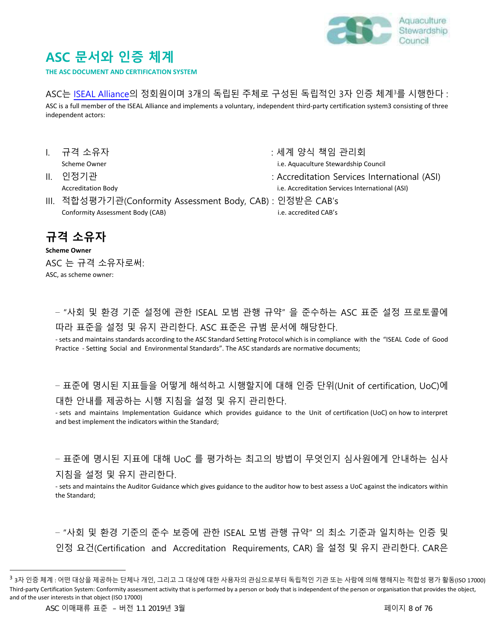

# **ASC 문서와 인증 체계**

**THE ASC DOCUMENT AND CERTIFICATION SYSTEM** 

#### ASC는 [ISEAL Alliance](https://www.isealalliance.org/community-members?f%5B0%5D=community_status%3A176)의 정회원이며 3개의 독립된 주체로 구성된 독립적인 3자 인증 체계<sup>3</sup>를 시행한다 :

ASC is a full member of the ISEAL Alliance and implements a voluntary, independent third-party certification system3 consisting of three independent actors:

- 
- 
- III. 적합성평가기관(Conformity Assessment Body, CAB) : 인정받은 CAB's Conformity Assessment Body (CAB) i.e. accredited CAB's
- I. 규격 소유자 : 세계 양식 책임 관리회 Scheme Owner **included and the Council** Council extends the i.e. Aquaculture Stewardship Council
- II. 인정기관 : Accreditation Services International (ASI)
	- Accreditation Body **i.e. Accreditation Services International (ASI)** i.e. Accreditation Services International (ASI)
		-

### **규격 소유자**

**Scheme Owner**  ASC 는 규격 소유자로써: ASC, as scheme owner:

– "사회 및 환경 기준 설정에 관한 ISEAL 모범 관행 규약" 을 준수하는 ASC 표준 설정 프로토콜에 따라 표준을 설정 및 유지 관리한다. ASC 표준은 규범 문서에 해당한다.

- sets and maintains standards according to the ASC Standard Setting Protocol which is in compliance with the "ISEAL Code of Good Practice - Setting Social and Environmental Standards". The ASC standards are normative documents;

– 표준에 명시된 지표들을 어떻게 해석하고 시행할지에 대해 인증 단위(Unit of certification, UoC)에 대한 안내를 제공하는 시행 지침을 설정 및 유지 관리한다.

- sets and maintains Implementation Guidance which provides guidance to the Unit of certification (UoC) on how to interpret and best implement the indicators within the Standard;

– 표준에 명시된 지표에 대해 UoC 를 평가하는 최고의 방법이 무엇인지 심사원에게 안내하는 심사 지침을 설정 및 유지 관리한다.

- sets and maintains the Auditor Guidance which gives guidance to the auditor how to best assess a UoC against the indicators within the Standard;

– "사회 및 환경 기준의 준수 보증에 관한 ISEAL 모범 관행 규약" 의 최소 기준과 일치하는 인증 및 인정 요건(Certification and Accreditation Requirements, CAR) 을 설정 및 유지 관리한다. CAR은

-

<sup>&</sup>lt;sup>3</sup> 3자 인증 체계 : 어떤 대상을 제공하는 단체나 개인, 그리고 그 대상에 대한 사용자의 관심으로부터 독립적인 기관 또는 사람에 의해 행해지는 적합성 평가 활동(ISO 17000) Third-party Certification System: Conformity assessment activity that is performed by a person or body that is independent of the person or organisation that provides the object, and of the user interests in that object (ISO 17000)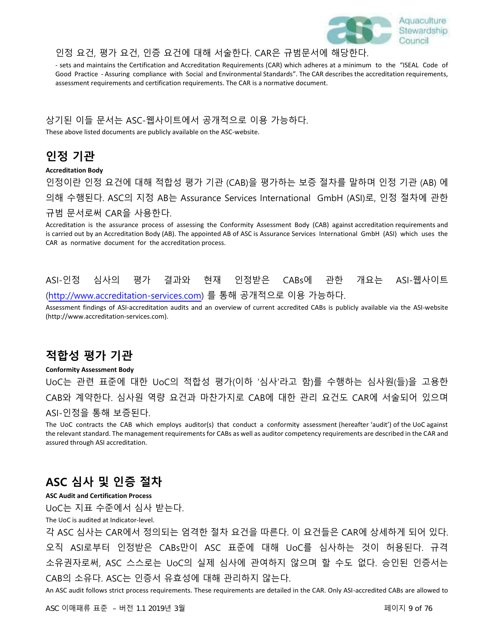

#### 인정 요건, 평가 요건, 인증 요건에 대해 서술한다. CAR은 규범문서에 해당한다.

- sets and maintains the Certification and Accreditation Requirements (CAR) which adheres at a minimum to the "ISEAL Code of Good Practice - Assuring compliance with Social and Environmental Standards". The CAR describes the accreditation requirements, assessment requirements and certification requirements. The CAR is a normative document.

#### 상기된 이들 문서는 ASC-웹사이트에서 공개적으로 이용 가능하다.

These above listed documents are publicly available on the ASC-website.

### **인정 기관**

#### **Accreditation Body**

인정이란 인정 요건에 대해 적합성 평가 기관 (CAB)을 평가하는 보증 절차를 말하며 인정 기관 (AB) 에 의해 수행된다. ASC의 지정 AB는 Assurance Services International GmbH (ASI)로, 인정 절차에 관한 규범 문서로써 CAR을 사용한다.

Accreditation is the assurance process of assessing the Conformity Assessment Body (CAB) against accreditation requirements and is carried out by an Accreditation Body (AB). The appointed AB of ASC is Assurance Services International GmbH (ASI) which uses the CAR as normative document for the accreditation process.

### ASI-인정 심사의 평가 결과와 현재 인정받은 CABs에 관한 개요는 ASI-웹사이트 [\(http://www.accreditation-services.com\)](http://www.accreditation-services.com/) 를 통해 공개적으로 이용 가능하다.

Assessment findings of ASI-accreditation audits and an overview of current accredited CABs is publicly available via the ASI-website (http://www.accreditation-services.com).

### **적합성 평가 기관**

#### **Conformity Assessment Body**

UoC는 관련 표준에 대한 UoC의 적합성 평가(이하 '심사'라고 함)를 수행하는 심사원(들)을 고용한 CAB와 계약한다. 심사원 역량 요건과 마찬가지로 CAB에 대한 관리 요건도 CAR에 서술되어 있으며 ASI-인정을 통해 보증된다.

The UoC contracts the CAB which employs auditor(s) that conduct a conformity assessment (hereafter 'audit') of the UoC against the relevant standard. The management requirements for CABs as well as auditor competency requirements are described in the CAR and assured through ASI accreditation.

### **ASC 심사 및 인증 절차**

#### **ASC Audit and Certification Process**

UoC는 지표 수준에서 심사 받는다.

The UoC is audited at Indicator-level.

각 ASC 심사는 CAR에서 정의되는 엄격한 절차 요건을 따른다. 이 요건들은 CAR에 상세하게 되어 있다. 오직 ASI로부터 인정받은 CABs만이 ASC 표준에 대해 UoC를 심사하는 것이 허용된다. 규격 소유권자로써, ASC 스스로는 UoC의 실제 심사에 관여하지 않으며 할 수도 없다. 승인된 인증서는 CAB의 소유다. ASC는 인증서 유효성에 대해 관리하지 않는다.

An ASC audit follows strict process requirements. These requirements are detailed in the CAR. Only ASI-accredited CABs are allowed to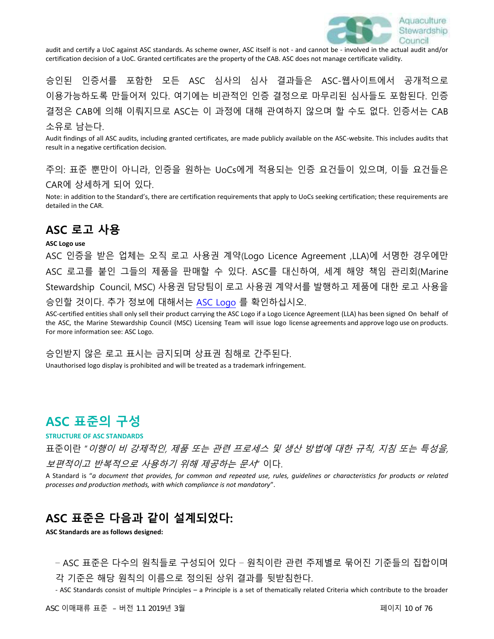

audit and certify a UoC against ASC standards. As scheme owner, ASC itself is not - and cannot be - involved in the actual audit and/or certification decision of a UoC. Granted certificates are the property of the CAB. ASC does not manage certificate validity.

승인된 인증서를 포함한 모든 ASC 심사의 심사 결과들은 ASC-웹사이트에서 공개적으로 이용가능하도록 만들어져 있다. 여기에는 비관적인 인증 결정으로 마무리된 심사들도 포함된다. 인증 결정은 CAB에 의해 이뤄지므로 ASC는 이 과정에 대해 관여하지 않으며 할 수도 없다. 인증서는 CAB 소유로 남는다.

Audit findings of all ASC audits, including granted certificates, are made publicly available on the ASC-website. This includes audits that result in a negative certification decision.

주의: 표준 뿐만이 아니라, 인증을 원하는 UoCs에게 적용되는 인증 요건들이 있으며, 이들 요건들은 CAR에 상세하게 되어 있다.

Note: in addition to the Standard's, there are certification requirements that apply to UoCs seeking certification; these requirements are detailed in the CAR.

### **ASC 로고 사용**

#### **ASC Logo use**

ASC 인증을 받은 업체는 오직 로고 사용권 계약(Logo Licence Agreement ,LLA)에 서명한 경우에만 ASC 로고를 붙인 그들의 제품을 판매할 수 있다. ASC를 대신하여, 세계 해양 책임 관리회(Marine Stewardship Council, MSC) 사용권 담당팀이 로고 사용권 계약서를 발행하고 제품에 대한 로고 사용을 승인할 것이다. 추가 정보에 대해서는 [ASC Logo](https://www.asc-aqua.org/our-logo/logo-user-guide/) 를 확인하십시오.

ASC-certified entities shall only sell their product carrying the ASC Logo if a Logo Licence Agreement (LLA) has been signed On behalf of the ASC, the Marine Stewardship Council (MSC) Licensing Team will issue logo license agreements and approve logo use on products. For more information see: ASC Logo.

승인받지 않은 로고 표시는 금지되며 상표권 침해로 간주된다.

Unauthorised logo display is prohibited and will be treated as a trademark infringement.

### **ASC 표준의 구성**

**STRUCTURE OF ASC STANDARDS** 

표준이란 "이행이 비 강제적인, 제품 또는 관련 프로세스 및 생산 방법에 대한 규칙, 지침 또는 특성을, *보편적이고 반복적으로 사용하기 위해 제공하는 문서*" 이다.

A Standard is "*a document that provides, for common and repeated use, rules, guidelines or characteristics for products or related processes and production methods, with which compliance is not mandatory*".

### **ASC 표준은 다음과 같이 설계되었다:**

**ASC Standards are as follows designed:**

– ASC 표준은 다수의 원칙들로 구성되어 있다 – 원칙이란 관련 주제별로 묶어진 기준들의 집합이며 각 기준은 해당 원칙의 이름으로 정의된 상위 결과를 뒷받침한다.

- ASC Standards consist of multiple Principles – a Principle is a set of thematically related Criteria which contribute to the broader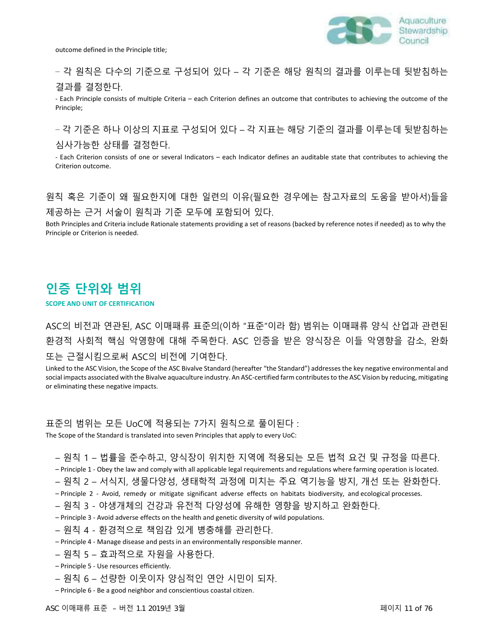

### – 각 원칙은 다수의 기준으로 구성되어 있다 – 각 기준은 해당 원칙의 결과를 이루는데 뒷받침하는 결과를 결정한다.

- Each Principle consists of multiple Criteria – each Criterion defines an outcome that contributes to achieving the outcome of the Principle;

– 각 기준은 하나 이상의 지표로 구성되어 있다 – 각 지표는 해당 기준의 결과를 이루는데 뒷받침하는 심사가능한 상태를 결정한다.

- Each Criterion consists of one or several Indicators – each Indicator defines an auditable state that contributes to achieving the Criterion outcome.

### 원칙 혹은 기준이 왜 필요한지에 대한 일련의 이유(필요한 경우에는 참고자료의 도움을 받아서)들을 제공하는 근거 서술이 원칙과 기준 모두에 포함되어 있다.

Both Principles and Criteria include Rationale statements providing a set of reasons (backed by reference notes if needed) as to why the Principle or Criterion is needed.

### **인증 단위와 범위**

#### **SCOPE AND UNIT OF CERTIFICATION**

ASC의 비전과 연관된, ASC 이매패류 표준의(이하 "표준"이라 함) 범위는 이매패류 양식 산업과 관련된 환경적 사회적 핵심 악영향에 대해 주목한다. ASC 인증을 받은 양식장은 이들 악영향을 감소, 완화 또는 근절시킴으로써 ASC의 비전에 기여한다.

Linked to the ASC Vision, the Scope of the ASC Bivalve Standard (hereafter "the Standard") addresses the key negative environmental and social impacts associated with the Bivalve aquaculture industry. An ASC-certified farm contributes to the ASC Vision by reducing, mitigating or eliminating these negative impacts.

#### 표준의 범위는 모든 UoC에 적용되는 7가지 원칙으로 풀이된다 :

The Scope of the Standard is translated into seven Principles that apply to every UoC:

#### – 원칙 1 – 법률을 준수하고, 양식장이 위치한 지역에 적용되는 모든 법적 요건 및 규정을 따른다.

- Principle 1 Obey the law and comply with all applicable legal requirements and regulations where farming operation is located.
- 원칙 2 서식지, 생물다양성, 생태학적 과정에 미치는 주요 역기능을 방지, 개선 또는 완화한다.
- Principle 2 Avoid, remedy or mitigate significant adverse effects on habitats biodiversity, and ecological processes.
- 원칙 3 야생개체의 건강과 유전적 다양성에 유해한 영향을 방지하고 완화한다.
- Principle 3 Avoid adverse effects on the health and genetic diversity of wild populations.
- 원칙 4 환경적으로 책임감 있게 병충해를 관리한다.
- Principle 4 Manage disease and pests in an environmentally responsible manner.
- 원칙 5 효과적으로 자원을 사용한다.
- Principle 5 Use resources efficiently.
- 원칙 6 선량한 이웃이자 양심적인 연안 시민이 되자.
- Principle 6 Be a good neighbor and conscientious coastal citizen.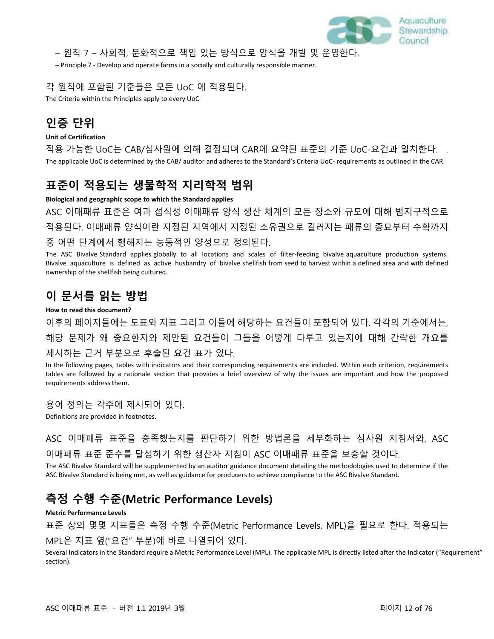

– 원칙 7 – 사회적, 문화적으로 책임 있는 방식으로 양식을 개발 및 운영한다.

– Principle 7 - Develop and operate farms in a socially and culturally responsible manner.

#### 각 원칙에 포함된 기준들은 모든 UoC 에 적용된다.

The Criteria within the Principles apply to every UoC

### **인증 단위**

#### **Unit of Certification**

적용 가능한 UoC는 CAB/심사원에 의해 결정되며 CAR에 요약된 표준의 기준 UoC-요건과 일치한다. . The applicable UoC is determined by the CAB/ auditor and adheres to the Standard's Criteria UoC- requirements as outlined in the CAR.

### **표준이 적용되는 생물학적 지리학적 범위**

#### **Biological and geographic scope to which the Standard applies**

ASC 이매패류 표준은 여과 섭식성 이매패류 양식 생산 체계의 모든 장소와 규모에 대해 범지구적으로 적용된다. 이매패류 양식이란 지정된 지역에서 지정된 소유권으로 길러지는 패류의 종묘부터 수확까지 중 어떤 단계에서 행해지는 능동적인 양성으로 정의된다.

The ASC Bivalve Standard applies globally to all locations and scales of filter-feeding bivalve aquaculture production systems. Bivalve aquaculture is defined as active husbandry of bivalve shellfish from seed to harvest within a defined area and with defined ownership of the shellfish being cultured.

### **이 문서를 읽는 방법**

#### **How to read this document?**

이후의 페이지들에는 도표와 지표 그리고 이들에 해당하는 요건들이 포함되어 있다. 각각의 기준에서는, 해당 문제가 왜 중요한지와 제안된 요건들이 그들을 어떻게 다루고 있는지에 대해 간략한 개요를 제시하는 근거 부분으로 후술된 요건 표가 있다.

In the following pages, tables with indicators and their corresponding requirements are included. Within each criterion, requirements tables are followed by a rationale section that provides a brief overview of why the issues are important and how the proposed requirements address them.

#### 용어 정의는 각주에 제시되어 있다.

Definitions are provided in footnotes.

ASC 이매패류 표준을 충족했는지를 판단하기 위한 방법론을 세부화하는 심사원 지침서와, ASC 이매패류 표준 준수를 달성하기 위한 생산자 지침이 ASC 이매패류 표준을 보충할 것이다.

The ASC Bivalve Standard will be supplemented by an auditor guidance document detailing the methodologies used to determine if the ASC Bivalve Standard is being met, as well as guidance for producers to achieve compliance to the ASC Bivalve Standard.

### **측정 수행 수준(Metric Performance Levels)**

#### **Metric Performance Levels**

표준 상의 몇몇 지표들은 측정 수행 수준(Metric Performance Levels, MPL)을 필요로 한다. 적용되는

#### MPL은 지표 옆("요건" 부분)에 바로 나열되어 있다.

Several Indicators in the Standard require a Metric Performance Level (MPL). The applicable MPL is directly listed after the Indicator ("Requirement" section).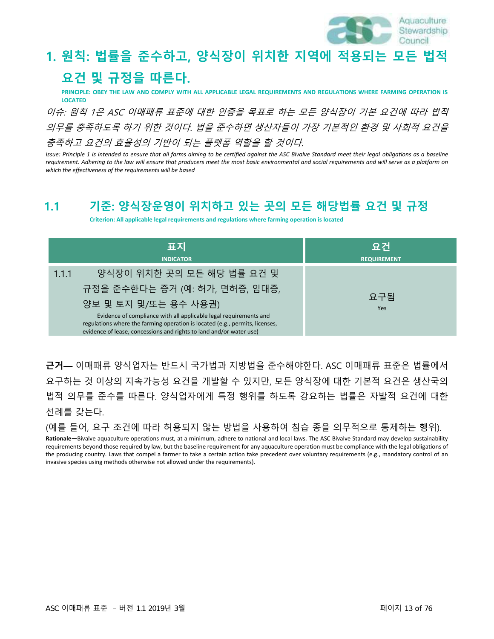

# **1. 원칙: 법률을 준수하고, 양식장이 위치한 지역에 적용되는 모든 법적 요건 및 규정을 따른다.**

**PRINCIPLE: OBEY THE LAW AND COMPLY WITH ALL APPLICABLE LEGAL REQUIREMENTS AND REGULATIONS WHERE FARMING OPERATION IS LOCATED**

이슈: 원칙 1은 ASC 이매패류 표준에 대한 인증을 목표로 하는 모든 양식장이 기본 요건에 따라 법적 의무를 충족하도록 하기 위한 것이다. 법을 준수하면 생산자들이 가장 기본적인 환경 및 사회적 요건을 충족하고 요건의 효율성의 기반이 되는 플랫폼 역할을 할 것이다.

*Issue: Principle 1 is intended to ensure that all farms aiming to be certified against the ASC Bivalve Standard meet their legal obligations as a baseline requirement. Adhering to the law will ensure that producers meet the most basic environmental and social requirements and will serve as a platform on which the effectiveness of the requirements will be based*

### **1.1 기준: 양식장운영이 위치하고 있는 곳의 모든 해당법률 요건 및 규정**

**Criterion: All applicable legal requirements and regulations where farming operation is located**

| 표지                                                                                                                                                  | 요건                 |
|-----------------------------------------------------------------------------------------------------------------------------------------------------|--------------------|
| <b>INDICATOR</b>                                                                                                                                    | <b>REQUIREMENT</b> |
| 양식장이 위치한 곳의 모든 해당 법률 요건 및<br>1.1.1                                                                                                                  |                    |
| 규정을 준수한다는 증거 (예: 허가, 면허증, 임대증,                                                                                                                      | 요구됨                |
| 양보 및 토지 및/또는 용수 사용권)                                                                                                                                | <b>Yes</b>         |
| Evidence of compliance with all applicable legal requirements and                                                                                   |                    |
| regulations where the farming operation is located (e.g., permits, licenses,<br>evidence of lease, concessions and rights to land and/or water use) |                    |

**근거—** 이매패류 양식업자는 반드시 국가법과 지방법을 준수해야한다. ASC 이매패류 표준은 법률에서 요구하는 것 이상의 지속가능성 요건을 개발할 수 있지만, 모든 양식장에 대한 기본적 요건은 생산국의 법적 의무를 준수를 따른다. 양식업자에게 특정 행위를 하도록 강요하는 법률은 자발적 요건에 대한 선례를 갖는다.

(예를 들어, 요구 조건에 따라 허용되지 않는 방법을 사용하여 침습 종을 의무적으로 통제하는 행위).

**Rationale—**Bivalve aquaculture operations must, at a minimum, adhere to national and local laws. The ASC Bivalve Standard may develop sustainability requirements beyond those required by law, but the baseline requirement for any aquaculture operation must be compliance with the legal obligations of the producing country. Laws that compel a farmer to take a certain action take precedent over voluntary requirements (e.g., mandatory control of an invasive species using methods otherwise not allowed under the requirements).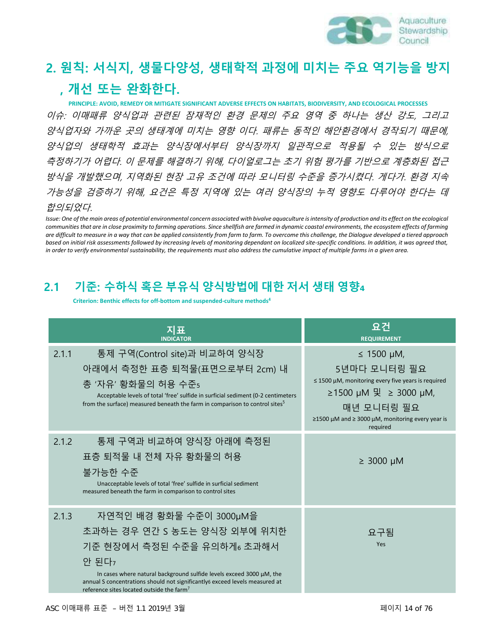

# **2. 원칙: 서식지, 생물다양성, 생태학적 과정에 미치는 주요 역기능을 방지 ,** 3 **개선 또는 완화한다.**

 **PRINCIPLE: AVOID, REMEDY OR MITIGATE SIGNIFICANT ADVERSE EFFECTS ON HABITATS, BIODIVERSITY, AND ECOLOGICAL PROCESSES** 이슈: 이매패류 양식업과 관련된 잠재적인 환경 문제의 주요 영역 중 하나는 생산 강도, 그리고 양식업자와 가까운 곳의 생태계에 미치는 영향 이다. 패류는 동적인 해안환경에서 경작되기 때문에, 양식업의 생태학적 효과는 양식장에서부터 양식장까지 일관적으로 적용될 수 있는 방식으로 측정하기가 어렵다. 이 문제를 해결하기 위해, 다이얼로그는 초기 위험 평가를 기반으로 계층화된 접근 방식을 개발했으며, 지역화된 현장 고유 조건에 따라 모니터링 수준을 증가시켰다. 게다가. 환경 지속 가능성을 검증하기 위해, 요건은 특정 지역에 있는 여러 양식장의 누적 영향도 다루어야 한다는 데 11 합의되었다.

 *Issue: One of the main areas of potential environmental concern associated with bivalve aquaculture is intensity of production and its effect on the ecological communities that are in close proximity to farming operations. Since shellfish are farmed in dynamic coastal environments, the ecosystem effects of farming are difficult to measure in a way that can be applied consistently from farm to farm. To overcome this challenge, the Dialogue developed a tiered approach based on initial risk assessments followed by increasing levels of monitoring dependant on localized site-specific conditions. In addition, it was agreed that, in order to verify environmental sustainability, the requirements must also address the cumulative impact of multiple farms in a given area.*

### 18 **2.1 기준: 수하식 혹은 부유식 양식방법에 대한 저서 생태 영향**<sup>4</sup>

**Criterion:** Benthic effects for off-bottom and suspended-culture methods<sup>4</sup>

|       | 지표<br><b>INDICATOR</b>                                                                                                                                                                                                                                                                                                     | 요건<br><b>REQUIREMENT</b>                                                                                                                                                                                     |
|-------|----------------------------------------------------------------------------------------------------------------------------------------------------------------------------------------------------------------------------------------------------------------------------------------------------------------------------|--------------------------------------------------------------------------------------------------------------------------------------------------------------------------------------------------------------|
| 2.1.1 | 통제 구역(Control site)과 비교하여 양식장<br>아래에서 측정한 표층 퇴적물(표면으로부터 2cm) 내<br>총 '자유' 황화물의 허용 수준 <sub>5</sub><br>Acceptable levels of total 'free' sulfide in surficial sediment (0-2 centimeters<br>from the surface) measured beneath the farm in comparison to control sites <sup>5</sup>                                            | $\leq$ 1500 µM,<br>5년마다 모니터링 필요<br>$\leq$ 1500 µM, monitoring every five years is required<br>≥1500 μM 및 ≥ 3000 μM,<br>매년 모니터링 필요<br>$\geq$ 1500 µM and $\geq$ 3000 µM, monitoring every year is<br>required |
| 2.1.2 | 통제 구역과 비교하여 양식장 아래에 측정된<br>표층 퇴적물 내 전체 자유 황화물의 허용<br>불가능한 수준<br>Unacceptable levels of total 'free' sulfide in surficial sediment<br>measured beneath the farm in comparison to control sites                                                                                                                              | $\geq 3000 \mu M$                                                                                                                                                                                            |
| 2.1.3 | 자연적인 배경 황화물 수준이 3000µM을<br>초과하는 경우 연간 S 농도는 양식장 외부에 위치한<br>기준 현장에서 측정된 수준을 유의하게。 초과해서<br>안 된다 <sub>7</sub><br>In cases where natural background sulfide levels exceed 3000 µM, the<br>annual S concentrations should not significantly6 exceed levels measured at<br>reference sites located outside the farm <sup>7</sup> | 요구됨<br>Yes                                                                                                                                                                                                   |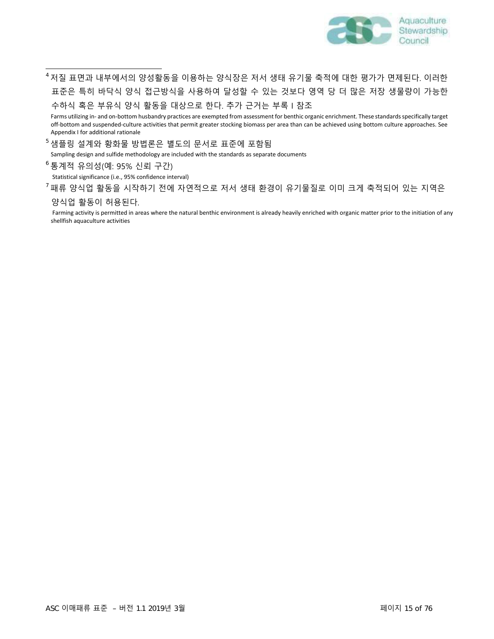

 $^4$  저질 표면과 내부에서의 양성활동을 이용하는 양식장은 저서 생태 유기물 축적에 대한 평가가 면제된다. 이러한 4 표준은 특히 바닥식 양식 접근방식을 사용하여 달성할 수 있는 것보다 영역 당 더 많은 저장 생물량이 가능한 5 수하식 혹은 부유식 양식 활동을 대상으로 한다. 추가 근거는 부록 I 참조

> Farms utilizing in- and on-bottom husbandry practices are exempted from assessment for benthic organic enrichment. These standards specifically target 7 off-bottom and suspended-culture activities that permit greater stocking biomass per area than can be achieved using bottom culture approaches. See 8 Appendix I for additional rationale

 $^5$ 샘플링 설계와 황화물 방법론은 별도의 문서로 표준에 포함됨

Sampling design and sulfide methodology are included with the standards as separate documents

11 통계적 유의성(예: 95% 신뢰 구간) 6

Statistical significance (i.e., 95% confidence interval)

 $^7$ 패류 양식업 활동을 시작하기 전에 자연적으로 저서 생태 환경이 유기물질로 이미 크게 축적되어 있는 지역은

#### 양식업 활동이 허용된다.

Farming activity is permitted in areas where the natural benthic environment is already heavily enriched with organic matter prior to the initiation of any shellfish aquaculture activities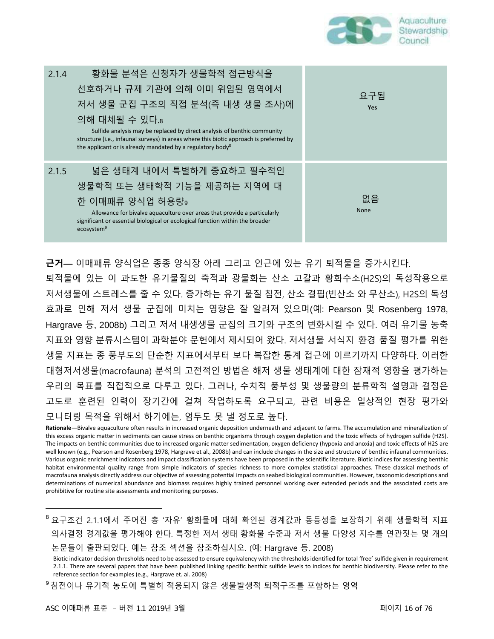

| 황화물 분석은 신청자가 생물학적 접근방식을<br>2.1.4<br>선호하거나 규제 기관에 의해 이미 위임된 영역에서<br>저서 생물 군집 구조의 직접 분석(즉 내생 생물 조사)에<br>의해 대체될 수 있다.8<br>Sulfide analysis may be replaced by direct analysis of benthic community<br>structure (i.e., infaunal surveys) in areas where this biotic approach is preferred by<br>the applicant or is already mandated by a regulatory body <sup>8</sup> | 요구됨<br><b>Yes</b> |
|---------------------------------------------------------------------------------------------------------------------------------------------------------------------------------------------------------------------------------------------------------------------------------------------------------------------------------------------------------------------|-------------------|
| 넓은 생태계 내에서 특별하게 중요하고 필수적인<br>2.1.5<br>생물학적 또는 생태학적 기능을 제공하는 지역에 대<br>한 이매패류 양식업 허용량,<br>Allowance for bivalve aquaculture over areas that provide a particularly<br>significant or essential biological or ecological function within the broader<br>ecosystem <sup>9</sup>                                                                                         | 없음<br><b>None</b> |

**근거—** 이매패류 양식업은 종종 양식장 아래 그리고 인근에 있는 유기 퇴적물을 증가시킨다.

퇴적물에 있는 이 과도한 유기물질의 축적과 광물화는 산소 고갈과 황화수소(H2S)의 독성작용으로 저서생물에 스트레스를 줄 수 있다. 증가하는 유기 물질 침전, 산소 결핍(빈산소 와 무산소), H2S의 독성 효과로 인해 저서 생물 군집에 미치는 영향은 잘 알려져 있으며(예: Pearson 및 Rosenberg 1978, Hargrave 등, 2008b) 그리고 저서 내생생물 군집의 크기와 구조의 변화시킬 수 있다. 여러 유기물 농축 지표와 영향 분류시스템이 과학분야 문헌에서 제시되어 왔다. 저서생물 서식지 환경 품질 평가를 위한 생물 지표는 종 풍부도의 단순한 지표에서부터 보다 복잡한 통계 접근에 이르기까지 다양하다. 이러한 대형저서생물(macrofauna) 분석의 고전적인 방법은 해저 생물 생태계에 대한 잠재적 영향을 평가하는 우리의 목표를 직접적으로 다루고 있다. 그러나, 수치적 풍부성 및 생물량의 분류학적 설명과 결정은 고도로 훈련된 인력이 장기간에 걸쳐 작업하도록 요구되고, 관련 비용은 일상적인 현장 평가와 모니터링 목적을 위해서 하기에는, 엄두도 못 낼 정도로 높다.

**Rationale—**Bivalve aquaculture often results in increased organic deposition underneath and adjacent to farms. The accumulation and mineralization of this excess organic matter in sediments can cause stress on benthic organisms through oxygen depletion and the toxic effects of hydrogen sulfide (H2S). The impacts on benthic communities due to increased organic matter sedimentation, oxygen deficiency (hypoxia and anoxia) and toxic effects of H2S are well known (e.g., Pearson and Rosenberg 1978, Hargrave et al., 2008b) and can include changes in the size and structure of benthic infaunal communities. Various organic enrichment indicators and impact classification systems have been proposed in the scientific literature. Biotic indices for assessing benthic habitat environmental quality range from simple indicators of species richness to more complex statistical approaches. These classical methods of macrofauna analysis directly address our objective of assessing potential impacts on seabed biological communities. However, taxonomic descriptions and determinations of numerical abundance and biomass requires highly trained personnel working over extended periods and the associated costs are prohibitive for routine site assessments and monitoring purposes.

요구조건 2.1.1에서 주어진 총 '자유' 황화물에 대해 확인된 경계값과 동등성을 보장하기 위해 생물학적 지표 8 의사결정 경계값을 평가해야 한다. 특정한 저서 생태 황화물 수준과 저서 생물 다양성 지수를 연관짓는 몇 개의 논문들이 출판되었다. 예는 참조 섹션을 참조하십시오. (예: Hargrave 등. 2008)

 $^{\rm 9}$ 침전이나 유기적 농도에 특별히 적응되지 않은 생물발생적 퇴적구조를 포함하는 영역

Biotic indicator decision thresholds need to be assessed to ensure equivalency with the thresholds identified for total 'free' sulfide given in requirement 2.1.1. There are several papers that have been published linking specific benthic sulfide levels to indices for benthic biodiversity. Please refer to the reference section for examples (e.g., Hargrave et. al. 2008)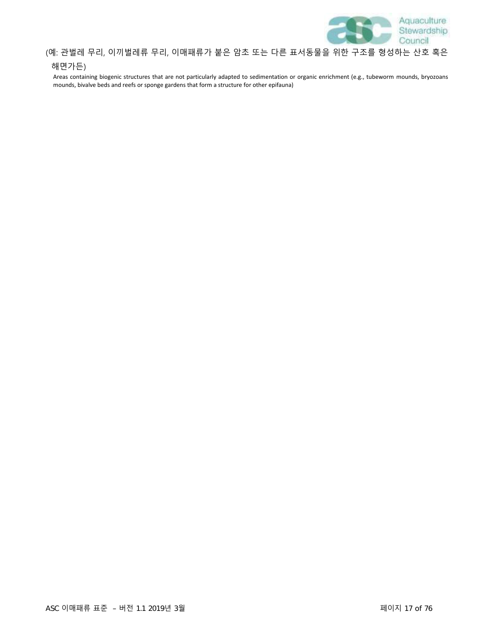

#### (예: 관벌레 무리, 이끼벌레류 무리, 이매패류가 붙은 암초 또는 다른 표서동물을 위한 구조를 형성하는 산호 혹은

#### 해면가든)

Areas containing biogenic structures that are not particularly adapted to sedimentation or organic enrichment (e.g., tubeworm mounds, bryozoans mounds, bivalve beds and reefs or sponge gardens that form a structure for other epifauna)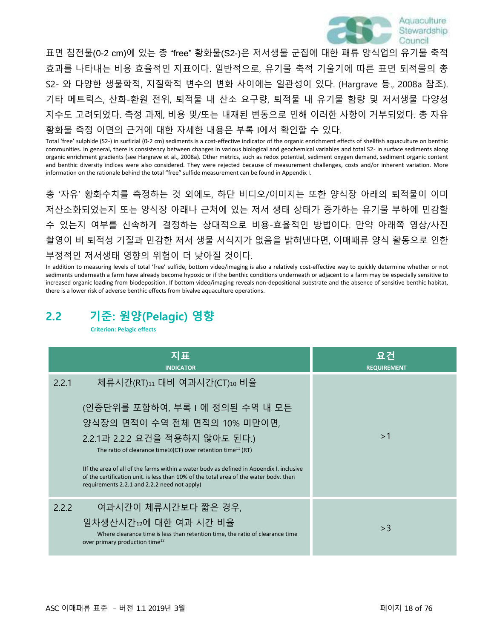

표면 침전물(0-2 cm)에 있는 총 "free" 황화물(S2-)은 저서생물 군집에 대한 패류 양식업의 유기물 축적 효과를 나타내는 비용 효율적인 지표이다. 일반적으로, 유기물 축적 기울기에 따른 표면 퇴적물의 총 S2- 와 다양한 생물학적, 지질학적 변수의 변화 사이에는 일관성이 있다. (Hargrave 등., 2008a 참조). 기타 메트릭스, 산화-환원 전위, 퇴적물 내 산소 요구량, 퇴적물 내 유기물 함량 및 저서생물 다양성 지수도 고려되었다. 측정 과제, 비용 및/또는 내재된 변동으로 인해 이러한 사항이 거부되었다. 총 자유 황화물 측정 이면의 근거에 대한 자세한 내용은 부록 I에서 확인할 수 있다.

Total 'free' sulphide (S2-) in surficial (0-2 cm) sediments is a cost-effective indicator of the organic enrichment effects of shellfish aquaculture on benthic communities. In general, there is consistency between changes in various biological and geochemical variables and total S2- in surface sediments along organic enrichment gradients (see Hargrave et al., 2008a). Other metrics, such as redox potential, sediment oxygen demand, sediment organic content and benthic diversity indices were also considered. They were rejected because of measurement challenges, costs and/or inherent variation. More information on the rationale behind the total "free" sulfide measurement can be found in Appendix I.

총 '자유' 황화수치를 측정하는 것 외에도, 하단 비디오/이미지는 또한 양식장 아래의 퇴적물이 이미 저산소화되었는지 또는 양식장 아래나 근처에 있는 저서 생태 상태가 증가하는 유기물 부하에 민감할 수 있는지 여부를 신속하게 결정하는 상대적으로 비용-효율적인 방법이다. 만약 아래쪽 영상/사진 촬영이 비 퇴적성 기질과 민감한 저서 생물 서식지가 없음을 밝혀낸다면, 이매패류 양식 활동으로 인한 부정적인 저서생태 영향의 위험이 더 낮아질 것이다.

In addition to measuring levels of total 'free' sulfide, bottom video/imaging is also a relatively cost-effective way to quickly determine whether or not sediments underneath a farm have already become hypoxic or if the benthic conditions underneath or adjacent to a farm may be especially sensitive to increased organic loading from biodeposition. If bottom video/imaging reveals non-depositional substrate and the absence of sensitive benthic habitat, there is a lower risk of adverse benthic effects from bivalve aquaculture operations.

### **2.2 기준: 원양(Pelagic) 영향**

**Criterion: Pelagic effects**

|       | 지표<br><b>INDICATOR</b>                                                                                                                                                                                                            | 요건<br><b>REQUIREMENT</b> |
|-------|-----------------------------------------------------------------------------------------------------------------------------------------------------------------------------------------------------------------------------------|--------------------------|
| 2.2.1 | 체류시간(RT)11 대비 여과시간(CT)10 비율                                                                                                                                                                                                       |                          |
|       | (인증단위를 포함하여, 부록 I 에 정의된 수역 내 모든                                                                                                                                                                                                   |                          |
|       | 양식장의 면적이 수역 전체 면적의 10% 미만이면,                                                                                                                                                                                                      |                          |
|       | 2.2.1과 2.2.2 요건을 적용하지 않아도 된다.)<br>The ratio of clearance time 10(CT) over retention time <sup>11</sup> (RT)                                                                                                                       | >1                       |
|       | (If the area of all of the farms within a water body as defined in Appendix I. inclusive<br>of the certification unit, is less than 10% of the total area of the water body, then<br>requirements 2.2.1 and 2.2.2 need not apply) |                          |
| 2.2.2 | 여과시간이 체류시간보다 짧은 경우,                                                                                                                                                                                                               |                          |
|       | 일차생산시간12에 대한 여과 시간 비율<br>Where clearance time is less than retention time, the ratio of clearance time<br>over primary production time <sup>12</sup>                                                                              | >3                       |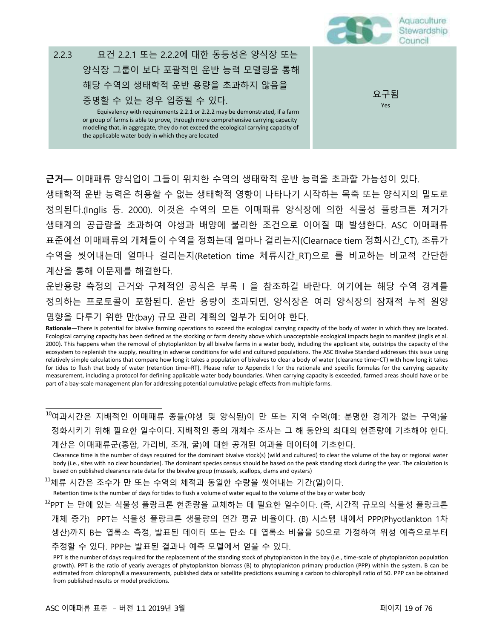

**근거—** 이매패류 양식업이 그들이 위치한 수역의 생태학적 운반 능력을 초과할 가능성이 있다. 생태학적 운반 능력은 허용할 수 없는 생태학적 영향이 나타나기 시작하는 목축 또는 양식지의 밀도로 정의된다.(Inglis 등. 2000). 이것은 수역의 모든 이매패류 양식장에 의한 식물성 플랑크톤 제거가 생태계의 공급량을 초과하여 야생과 배양에 불리한 조건으로 이어질 때 발생한다. ASC 이매패류 표준에선 이매패류의 개체들이 수역을 정화는데 얼마나 걸리는지(Clearnace tiem 정화시간\_CT), 조류가 수역을 씻어내는데 얼마나 걸리는지(Retetion time 체류시간\_RT)으로 를 비교하는 비교적 간단한 계산을 통해 이문제를 해결한다.

운반용량 측정의 근거와 구체적인 공식은 부록 I 을 참조하길 바란다. 여기에는 해당 수역 경계를 정의하는 프로토콜이 포함된다. 운반 용량이 초과되면, 양식장은 여러 양식장의 잠재적 누적 원양 영향을 다루기 위한 만(bay) 규모 관리 계획의 일부가 되어야 한다.

여과시간은 지배적인 이매패류 종들(야생 및 양식된)이 만 또는 지역 수역(예: 분명한 경계가 없는 구역)을 10 정화시키기 위해 필요한 일수이다. 지배적인 종의 개체수 조사는 그 해 동안의 최대의 현존량에 기초해야 한다. 계산은 이매패류군(홍합, 가리비, 조개, 굴)에 대한 공개된 여과율 데이터에 기초한다.

Clearance time is the number of days required for the dominant bivalve stock(s) (wild and cultured) to clear the volume of the bay or regional water body (i.e., sites with no clear boundaries). The dominant species census should be based on the peak standing stock during the year. The calculation is based on published clearance rate data for the bivalve group (mussels, scallops, clams and oysters)

<sup>11</sup>체류 시간은 조수가 만 또는 수역의 체적과 동일한 수량을 씻어내는 기간(일)이다.

Retention time is the number of days for tides to flush a volume of water equal to the volume of the bay or water body

<sup>12</sup>PPT 는 만에 있는 식물성 플랑크톤 현존량을 교체하는 데 필요한 일수이다. (즉, 시간적 규모의 식물성 플랑크톤 개체 증가) PPT는 식물성 플랑크톤 생물량의 연간 평균 비율이다. (B) 시스템 내에서 PPP(Phyotlankton 1차 생산)까지 B는 엽록소 측정, 발표된 데이터 또는 탄소 대 엽록소 비율을 50으로 가정하여 위성 예측으로부터 추정할 수 있다. PPP는 발표된 결과나 예측 모델에서 얻을 수 있다.

**Rationale—**There is potential for bivalve farming operations to exceed the ecological carrying capacity of the body of water in which they are located. Ecological carrying capacity has been defined as the stocking or farm density above which unacceptable ecological impacts begin to manifest (Inglis et al. 2000). This happens when the removal of phytoplankton by all bivalve farms in a water body, including the applicant site, outstrips the capacity of the ecosystem to replenish the supply, resulting in adverse conditions for wild and cultured populations. The ASC Bivalve Standard addresses this issue using relatively simple calculations that compare how long it takes a population of bivalves to clear a body of water (clearance time–CT) with how long it takes for tides to flush that body of water (retention time–RT). Please refer to Appendix I for the rationale and specific formulas for the carrying capacity measurement, including a protocol for defining applicable water body boundaries. When carrying capacity is exceeded, farmed areas should have or be part of a bay-scale management plan for addressing potential cumulative pelagic effects from multiple farms.

PPT is the number of days required for the replacement of the standing stock of phytoplankton in the bay (i.e., time-scale of phytoplankton population growth). PPT is the ratio of yearly averages of phytoplankton biomass (B) to phytoplankton primary production (PPP) within the system. B can be estimated from chlorophyll a measurements, published data or satellite predictions assuming a carbon to chlorophyll ratio of 50. PPP can be obtained from published results or model predictions.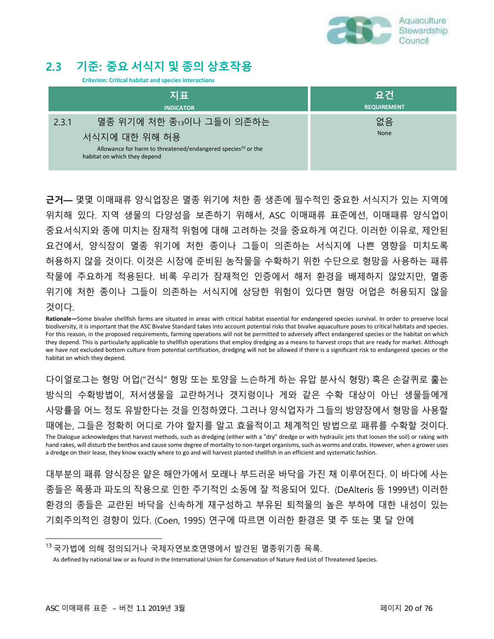

### **2.3 기준: 중요 서식지 및 종의 상호작용**

**Criterion: Critical habitat and species interactions**

| 지표                                                                                                                        | <u> 요건</u>         |
|---------------------------------------------------------------------------------------------------------------------------|--------------------|
| <b>INDICATOR</b>                                                                                                          | <b>REQUIREMENT</b> |
| 멸종 위기에 처한 종13이나 그들이 의존하는<br>2.3.1                                                                                         | 없음                 |
| 서식지에 대한 위해 허용<br>Allowance for harm to threatened/endangered species <sup>10</sup> or the<br>habitat on which they depend | None               |

**근거—** 몇몇 이매패류 양식업장은 멸종 위기에 처한 종 생존에 필수적인 중요한 서식지가 있는 지역에 위치해 있다. 지역 생물의 다양성을 보존하기 위해서, ASC 이매패류 표준에선, 이매패류 양식업이 중요서식지와 종에 미치는 잠재적 위험에 대해 고려하는 것을 중요하게 여긴다. 이러한 이유로, 제안된 요건에서, 양식장이 멸종 위기에 처한 종이나 그들이 의존하는 서식지에 나쁜 영향을 미치도록 허용하지 않을 것이다. 이것은 시장에 준비된 농작물을 수확하기 위한 수단으로 형망을 사용하는 패류 작물에 주요하게 적용된다. 비록 우리가 잠재적인 인증에서 해저 환경을 배제하지 않았지만, 멸종 위기에 처한 종이나 그들이 의존하는 서식지에 상당한 위험이 있다면 형망 어업은 허용되지 않을 것이다.

**Rationale—**Some bivalve shellfish farms are situated in areas with critical habitat essential for endangered species survival. In order to preserve local biodiversity, it is important that the ASC Bivalve Standard takes into account potential risks that bivalve aquaculture poses to critical habitats and species. For this reason, in the proposed requirements, farming operations will not be permitted to adversely affect endangered species or the habitat on which they depend. This is particularly applicable to shellfish operations that employ dredging as a means to harvest crops that are ready for market. Although we have not excluded bottom culture from potential certification, dredging will not be allowed if there is a significant risk to endangered species or the habitat on which they depend.

다이얼로그는 형망 어업("건식" 형망 또는 토양을 느슨하게 하는 유압 분사식 형망) 혹은 손갈퀴로 훑는 방식의 수확방법이, 저서생물을 교란하거나 갯지렁이나 게와 같은 수확 대상이 아닌 생물들에게 사망률을 어느 정도 유발한다는 것을 인정하였다. 그러나 양식업자가 그들의 방양장에서 형망을 사용할 때에는, 그들은 정확히 어디로 가야 할지를 알고 효율적이고 체계적인 방법으로 패류를 수확할 것이다. The Dialogue acknowledges that harvest methods, such as dredging (either with a "dry" dredge or with hydraulic jets that loosen the soil) or raking with hand rakes, will disturb the benthos and cause some degree of mortality to non-target organisms, such as worms and crabs. However, when a grower uses a dredge on their lease, they know exactly where to go and will harvest planted shellfish in an efficient and systematic fashion.

대부분의 패류 양식장은 얕은 해안가에서 모래나 부드러운 바닥을 가진 채 이루어진다. 이 바다에 사는 종들은 폭풍과 파도의 작용으로 인한 주기적인 소동에 잘 적응되어 있다. (DeAlteris 등 1999년) 이러한 환경의 종들은 교란된 바닥을 신속하게 재구성하고 부유된 퇴적물의 높은 부하에 대한 내성이 있는 기회주의적인 경향이 있다. (Coen, 1995) 연구에 따르면 이러한 환경은 몇 주 또는 몇 달 안에

<sup>1</sup><sup>3</sup> 국가법에 의해 정의되거나 국제자연보호연맹에서 발견된 멸종위기종 목록.

As defined by national law or as found in the International Union for Conservation of Nature Red List of Threatened Species.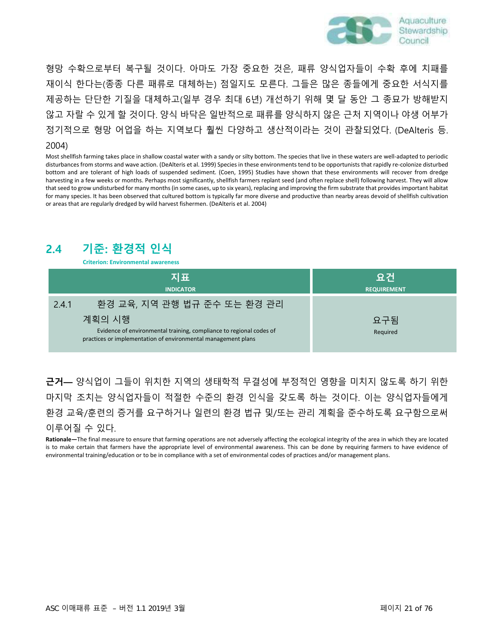

형망 수확으로부터 복구될 것이다. 아마도 가장 중요한 것은, 패류 양식업자들이 수확 후에 치패를 재이식 한다는(종종 다른 패류로 대체하는) 점일지도 모른다. 그들은 많은 종들에게 중요한 서식지를 제공하는 단단한 기질을 대체하고(일부 경우 최대 6년) 개선하기 위해 몇 달 동안 그 종묘가 방해받지 않고 자랄 수 있게 할 것이다. 양식 바닥은 일반적으로 패류를 양식하지 않은 근처 지역이나 야생 어부가 정기적으로 형망 어업을 하는 지역보다 훨씬 다양하고 생산적이라는 것이 관찰되었다. (DeAlteris 등.

#### 2004)

Most shellfish farming takes place in shallow coastal water with a sandy or silty bottom. The species that live in these waters are well-adapted to periodic disturbances from storms and wave action. (DeAlteris et al. 1999) Species in these environments tend to be opportunists that rapidly re-colonize disturbed bottom and are tolerant of high loads of suspended sediment. (Coen, 1995) Studies have shown that these environments will recover from dredge harvesting in a few weeks or months. Perhaps most significantly, shellfish farmers replant seed (and often replace shell) following harvest. They will allow that seed to grow undisturbed for many months (in some cases, up to six years), replacing and improving the firm substrate that provides important habitat for many species. It has been observed that cultured bottom is typically far more diverse and productive than nearby areas devoid of shellfish cultivation or areas that are regularly dredged by wild harvest fishermen. (DeAlteris et al. 2004)

### **2.4 기준: 환경적 인식**

**Criterion: Environmental awareness**

| 지표                                                                                                                                             | 요건                 |
|------------------------------------------------------------------------------------------------------------------------------------------------|--------------------|
| <b>INDICATOR</b>                                                                                                                               | <b>REQUIREMENT</b> |
| 환경 교육, 지역 관행 법규 준수 또는 환경 관리<br>2.4.1                                                                                                           |                    |
| 계획의 시행<br>Evidence of environmental training, compliance to regional codes of<br>practices or implementation of environmental management plans | 요구됨<br>Required    |

**근거—** 양식업이 그들이 위치한 지역의 생태학적 무결성에 부정적인 영향을 미치지 않도록 하기 위한 마지막 조치는 양식업자들이 적절한 수준의 환경 인식을 갖도록 하는 것이다. 이는 양식업자들에게 환경 교육/훈련의 증거를 요구하거나 일련의 환경 법규 및/또는 관리 계획을 준수하도록 요구함으로써 이루어질 수 있다.

**Rationale—**The final measure to ensure that farming operations are not adversely affecting the ecological integrity of the area in which they are located is to make certain that farmers have the appropriate level of environmental awareness. This can be done by requiring farmers to have evidence of environmental training/education or to be in compliance with a set of environmental codes of practices and/or management plans.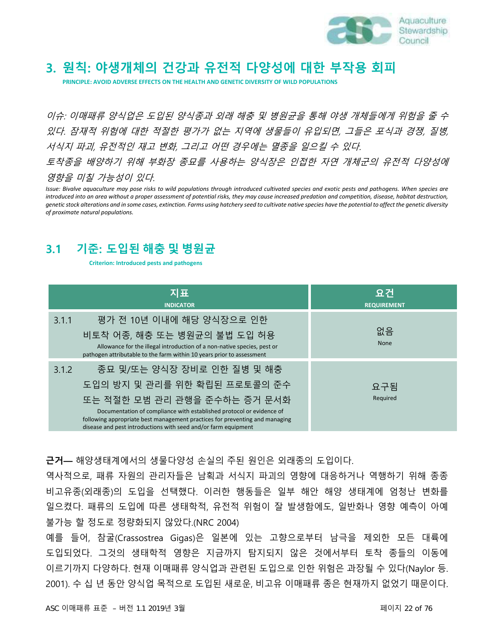

### **3. 원칙: 야생개체의 건강과 유전적 다양성에 대한 부작용 회피**

**PRINCIPLE: AVOID ADVERSE EFFECTS ON THE HEALTH AND GENETIC DIVERSITY OF WILD POPULATIONS**

이슈: 이매패류 양식업은 도입된 양식종과 외래 해충 및 병원균을 통해 야생 개체들에게 위험을 줄 수 있다. 잠재적 위험에 대한 적절한 평가가 없는 지역에 생물들이 유입되면, 그들은 포식과 경쟁, 질병, 서식지 파괴, 유전적인 재고 변화, 그리고 어떤 경우에는 멸종을 일으킬 수 있다. 토착종을 배양하기 위해 부화장 종묘를 사용하는 양식장은 인접한 자연 개체군의 유전적 다양성에 영향을 미칠 가능성이 있다.

*Issue: Bivalve aquaculture may pose risks to wild populations through introduced cultivated species and exotic pests and pathogens. When species are introduced into an area without a proper assessment of potential risks, they may cause increased predation and competition, disease, habitat destruction, genetic stock alterations and in some cases, extinction. Farms using hatchery seed to cultivate native species have the potential to affect the genetic diversity of proximate natural populations.*

### **3.1 기준: 도입된 해충 및 병원균**

**Criterion: Introduced pests and pathogens**

| 지표<br><b>INDICATOR</b>                                                                                                                                                                                                                                                                                                       | 요건<br><b>REQUIREMENT</b> |
|------------------------------------------------------------------------------------------------------------------------------------------------------------------------------------------------------------------------------------------------------------------------------------------------------------------------------|--------------------------|
| 평가 전 10년 이내에 해당 양식장으로 인한<br>3.1.1<br>비토착 어종, 해충 또는 병원균의 불법 도입 허용<br>Allowance for the illegal introduction of a non-native species, pest or<br>pathogen attributable to the farm within 10 years prior to assessment                                                                                                         | 없음<br><b>None</b>        |
| 종묘 및/또는 양식장 장비로 인한 질병 및 해충<br>3.1.2<br>도입의 방지 및 관리를 위한 확립된 프로토콜의 준수<br>또는 적절한 모범 관리 관행을 준수하는 증거 문서화<br>Documentation of compliance with established protocol or evidence of<br>following appropriate best management practices for preventing and managing<br>disease and pest introductions with seed and/or farm equipment | 요구됨<br>Required          |

**근거—** 해양생태계에서의 생물다양성 손실의 주된 원인은 외래종의 도입이다.

역사적으로, 패류 자원의 관리자들은 남획과 서식지 파괴의 영향에 대응하거나 역행하기 위해 종종 비고유종(외래종)의 도입을 선택했다. 이러한 행동들은 일부 해안 해양 생태계에 엄청난 변화를 일으켰다. 패류의 도입에 따른 생태학적, 유전적 위험이 잘 발생함에도, 일반화나 영향 예측이 아예 불가능 할 정도로 정량화되지 않았다.(NRC 2004)

예를 들어, 참굴(Crassostrea Gigas)은 일본에 있는 고향으로부터 남극을 제외한 모든 대륙에 도입되었다. 그것의 생태학적 영향은 지금까지 탐지되지 않은 것에서부터 토착 종들의 이동에 이르기까지 다양하다. 현재 이매패류 양식업과 관련된 도입으로 인한 위험은 과장될 수 있다(Naylor 등. 2001). 수 십 년 동안 양식업 목적으로 도입된 새로운, 비고유 이매패류 종은 현재까지 없었기 때문이다.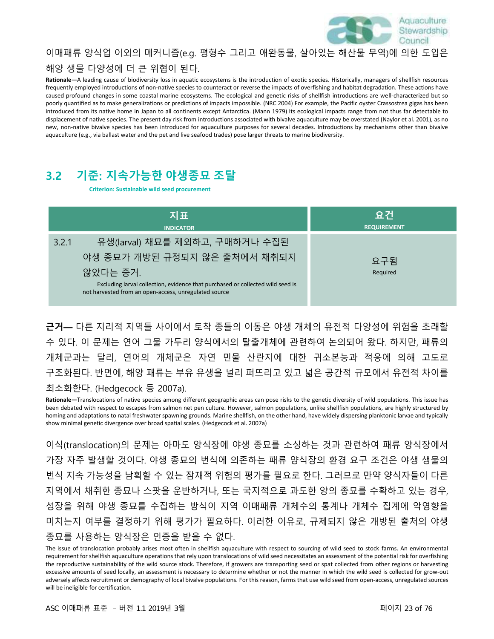

### 이매패류 양식업 이외의 메커니즘(e.g. 평형수 그리고 애완동물, 살아있는 해산물 무역)에 의한 도입은 해양 생물 다양성에 더 큰 위협이 된다.

**Rationale—**A leading cause of biodiversity loss in aquatic ecosystems is the introduction of exotic species. Historically, managers of shellfish resources frequently employed introductions of non-native species to counteract or reverse the impacts of overfishing and habitat degradation. These actions have caused profound changes in some coastal marine ecosystems. The ecological and genetic risks of shellfish introductions are well-characterized but so poorly quantified as to make generalizations or predictions of impacts impossible. (NRC 2004) For example, the Pacific oyster Crassostrea gigas has been introduced from its native home in Japan to all continents except Antarctica. (Mann 1979) Its ecological impacts range from not thus far detectable to displacement of native species. The present day risk from introductions associated with bivalve aquaculture may be overstated (Naylor et al. 2001), as no new, non-native bivalve species has been introduced for aquaculture purposes for several decades. Introductions by mechanisms other than bivalve aquaculture (e.g., via ballast water and the pet and live seafood trades) pose larger threats to marine biodiversity.

### **3.2 기준: 지속가능한 야생종묘 조달**

**Criterion: Sustainable wild seed procurement**

| 지표                                                                                                                                                                                                                             | 요건                 |
|--------------------------------------------------------------------------------------------------------------------------------------------------------------------------------------------------------------------------------|--------------------|
| <b>INDICATOR</b>                                                                                                                                                                                                               | <b>REQUIREMENT</b> |
| 유생(larval) 채묘를 제외하고, 구매하거나 수집된<br>3.2.1<br>야생 종묘가 개방된 규정되지 않은 출처에서 채취되지<br>않았다는 증거.<br>Excluding larval collection, evidence that purchased or collected wild seed is<br>not harvested from an open-access, unregulated source | 요구됨<br>Required    |

**근거—** 다른 지리적 지역들 사이에서 토착 종들의 이동은 야생 개체의 유전적 다양성에 위험을 초래할 수 있다. 이 문제는 연어 그물 가두리 양식에서의 탈출개체에 관련하여 논의되어 왔다. 하지만, 패류의 개체군과는 달리, 연어의 개체군은 자연 민물 산란지에 대한 귀소본능과 적응에 의해 고도로 구조화된다. 반면에, 해양 패류는 부유 유생을 널리 퍼뜨리고 있고 넓은 공간적 규모에서 유전적 차이를 최소화한다. (Hedgecock 등 2007a).

**Rationale—**Translocations of native species among different geographic areas can pose risks to the genetic diversity of wild populations. This issue has been debated with respect to escapes from salmon net pen culture. However, salmon populations, unlike shellfish populations, are highly structured by homing and adaptations to natal freshwater spawning grounds. Marine shellfish, on the other hand, have widely dispersing planktonic larvae and typically show minimal genetic divergence over broad spatial scales. (Hedgecock et al. 2007a)

이식(translocation)의 문제는 아마도 양식장에 야생 종묘를 소싱하는 것과 관련하여 패류 양식장에서 가장 자주 발생할 것이다. 야생 종묘의 번식에 의존하는 패류 양식장의 환경 요구 조건은 야생 생물의 번식 지속 가능성을 남획할 수 있는 잠재적 위험의 평가를 필요로 한다. 그러므로 만약 양식자들이 다른 지역에서 채취한 종묘나 스팟을 운반하거나, 또는 국지적으로 과도한 양의 종묘를 수확하고 있는 경우, 성장을 위해 야생 종묘를 수집하는 방식이 지역 이매패류 개체수의 통계나 개체수 집계에 악영향을 미치는지 여부를 결정하기 위해 평가가 필요하다. 이러한 이유로, 규제되지 않은 개방된 출처의 야생 종묘를 사용하는 양식장은 인증을 받을 수 없다.

The issue of translocation probably arises most often in shellfish aquaculture with respect to sourcing of wild seed to stock farms. An environmental requirement for shellfish aquaculture operations that rely upon translocations of wild seed necessitates an assessment of the potential risk for overfishing the reproductive sustainability of the wild source stock. Therefore, if growers are transporting seed or spat collected from other regions or harvesting excessive amounts of seed locally, an assessment is necessary to determine whether or not the manner in which the wild seed is collected for grow-out adversely affects recruitment or demography of local bivalve populations. For this reason, farms that use wild seed from open-access, unregulated sources will be ineligible for certification.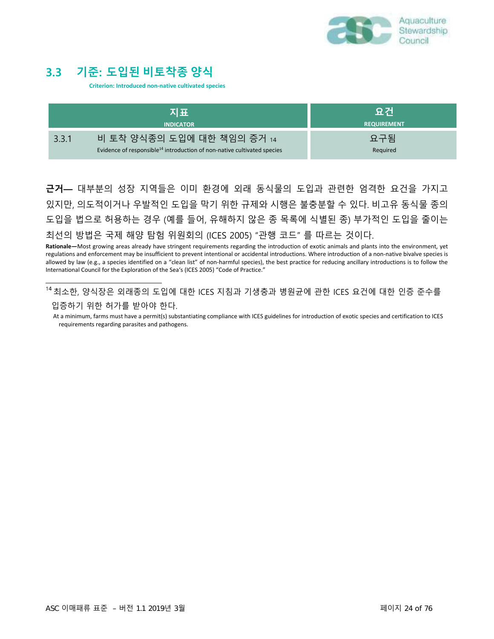

### **3.3 기준: 도입된 비토착종 양식**

**Criterion: Introduced non-native cultivated species**

|       | 지표<br><b>INDICATOR</b>                                                                                            | 요건<br><b>REQUIREMENT</b> |
|-------|-------------------------------------------------------------------------------------------------------------------|--------------------------|
| 3.3.1 | 비 토착 양식종의 도입에 대한 책임의 증거 14<br>Evidence of responsible <sup>14</sup> introduction of non-native cultivated species | 요구됨<br>Required          |

**근거—** 대부분의 성장 지역들은 이미 환경에 외래 동식물의 도입과 관련한 엄격한 요건을 가지고 있지만, 의도적이거나 우발적인 도입을 막기 위한 규제와 시행은 불충분할 수 있다. 비고유 동식물 종의 도입을 법으로 허용하는 경우 (예를 들어, 유해하지 않은 종 목록에 식별된 종) 부가적인 도입을 줄이는 최선의 방법은 국제 해양 탐험 위원회의 (ICES 2005) "관행 코드" 를 따르는 것이다.

**Rationale—**Most growing areas already have stringent requirements regarding the introduction of exotic animals and plants into the environment, yet regulations and enforcement may be insufficient to prevent intentional or accidental introductions. Where introduction of a non-native bivalve species is allowed by law (e.g., a species identified on a "clean list" of non-harmful species), the best practice for reducing ancillary introductions is to follow the International Council for the Exploration of the Sea's (ICES 2005) "Code of Practice."

<sup>1</sup><sup>4</sup> 최소한, 양식장은 외래종의 도입에 대한 ICES 지침과 기생충과 병원균에 관한 ICES 요건에 대한 인증 준수를 입증하기 위한 허가를 받아야 한다.

At a minimum, farms must have a permit(s) substantiating compliance with ICES guidelines for introduction of exotic species and certification to ICES requirements regarding parasites and pathogens.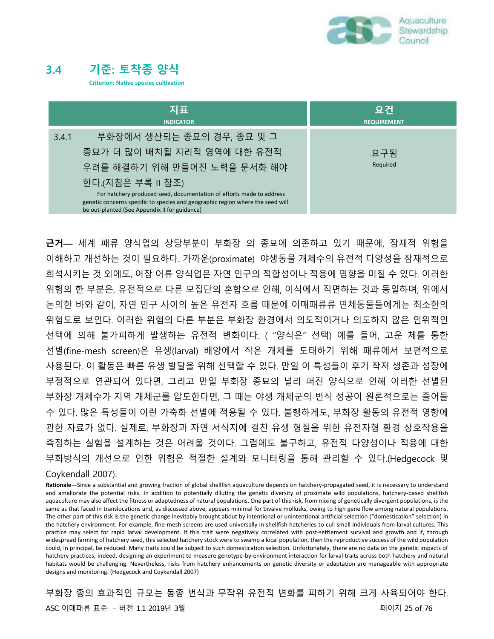

### **3.4 기준: 토착종 양식**

**Criterion: Native species cultivation**

| 지표<br><b>INDICATOR</b>                                                                                                                                                                                  | 요건<br><b>REQUIREMENT</b> |
|---------------------------------------------------------------------------------------------------------------------------------------------------------------------------------------------------------|--------------------------|
| 부화장에서 생산되는 종묘의 경우, 종묘 및 그<br>3.4.1                                                                                                                                                                      |                          |
| 종묘가 더 많이 배치될 지리적 영역에 대한 유전적                                                                                                                                                                             | 요구됨                      |
| 우려를 해결하기 위해 만들어진 노력을 문서화 해야                                                                                                                                                                             | Required                 |
| 한다. (지침은 부록 II 참조)                                                                                                                                                                                      |                          |
| For hatchery produced seed, documentation of efforts made to address<br>genetic concerns specific to species and geographic region where the seed will<br>be out-planted (See Appendix II for guidance) |                          |

**근거—** 세계 패류 양식업의 상당부분이 부화장 의 종묘에 의존하고 있기 때문에, 잠재적 위험을 이해하고 개선하는 것이 필요하다. 가까운(proximate) 야생동물 개체수의 유전적 다양성을 잠재적으로 희석시키는 것 외에도, 어장 어류 양식업은 자연 인구의 적합성이나 적응에 영향을 미칠 수 있다. 이러한 위험의 한 부분은, 유전적으로 다른 모집단의 혼합으로 인해, 이식에서 직면하는 것과 동일하며, 위에서 논의한 바와 같이, 자연 인구 사이의 높은 유전자 흐름 때문에 이매패류류 연체동물들에게는 최소한의 위험도로 보인다. 이러한 위험의 다른 부분은 부화장 환경에서 의도적이거나 의도하지 않은 인위적인 선택에 의해 불가피하게 발생하는 유전적 변화이다. ( "양식은" 선택) 예를 들어, 고운 체를 통한 선별(fine-mesh screen)은 유생(larval) 배양에서 작은 개체를 도태하기 위해 패류에서 보편적으로 사용된다. 이 활동은 빠른 유생 발달을 위해 선택할 수 있다. 만일 이 특성들이 후기 착저 생존과 성장에 부정적으로 연관되어 있다면, 그리고 만일 부화장 종묘의 널리 퍼진 양식으로 인해 이러한 선별된 부화장 개체수가 지역 개체군를 압도한다면, 그 때는 야생 개체군의 번식 성공이 원론적으로는 줄어들 수 있다. 많은 특성들이 이런 가축화 선별에 적용될 수 있다. 불행하게도, 부화장 활동의 유전적 영향에 관한 자료가 없다. 실제로, 부화장과 자연 서식지에 걸친 유생 형질을 위한 유전자형 환경 상호작용을 측정하는 실험을 설계하는 것은 어려울 것이다. 그럼에도 불구하고, 유전적 다양성이나 적응에 대한 부화방식의 개선으로 인한 위험은 적절한 설계와 모니터링을 통해 관리할 수 있다.(Hedgecock 및

#### Coykendall 2007).

**Rationale—**Since a substantial and growing fraction of global shellfish aquaculture depends on hatchery-propagated seed, it is necessary to understand and ameliorate the potential risks. In addition to potentially diluting the genetic diversity of proximate wild populations, hatchery-based shellfish aquaculture may also affect the fitness or adaptedness of natural populations. One part of this risk, from mixing of genetically divergent populations, is the same as that faced in translocations and, as discussed above, appears minimal for bivalve mollusks, owing to high gene flow among natural populations. The other part of this risk is the genetic change inevitably brought about by intentional or unintentional artificial selection ("domestication" selection) in the hatchery environment. For example, fine-mesh screens are used universally in shellfish hatcheries to cull small individuals from larval cultures. This practice may select for rapid larval development. If this trait were negatively correlated with post-settlement survival and growth and if, through widespread farming of hatchery seed, this selected hatchery stock were to swamp a local population, then the reproductive success of the wild population could, in principal, be reduced. Many traits could be subject to such domestication selection. Unfortunately, there are no data on the genetic impacts of hatchery practices; indeed, designing an experiment to measure genotype-by-environment interaction for larval traits across both hatchery and natural habitats would be challenging. Nevertheless, risks from hatchery enhancements on genetic diversity or adaptation are manageable with appropriate designs and monitoring. (Hedgecock and Coykendall 2007)

부화장 종의 효과적인 규모는 동종 번식과 무작위 유전적 변화를 피하기 위해 크게 사육되어야 한다. ASC 이매패류 표준 – 버전 1.1 2019년 3월 페이지 25 of 76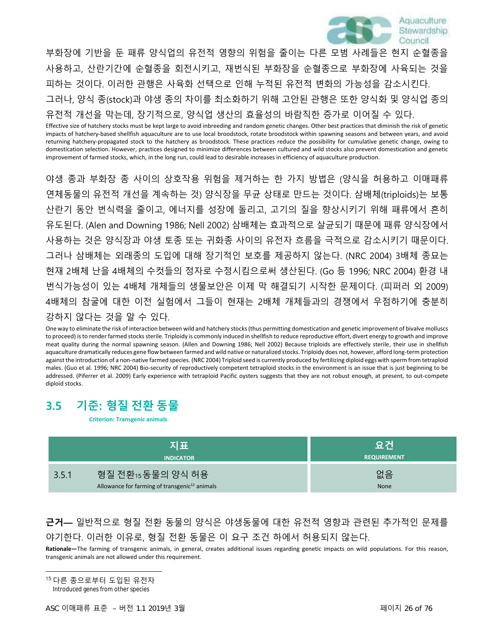

부화장에 기반을 둔 패류 양식업의 유전적 영향의 위험을 줄이는 다른 모범 사례들은 현지 순혈종을 사용하고, 산란기간에 순혈종을 회전시키고, 재번식된 부화장을 순혈종으로 부화장에 사육되는 것을 피하는 것이다. 이러한 관행은 사육화 선택으로 인해 누적된 유전적 변화의 가능성을 감소시킨다. 그러나, 양식 종(stock)과 야생 종의 차이를 최소화하기 위해 고안된 관행은 또한 양식화 및 양식업 종의 유전적 개선을 막는데, 장기적으로, 양식업 생산의 효율성의 바람직한 증가로 이어질 수 있다.

Effective size of hatchery stocks must be kept large to avoid inbreeding and random genetic changes. Other best practices that diminish the risk of genetic impacts of hatchery-based shellfish aquaculture are to use local broodstock, rotate broodstock within spawning seasons and between years, and avoid returning hatchery-propagated stock to the hatchery as broodstock. These practices reduce the possibility for cumulative genetic change, owing to domestication selection. However, practices designed to minimize differences between cultured and wild stocks also prevent domestication and genetic improvement of farmed stocks, which, in the long run, could lead to desirable increases in efficiency of aquaculture production.

야생 종과 부화장 종 사이의 상호작용 위험을 제거하는 한 가지 방법은 (양식을 허용하고 이매패류 연체동물의 유전적 개선을 계속하는 것) 양식장을 무균 상태로 만드는 것이다. 삼배체(triploids)는 보통 산란기 동안 번식력을 줄이고, 에너지를 성장에 돌리고, 고기의 질을 향상시키기 위해 패류에서 흔히 유도된다. (Alen and Downing 1986; Nell 2002) 삼배체는 효과적으로 살균되기 때문에 패류 양식장에서 사용하는 것은 양식장과 야생 토종 또는 귀화종 사이의 유전자 흐름을 극적으로 감소시키기 때문이다. 그러나 삼배체는 외래종의 도입에 대해 장기적인 보호를 제공하지 않는다. (NRC 2004) 3배체 종묘는 현재 2배체 난을 4배체의 수컷들의 정자로 수정시킴으로써 생산된다. (Go 등 1996; NRC 2004) 환경 내 번식가능성이 있는 4배체 개체들의 생물보안은 이제 막 해결되기 시작한 문제이다. (피퍼러 외 2009) 4배체의 참굴에 대한 이전 실험에서 그들이 현재는 2배체 개체들과의 경쟁에서 우점하기에 충분히 강하지 않다는 것을 알 수 있다.

One way to eliminate the risk of interaction between wild and hatchery stocks (thus permitting domestication and genetic improvement of bivalve molluscs to proceed) is to render farmed stocks sterile. Triploidy is commonly induced in shellfish to reduce reproductive effort, divert energy to growth and improve meat quality during the normal spawning season. (Allen and Downing 1986; Nell 2002) Because triploids are effectively sterile, their use in shellfish aquaculture dramatically reduces gene flow between farmed and wild native or naturalized stocks. Triploidy does not, however, afford long-term protection against the introduction of a non-native farmed species. (NRC 2004) Triploid seed is currently produced by fertilizing diploid eggs with sperm from tetraploid males. (Guo et al. 1996; NRC 2004) Bio-security of reproductively competent tetraploid stocks in the environment is an issue that is just beginning to be addressed. (Piferrer et al. 2009) Early experience with tetraploid Pacific oysters suggests that they are not robust enough, at present, to out-compete diploid stocks.

### **3.5 기준: 형질 전환 동물**

**Criterion: Transgenic animals**

| 지표                                                                                      | 요건                 |
|-----------------------------------------------------------------------------------------|--------------------|
| <b>INDICATOR</b>                                                                        | <b>REQUIREMENT</b> |
| 형질 전환15 동물의 양식 허용<br>3.5.1<br>Allowance for farming of transgenic <sup>12</sup> animals | 없음<br>None         |

### **근거—** 일반적으로 형질 전환 동물의 양식은 야생동물에 대한 유전적 영향과 관련된 추가적인 문제를 야기한다. 이러한 이유로, 형질 전환 동물은 이 요구 조건 하에서 허용되지 않는다.

**Rationale—**The farming of transgenic animals, in general, creates additional issues regarding genetic impacts on wild populations. For this reason, transgenic animals are not allowed under this requirement.

<sup>1</sup><sup>5</sup> 다른 종으로부터 도입된 유전자

Introduced genes from other species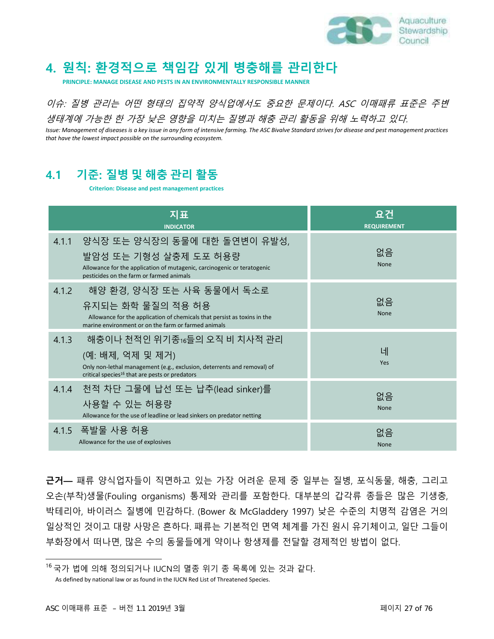

## **4. 원칙: 환경적으로 책임감 있게 병충해를 관리한다**

**PRINCIPLE: MANAGE DISEASE AND PESTS IN AN ENVIRONMENTALLY RESPONSIBLE MANNER**

이슈: 질병 관리는 어떤 형태의 집약적 양식업에서도 중요한 문제이다. ASC 이매패류 표준은 주변 생태계에 가능한 한 가장 낮은 영향을 미치는 질병과 해충 관리 활동을 위해 노력하고 있다.

*Issue: Management of diseases is a key issue in any form of intensive farming. The ASC Bivalve Standard strives for disease and pest management practices that have the lowest impact possible on the surrounding ecosystem.*

### **4.1 기준: 질병 및 해충 관리 활동**

**Criterion: Disease and pest management practices**

| 지표<br><b>INDICATOR</b>                                                                                                                                                                             | 요건<br><b>REQUIREMENT</b> |
|----------------------------------------------------------------------------------------------------------------------------------------------------------------------------------------------------|--------------------------|
| 양식장 또는 양식장의 동물에 대한 돌연변이 유발성,<br>4.1.1<br>발암성 또는 기형성 살충제 도포 허용량<br>Allowance for the application of mutagenic, carcinogenic or teratogenic<br>pesticides on the farm or farmed animals              | 없음<br>None               |
| 해양 환경, 양식장 또는 사육 동물에서 독소로<br>4.1.2<br>유지되는 화학 물질의 적용 허용<br>Allowance for the application of chemicals that persist as toxins in the<br>marine environment or on the farm or farmed animals         | 없음<br>None               |
| 해충이나 천적인 위기종16들의 오직 비 치사적 관리<br>4.1.3<br>(예: 배제, 억제 및 제거)<br>Only non-lethal management (e.g., exclusion, deterrents and removal) of<br>critical species <sup>16</sup> that are pests or predators | 네<br>Yes                 |
| 천적 차단 그물에 납선 또는 납추(lead sinker)를<br>4.1.4<br>사용할 수 있는 허용량<br>Allowance for the use of leadline or lead sinkers on predator netting                                                                 | 없음<br>None               |
| 4.1.5 폭발물 사용 허용<br>Allowance for the use of explosives                                                                                                                                             | 없음<br>None               |

**근거—** 패류 양식업자들이 직면하고 있는 가장 어려운 문제 중 일부는 질병, 포식동물, 해충, 그리고 오손(부착)생물(Fouling organisms) 통제와 관리를 포함한다. 대부분의 갑각류 종들은 많은 기생충, 박테리아, 바이러스 질병에 민감하다. (Bower & McGladdery 1997) 낮은 수준의 치명적 감염은 거의 일상적인 것이고 대량 사망은 흔하다. 패류는 기본적인 면역 체계를 가진 원시 유기체이고, 일단 그들이 부화장에서 떠나면, 많은 수의 동물들에게 약이나 항생제를 전달할 경제적인 방법이 없다.

<sup>1</sup><sup>6</sup> 국가 법에 의해 정의되거나 IUCN의 멸종 위기 종 목록에 있는 것과 같다.

As defined by national law or as found in the IUCN Red List of Threatened Species.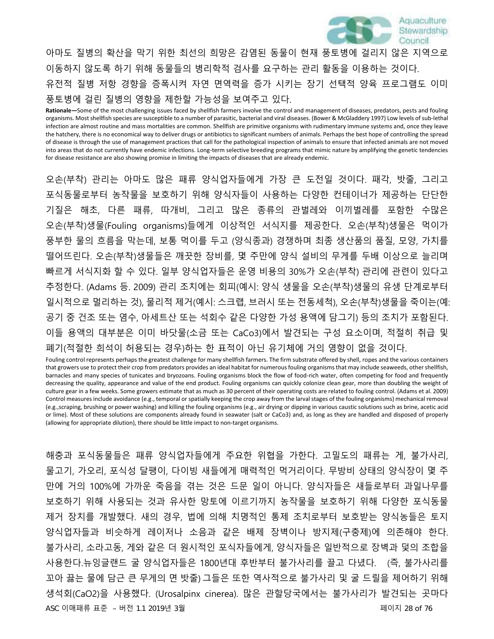

아마도 질병의 확산을 막기 위한 최선의 희망은 감염된 동물이 현재 풍토병에 걸리지 않은 지역으로 이동하지 않도록 하기 위해 동물들의 병리학적 검사를 요구하는 관리 활동을 이용하는 것이다. 유전적 질병 저항 경향을 증폭시켜 자연 면역력을 증가 시키는 장기 선택적 양육 프로그램도 이미 풍토병에 걸린 질병의 영향을 제한할 가능성을 보여주고 있다.

**Rationale—**Some of the most challenging issues faced by shellfish farmers involve the control and management of diseases, predators, pests and fouling organisms. Most shellfish species are susceptible to a number of parasitic, bacterial and viral diseases. (Bower & McGladdery 1997) Low levels of sub-lethal infection are almost routine and mass mortalities are common. Shellfish are primitive organisms with rudimentary immune systems and, once they leave the hatchery, there is no economical way to deliver drugs or antibiotics to significant numbers of animals. Perhaps the best hope of controlling the spread of disease is through the use of management practices that call for the pathological inspection of animals to ensure that infected animals are not moved into areas that do not currently have endemic infections. Long-term selective breeding programs that mimic nature by amplifying the genetic tendencies for disease resistance are also showing promise in limiting the impacts of diseases that are already endemic.

오손(부착) 관리는 아마도 많은 패류 양식업자들에게 가장 큰 도전일 것이다. 패각, 밧줄, 그리고 포식동물로부터 농작물을 보호하기 위해 양식자들이 사용하는 다양한 컨테이너가 제공하는 단단한 기질은 해초, 다른 패류, 따개비, 그리고 많은 종류의 관벌레와 이끼벌레를 포함한 수많은 오손(부착)생물(Fouling organisms)들에게 이상적인 서식지를 제공한다. 오손(부착)생물은 먹이가 풍부한 물의 흐름을 막는데, 보통 먹이를 두고 (양식종과) 경쟁하며 최종 생산품의 품질, 모양, 가치를 떨어뜨린다. 오손(부착)생물들은 깨끗한 장비를, 몇 주만에 양식 설비의 무게를 두배 이상으로 늘리며 빠르게 서식지화 할 수 있다. 일부 양식업자들은 운영 비용의 30%가 오손(부착) 관리에 관련이 있다고 추정한다. (Adams 등. 2009) 관리 조치에는 회피(예시: 양식 생물을 오손(부착)생물의 유생 단계로부터 일시적으로 멀리하는 것), 물리적 제거(예시: 스크랩, 브러시 또는 전동세척), 오손(부착)생물을 죽이는(예: 공기 중 건조 또는 염수, 아세트산 또는 석회수 같은 다양한 가성 용액에 담그기) 등의 조치가 포함된다. 이들 용액의 대부분은 이미 바닷물(소금 또는 CaCo3)에서 발견되는 구성 요소이며, 적절히 취급 및 폐기(적절한 희석이 허용되는 경우)하는 한 표적이 아닌 유기체에 거의 영향이 없을 것이다.

Fouling control represents perhaps the greatest challenge for many shellfish farmers. The firm substrate offered by shell, ropes and the various containers that growers use to protect their crop from predators provides an ideal habitat for numerous fouling organisms that may include seaweeds, other shellfish, barnacles and many species of tunicates and bryozoans. Fouling organisms block the flow of food-rich water, often competing for food and frequently decreasing the quality, appearance and value of the end product. Fouling organisms can quickly colonize clean gear, more than doubling the weight of culture gear in a few weeks. Some growers estimate that as much as 30 percent of their operating costs are related to fouling control. (Adams et al. 2009) Control measures include avoidance (e.g., temporal or spatially keeping the crop away from the larval stages of the fouling organisms) mechanical removal (e.g.,scraping, brushing or power washing) and killing the fouling organisms (e.g., air drying or dipping in various caustic solutions such as brine, acetic acid or lime). Most of these solutions are components already found in seawater (salt or CaCo3) and, as long as they are handled and disposed of properly (allowing for appropriate dilution), there should be little impact to non-target organisms.

해충과 포식동물들은 패류 양식업자들에게 주요한 위협을 가한다. 고밀도의 패류는 게, 불가사리, 물고기, 가오리, 포식성 달팽이, 다이빙 새들에게 매력적인 먹거리이다. 무방비 상태의 양식장이 몇 주 만에 거의 100%에 가까운 죽음을 겪는 것은 드문 일이 아니다. 양식자들은 새들로부터 과일나무를 보호하기 위해 사용되는 것과 유사한 망토에 이르기까지 농작물을 보호하기 위해 다양한 포식동물 제거 장치를 개발했다. 새의 경우, 법에 의해 치명적인 통제 조치로부터 보호받는 양식농들은 토지 양식업자들과 비슷하게 레이저나 소음과 같은 배제 장벽이나 방지제(구충제)에 의존해야 한다. 불가사리, 소라고동, 게와 같은 더 원시적인 포식자들에게, 양식자들은 일반적으로 장벽과 덫의 조합을 사용한다.뉴잉글랜드 굴 양식업자들은 1800년대 후반부터 불가사리를 끌고 다녔다. (즉, 불가사리를 꼬아 끓는 물에 담근 큰 무게의 면 밧줄) 그들은 또한 역사적으로 불가사리 및 굴 드릴을 제어하기 위해 생석회(CaO2)을 사용했다. (Urosalpinx cinerea). 많은 관할당국에서는 불가사리가 발견되는 곳마다 ASC 이매패류 표준 – 버전 1.1 2019년 3월 2020 - 2020 - 2020 - 2020 - 2020 - 2020 - 페이지 28 of 76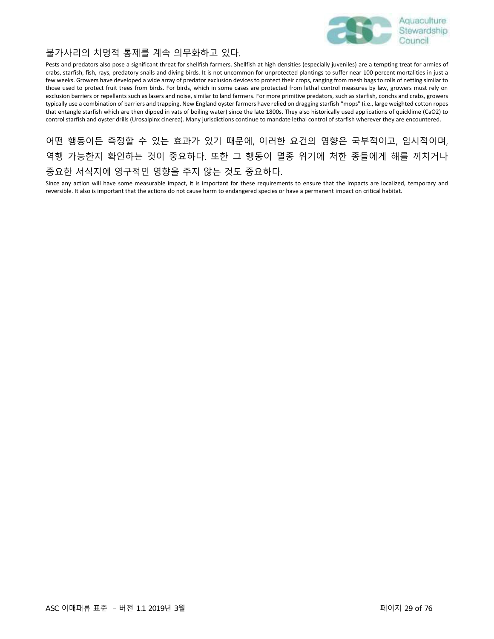

#### 불가사리의 치명적 통제를 계속 의무화하고 있다.

Pests and predators also pose a significant threat for shellfish farmers. Shellfish at high densities (especially juveniles) are a tempting treat for armies of crabs, starfish, fish, rays, predatory snails and diving birds. It is not uncommon for unprotected plantings to suffer near 100 percent mortalities in just a few weeks. Growers have developed a wide array of predator exclusion devices to protect their crops, ranging from mesh bags to rolls of netting similar to those used to protect fruit trees from birds. For birds, which in some cases are protected from lethal control measures by law, growers must rely on exclusion barriers or repellants such as lasers and noise, similar to land farmers. For more primitive predators, such as starfish, conchs and crabs, growers typically use a combination of barriers and trapping. New England oyster farmers have relied on dragging starfish "mops" (i.e., large weighted cotton ropes that entangle starfish which are then dipped in vats of boiling water) since the late 1800s. They also historically used applications of quicklime (CaO2) to control starfish and oyster drills (Urosalpinx cinerea). Many jurisdictions continue to mandate lethal control of starfish wherever they are encountered.

어떤 행동이든 측정할 수 있는 효과가 있기 때문에, 이러한 요건의 영향은 국부적이고, 임시적이며, 역행 가능한지 확인하는 것이 중요하다. 또한 그 행동이 멸종 위기에 처한 종들에게 해를 끼치거나 중요한 서식지에 영구적인 영향을 주지 않는 것도 중요하다.

Since any action will have some measurable impact, it is important for these requirements to ensure that the impacts are localized, temporary and reversible. It also is important that the actions do not cause harm to endangered species or have a permanent impact on critical habitat.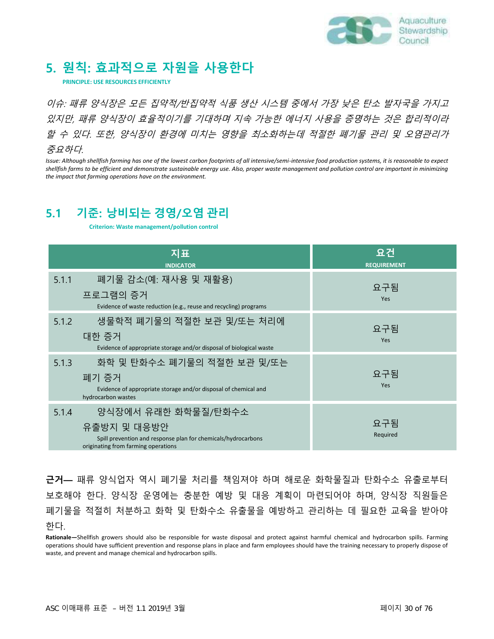

### **5. 원칙: 효과적으로 자원을 사용한다**

**PRINCIPLE: USE RESOURCES EFFICIENTLY**

이슈: 패류 양식장은 모든 집약적/반집약적 식품 생산 시스템 중에서 가장 낮은 탄소 발자국을 가지고 있지만, 패류 양식장이 효율적이기를 기대하며 지속 가능한 에너지 사용을 증명하는 것은 합리적이라 할 수 있다. 또한, 양식장이 환경에 미치는 영향을 최소화하는데 적절한 폐기물 관리 및 오염관리가 중요하다.

*Issue: Although shellfish farming has one of the lowest carbon footprints of all intensive/semi-intensive food production systems, it is reasonable to expect shellfish farms to be efficient and demonstrate sustainable energy use. Also, proper waste management and pollution control are important in minimizing the impact that farming operations have on the environment.*

### **5.1 기준: 낭비되는 경영/오염 관리**

**Criterion: Waste management/pollution control**

| 지표<br><b>INDICATOR</b>                                                                                                                              | 요건<br><b>REQUIREMENT</b> |
|-----------------------------------------------------------------------------------------------------------------------------------------------------|--------------------------|
| 폐기물 감소(예: 재사용 및 재활용)<br>5.1.1<br>프로그램의 증거<br>Evidence of waste reduction (e.g., reuse and recycling) programs                                       | 요구됨<br>Yes               |
| 생물학적 폐기물의 적절한 보관 및/또는 처리에<br>5.1.2<br>대한 증거<br>Evidence of appropriate storage and/or disposal of biological waste                                  | 요구됨<br>Yes               |
| 화학 및 탄화수소 폐기물의 적절한 보관 및/또는<br>5.1.3<br>폐기 증거<br>Evidence of appropriate storage and/or disposal of chemical and<br>hydrocarbon wastes               | 요구됨<br>Yes               |
| 양식장에서 유래한 화학물질/탄화수소<br>5.1.4<br>유출방지 및 대응방안<br>Spill prevention and response plan for chemicals/hydrocarbons<br>originating from farming operations | 요구됨<br>Required          |

**근거—** 패류 양식업자 역시 폐기물 처리를 책임져야 하며 해로운 화학물질과 탄화수소 유출로부터 보호해야 한다. 양식장 운영에는 충분한 예방 및 대응 계획이 마련되어야 하며, 양식장 직원들은 폐기물을 적절히 처분하고 화학 및 탄화수소 유출물을 예방하고 관리하는 데 필요한 교육을 받아야 한다.

**Rationale—**Shellfish growers should also be responsible for waste disposal and protect against harmful chemical and hydrocarbon spills. Farming operations should have sufficient prevention and response plans in place and farm employees should have the training necessary to properly dispose of waste, and prevent and manage chemical and hydrocarbon spills.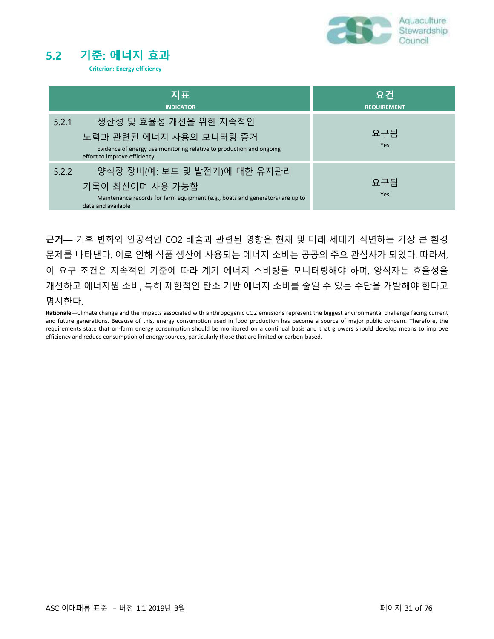

### **5.2 기준: 에너지 효과**

**Criterion: Energy efficiency**

|                                       | 지표<br><b>INDICATOR</b>                                                                                                           | 요건<br><b>REQUIREMENT</b> |
|---------------------------------------|----------------------------------------------------------------------------------------------------------------------------------|--------------------------|
| 5.2.1<br>effort to improve efficiency | 생산성 및 효율성 개선을 위한 지속적인<br>노력과 관련된 에너지 사용의 모니터링 증거<br>Evidence of energy use monitoring relative to production and ongoing         | 요구됨<br><b>Yes</b>        |
| 5.2.2<br>date and available           | 양식장 장비(예: 보트 및 발전기)에 대한 유지관리<br>기록이 최신이며 사용 가능함<br>Maintenance records for farm equipment (e.g., boats and generators) are up to | 요구됨<br><b>Yes</b>        |

**근거—** 기후 변화와 인공적인 CO2 배출과 관련된 영향은 현재 및 미래 세대가 직면하는 가장 큰 환경 문제를 나타낸다. 이로 인해 식품 생산에 사용되는 에너지 소비는 공공의 주요 관심사가 되었다. 따라서, 이 요구 조건은 지속적인 기준에 따라 계기 에너지 소비량를 모니터링해야 하며, 양식자는 효율성을 개선하고 에너지원 소비, 특히 제한적인 탄소 기반 에너지 소비를 줄일 수 있는 수단을 개발해야 한다고 명시한다.

**Rationale—**Climate change and the impacts associated with anthropogenic CO2 emissions represent the biggest environmental challenge facing current and future generations. Because of this, energy consumption used in food production has become a source of major public concern. Therefore, the requirements state that on‐farm energy consumption should be monitored on a continual basis and that growers should develop means to improve efficiency and reduce consumption of energy sources, particularly those that are limited or carbon‐based.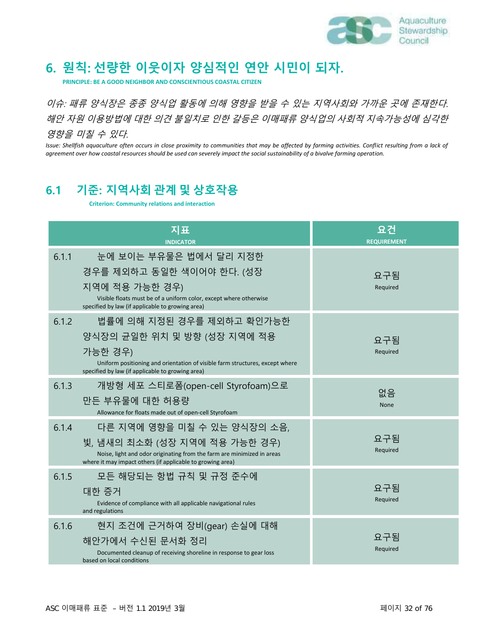

# **6. 원칙: 선량한 이웃이자 양심적인 연안 시민이 되자.**

**PRINCIPLE: BE A GOOD NEIGHBOR AND CONSCIENTIOUS COASTAL CITIZEN**

이슈: 패류 양식장은 종종 양식업 활동에 의해 영향을 받을 수 있는 지역사회와 가까운 곳에 존재한다. 해안 자원 이용방법에 대한 의견 불일치로 인한 갈등은 이매패류 양식업의 사회적 지속가능성에 심각한 영향을 미칠 수 있다.

*Issue: Shellfish aquaculture often occurs in close proximity to communities that may be affected by farming activities. Conflict resulting from a lack of agreement over how coastal resources should be used can severely impact the social sustainability of a bivalve farming operation.*

### **6.1 기준: 지역사회 관계 및 상호작용**

**Criterion: Community relations and interaction**

| 지표<br><b>INDICATOR</b>                                                                                                                                                                                           | 요건<br><b>REQUIREMENT</b> |
|------------------------------------------------------------------------------------------------------------------------------------------------------------------------------------------------------------------|--------------------------|
| 눈에 보이는 부유물은 법에서 달리 지정한<br>6.1.1<br>경우를 제외하고 동일한 색이어야 한다. (성장<br>지역에 적용 가능한 경우)<br>Visible floats must be of a uniform color, except where otherwise<br>specified by law (if applicable to growing area)          | 요구됨<br>Required          |
| 법률에 의해 지정된 경우를 제외하고 확인가능한<br>6.1.2<br>양식장의 균일한 위치 및 방향 (성장 지역에 적용<br>가능한 경우)<br>Uniform positioning and orientation of visible farm structures, except where<br>specified by law (if applicable to growing area) | 요구됨<br>Required          |
| 6.1.3<br>개방형 세포 스티로폼(open-cell Styrofoam)으로<br>만든 부유물에 대한 허용량<br>Allowance for floats made out of open-cell Styrofoam                                                                                            | 없음<br><b>None</b>        |
| 6.1.4<br>다른 지역에 영향을 미칠 수 있는 양식장의 소음,<br>빛, 냄새의 최소화 (성장 지역에 적용 가능한 경우)<br>Noise, light and odor originating from the farm are minimized in areas<br>where it may impact others (if applicable to growing area)    | 요구됨<br>Required          |
| 6.1.5<br>모든 해당되는 항법 규칙 및 규정 준수에<br>대한 증거<br>Evidence of compliance with all applicable navigational rules<br>and regulations                                                                                     | 요구됨<br>Required          |
| 6.1.6<br>현지 조건에 근거하여 장비(gear) 손실에 대해<br>해안가에서 수신된 문서화 정리<br>Documented cleanup of receiving shoreline in response to gear loss<br>based on local conditions                                                      | 요구됨<br>Required          |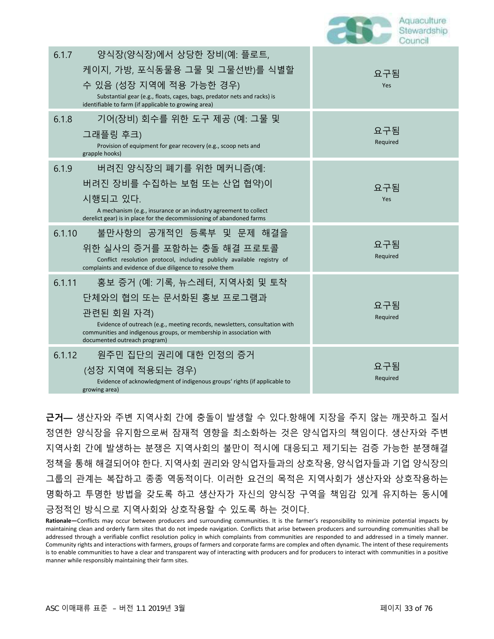| Council |
|---------|
|---------|

| 6.1.7  | 양식장(양식장)에서 상당한 장비(예: 플로트,<br>케이지, 가방, 포식동물용 그물 및 그물선반)를 식별할<br>수 있음 (성장 지역에 적용 가능한 경우)<br>Substantial gear (e.g., floats, cages, bags, predator nets and racks) is<br>identifiable to farm (if applicable to growing area)                                     | 요구됨<br>Yes      |
|--------|----------------------------------------------------------------------------------------------------------------------------------------------------------------------------------------------------------------------------------------------------------------|-----------------|
| 6.1.8  | 기어(장비) 회수를 위한 도구 제공 (예: 그물 및<br>그래플링 후크)<br>Provision of equipment for gear recovery (e.g., scoop nets and<br>grapple hooks)                                                                                                                                   | 요구됨<br>Required |
| 6.1.9  | 버려진 양식장의 폐기를 위한 메커니즘(예:<br>버려진 장비를 수집하는 보험 또는 산업 협약)이<br>시행되고 있다.<br>A mechanism (e.g., insurance or an industry agreement to collect<br>derelict gear) is in place for the decommissioning of abandoned farms                                                 | 요구됨<br>Yes      |
| 6.1.10 | 불만사항의 공개적인 등록부 및 문제 해결을<br>위한 실사의 증거를 포함하는 충돌 해결 프로토콜<br>Conflict resolution protocol, including publicly available registry of<br>complaints and evidence of due diligence to resolve them                                                                    | 요구됨<br>Required |
| 6.1.11 | 홍보 증거 (예: 기록, 뉴스레터, 지역사회 및 토착<br>단체와의 협의 또는 문서화된 홍보 프로그램과<br>관련된 회원 자격)<br>Evidence of outreach (e.g., meeting records, newsletters, consultation with<br>communities and indigenous groups, or membership in association with<br>documented outreach program) | 요구됨<br>Required |
| 6.1.12 | 원주민 집단의 권리에 대한 인정의 증거<br>(성장 지역에 적용되는 경우)<br>Evidence of acknowledgment of indigenous groups' rights (if applicable to<br>growing area)                                                                                                                        | 요구됨<br>Required |

**근거—** 생산자와 주변 지역사회 간에 충돌이 발생할 수 있다.항해에 지장을 주지 않는 깨끗하고 질서 정연한 양식장을 유지함으로써 잠재적 영향을 최소화하는 것은 양식업자의 책임이다. 생산자와 주변 지역사회 간에 발생하는 분쟁은 지역사회의 불만이 적시에 대응되고 제기되는 검증 가능한 분쟁해결 정책을 통해 해결되어야 한다. 지역사회 권리와 양식업자들과의 상호작용, 양식업자들과 기업 양식장의 그룹의 관계는 복잡하고 종종 역동적이다. 이러한 요건의 목적은 지역사회가 생산자와 상호작용하는 명확하고 투명한 방법을 갖도록 하고 생산자가 자신의 양식장 구역을 책임감 있게 유지하는 동시에 긍정적인 방식으로 지역사회와 상호작용할 수 있도록 하는 것이다.

**Rationale—**Conflicts may occur between producers and surrounding communities. It is the farmer's responsibility to minimize potential impacts by maintaining clean and orderly farm sites that do not impede navigation. Conflicts that arise between producers and surrounding communities shall be addressed through a verifiable conflict resolution policy in which complaints from communities are responded to and addressed in a timely manner. Community rights and interactions with farmers, groups of farmers and corporate farms are complex and often dynamic. The intent of these requirements is to enable communities to have a clear and transparent way of interacting with producers and for producers to interact with communities in a positive manner while responsibly maintaining their farm sites.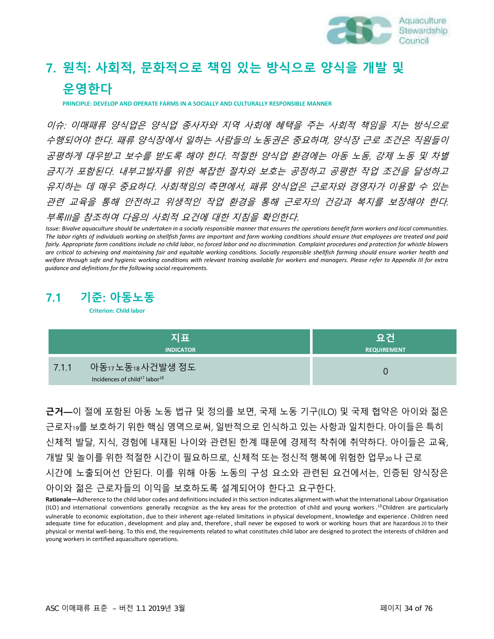

# **7. 원칙: 사회적, 문화적으로 책임 있는 방식으로 양식을 개발 및 운영한다**

**PRINCIPLE: DEVELOP AND OPERATE FARMS IN A SOCIALLY AND CULTURALLY RESPONSIBLE MANNER**

이슈: 이매패류 양식업은 양식업 종사자와 지역 사회에 혜택을 주는 사회적 책임을 지는 방식으로 수행되어야 한다. 패류 양식장에서 일하는 사람들의 노동권은 중요하며, 양식장 근로 조건은 직원들이 공평하게 대우받고 보수를 받도록 해야 한다. 적절한 양식업 환경에는 아동 노동, 강제 노동 및 차별 금지가 포함된다. 내부고발자를 위한 복잡한 절차와 보호는 공정하고 공평한 작업 조건을 달성하고 유지하는 데 매우 중요하다. 사회책임의 측면에서, 패류 양식업은 근로자와 경영자가 이용할 수 있는 관련 교육을 통해 안전하고 위생적인 작업 환경을 통해 근로자의 건강과 복지를 보장해야 한다. 부록III을 참조하여 다음의 사회적 요건에 대한 지침을 확인한다.

*Issue: Bivalve aquaculture should be undertaken in a socially responsible manner that ensures the operations benefit farm workers and local communities. The labor rights of individuals working on shellfish farms are important and farm working conditions should ensure that employees are treated and paid*  fairly. Appropriate farm conditions include no child labor, no forced labor and no discrimination. Complaint procedures and protection for whistle blowers *are critical to achieving and maintaining fair and equitable working conditions. Socially responsible shellfish farming should ensure worker health and*  welfare through safe and hygienic working conditions with relevant training available for workers and managers. Please refer to Appendix III for extra *guidance and definitions for the following social requirements.*

#### **7.1 기준: 아동노동**

**Criterion: Child labor**

| 지표                                                                                  | 요건                 |
|-------------------------------------------------------------------------------------|--------------------|
| <b>INDICATOR</b>                                                                    | <b>REQUIREMENT</b> |
| 아동17 노동18 사건발생 정도<br>7.1.1<br>Incidences of child <sup>17</sup> labor <sup>18</sup> |                    |

**근거—**이 절에 포함된 아동 노동 법규 및 정의를 보면, 국제 노동 기구(ILO) 및 국제 협약은 아이와 젊은 근로자<sup>1</sup>9를 보호하기 위한 핵심 영역으로써, 일반적으로 인식하고 있는 사항과 일치한다. 아이들은 특히 신체적 발달, 지식, 경험에 내재된 나이와 관련된 한계 때문에 경제적 착취에 취약하다. 아이들은 교육, 개발 및 놀이를 위한 적절한 시간이 필요하므로, 신체적 또는 정신적 행복에 위험한 업무<sup>20</sup> 나 근로 시간에 노출되어선 안된다. 이를 위해 아동 노동의 구성 요소와 관련된 요건에서는, 인증된 양식장은 아이와 젊은 근로자들의 이익을 보호하도록 설계되어야 한다고 요구한다.

Rationale—Adherence to the child labor codes and definitions included in this section indicates alignment with what the International Labour Organisation (ILO) and international conventions generally recognize as the key areas for the protection of child and young workers . <sup>1</sup><sup>9</sup>Children are particularly vulnerable to economic exploitation , due to their inherent age-related limitations in physical development, knowledge and experience. Children need adequate time for education , development and play and, therefore , shall never be exposed to work or working hours that are hazardous 20 to their physical or mental well-being. To this end, the requirements related to what constitutes child labor are designed to protect the interests of children and young workers in certified aquaculture operations.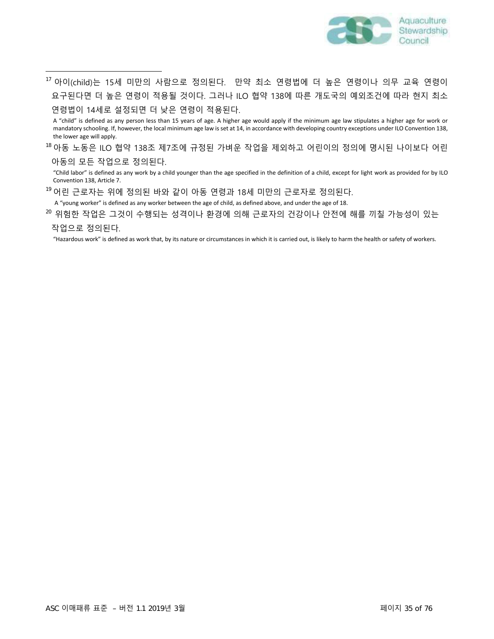

 $^{\rm 17}$  아이(child)는 15세 미만의 사람으로 정의된다. 만약 최소 연령법에 더 높은 연령이나 의무 교육 연령이 요구된다면 더 높은 연령이 적용될 것이다. 그러나 ILO 협약 138에 따른 개도국의 예외조건에 따라 현지 최소 연령법이 14세로 설정되면 더 낮은 연령이 적용된다.

A "child" is defined as any person less than 15 years of age. A higher age would apply if the minimum age law stipulates a higher age for work or mandatory schooling. If, however, the local minimum age law is set at 14, in accordance with developing country exceptions under ILO Convention 138, the lower age will apply.

 $^{\rm 18}$  아동 노동은 ILO 협약 138조 제7조에 규정된 가벼운 작업을 제외하고 어린이의 정의에 명시된 나이보다 어린 아동의 모든 작업으로 정의된다.

"Child labor" is defined as any work by a child younger than the age specified in the definition of a child, except for light work as provided for by ILO Convention 138, Article 7.

어린 근로자는 위에 정의된 바와 같이 아동 연령과 18세 미만의 근로자로 정의된다. 19

A "young worker" is defined as any worker between the age of child, as defined above, and under the age of 18.

 $^{\text{20}}$  위험한 작업은 그것이 수행되는 성격이나 환경에 의해 근로자의 건강이나 안전에 해를 끼칠 가능성이 있는 작업으로 정의된다.

"Hazardous work" is defined as work that, by its nature or circumstances in which it is carried out, is likely to harm the health or safety of workers.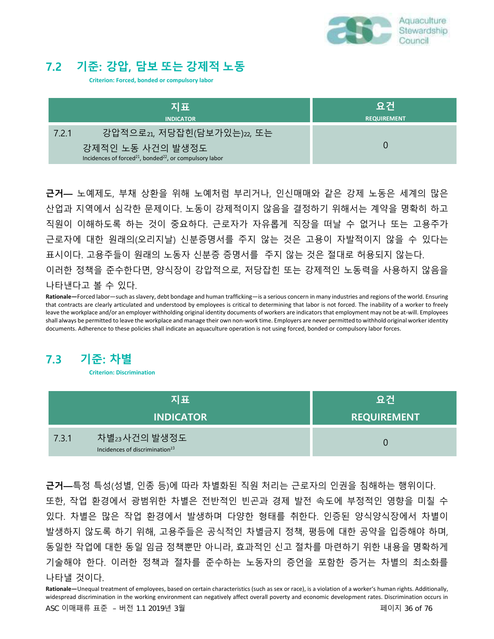

### **7.2 기준: 강압, 담보 또는 강제적 노동**

**Criterion: Forced, bonded or compulsory labor**

| 지표<br><b>INDICATOR</b>                                                                              | ៶요건<br><b>REQUIREMENT</b> |
|-----------------------------------------------------------------------------------------------------|---------------------------|
| 강압적으로21, 저당잡힌(담보가있는)22, 또는<br>7.2.1                                                                 |                           |
| 강제적인 노동 사건의 발생정도<br>Incidences of forced <sup>21</sup> , bonded <sup>22</sup> , or compulsory labor |                           |

**근거—** 노예제도, 부채 상환을 위해 노예처럼 부리거나, 인신매매와 같은 강제 노동은 세계의 많은 산업과 지역에서 심각한 문제이다. 노동이 강제적이지 않음을 결정하기 위해서는 계약을 명확히 하고 직원이 이해하도록 하는 것이 중요하다. 근로자가 자유롭게 직장을 떠날 수 없거나 또는 고용주가 근로자에 대한 원래의(오리지날) 신분증명서를 주지 않는 것은 고용이 자발적이지 않을 수 있다는 표시이다. 고용주들이 원래의 노동자 신분증 증명서를 주지 않는 것은 절대로 허용되지 않는다. 이러한 정책을 준수한다면, 양식장이 강압적으로, 저당잡힌 또는 강제적인 노동력을 사용하지 않음을 나타낸다고 볼 수 있다.

**Rationale—**Forced labor—such as slavery, debt bondage and human trafficking—is a serious concern in many industries and regions of the world. Ensuring that contracts are clearly articulated and understood by employees is critical to determining that labor is not forced. The inability of a worker to freely leave the workplace and/or an employer withholding original identity documents of workers are indicators that employment may not be at-will. Employees shall always be permitted to leave the workplace and manage their own non-work time. Employers are never permitted to withhold original workeridentity documents. Adherence to these policies shall indicate an aquaculture operation is not using forced, bonded or compulsory labor forces.

### **7.3 기준: 차별**

**Criterion: Discrimination**

| 지표                                                                  | 요건                 |
|---------------------------------------------------------------------|--------------------|
| <b>INDICATOR</b>                                                    | <b>REQUIREMENT</b> |
| 차별23사건의 발생정도<br>7.3.1<br>Incidences of discrimination <sup>23</sup> |                    |

**근거—**특정 특성(성별, 인종 등)에 따라 차별화된 직원 처리는 근로자의 인권을 침해하는 행위이다. 또한, 작업 환경에서 광범위한 차별은 전반적인 빈곤과 경제 발전 속도에 부정적인 영향을 미칠 수 있다. 차별은 많은 작업 환경에서 발생하며 다양한 형태를 취한다. 인증된 양식양식장에서 차별이 발생하지 않도록 하기 위해, 고용주들은 공식적인 차별금지 정책, 평등에 대한 공약을 입증해야 하며, 동일한 작업에 대한 동일 임금 정책뿐만 아니라, 효과적인 신고 절차를 마련하기 위한 내용을 명확하게 기술해야 한다. 이러한 정책과 절차를 준수하는 노동자의 증언을 포함한 증거는 차별의 최소화를 나타낼 것이다.

Rationale—Unequal treatment of employees, based on certain characteristics (such as sex or race), is a violation of a worker's human rights. Additionally, widespread discrimination in the working environment can negatively affect overall poverty and economic development rates. Discrimination occurs in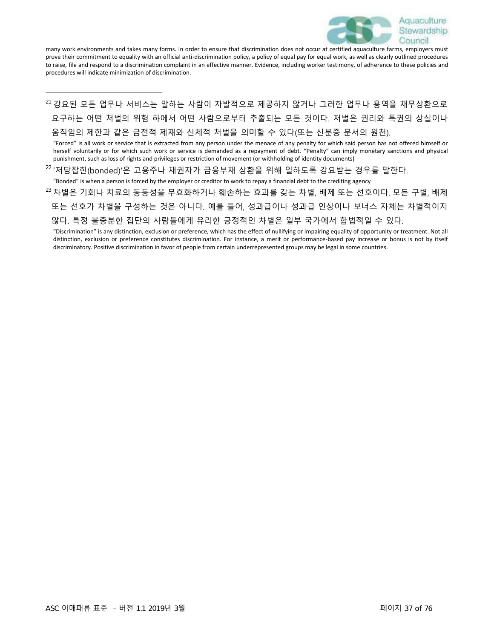

many work environments and takes many forms. In order to ensure that discrimination does not occur at certified aquaculture farms, employers must prove their commitment to equality with an official anti-discrimination policy, a policy of equal pay for equal work, as well as clearly outlined procedures to raise, file and respond to a discrimination complaint in an effective manner. Evidence, including worker testimony, of adherence to these policies and procedures will indicate minimization of discrimination.

 $^\mathrm{21}$  강요된 모든 업무나 서비스는 말하는 사람이 자발적으로 제공하지 않거나 그러한 업무나 용역을 채무상환으로 요구하는 어떤 처벌의 위험 하에서 어떤 사람으로부터 추출되는 모든 것이다. 처벌은 권리와 특권의 상실이나 움직임의 제한과 같은 금전적 제재와 신체적 처벌을 의미할 수 있다(또는 신분증 문서의 원천).

"Forced" is all work or service that is extracted from any person under the menace of any penalty for which said person has not offered himself or herself voluntarily or for which such work or service is demanded as a repayment of debt. "Penalty" can imply monetary sanctions and physical punishment, such as loss of rights and privileges or restriction of movement (or withholding of identity documents)

 $^{22}$ '저당잡힌(bonded)'은 고용주나 채권자가 금융부채 상환을 위해 일하도록 강요받는 경우를 말한다.

"Bonded" is when a person is forced by the employer or creditor to work to repay a financial debt to the crediting agency

 $^{\textrm{\tiny{23}}}$ 차별은 기회나 치료의 동등성을 무효화하거나 훼손하는 효과를 갖는 차별, 배제 또는 선호이다. 모든 구별, 배제 또는 선호가 차별을 구성하는 것은 아니다. 예를 들어, 성과급이나 성과급 인상이나 보너스 자체는 차별적이지 않다. 특정 불충분한 집단의 사람들에게 유리한 긍정적인 차별은 일부 국가에서 합법적일 수 있다.

"Discrimination" is any distinction, exclusion or preference, which has the effect of nullifying or impairing equality of opportunity or treatment. Not all distinction, exclusion or preference constitutes discrimination. For instance, a merit or performance-based pay increase or bonus is not by itself discriminatory. Positive discrimination in favor of people from certain underrepresented groups may be legal in some countries.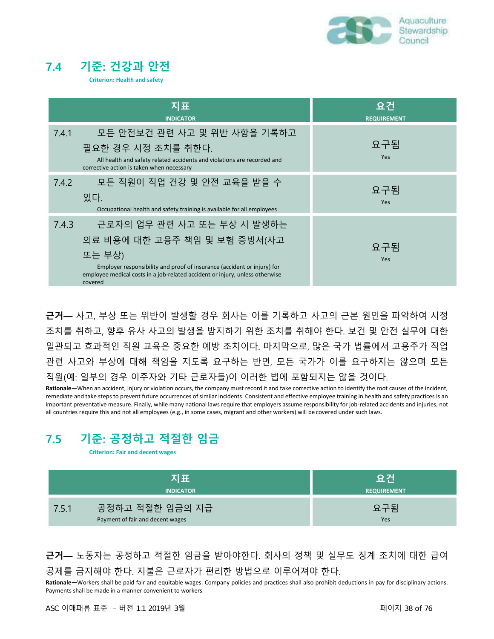

## **7.4 기준: 건강과 안전**

**Criterion: Health and safety**

| 지표<br><b>INDICATOR</b>                                                                                                                                                                                                                              | 요건<br><b>REQUIREMENT</b> |
|-----------------------------------------------------------------------------------------------------------------------------------------------------------------------------------------------------------------------------------------------------|--------------------------|
| 모든 안전보건 관련 사고 및 위반 사항을 기록하고<br>7.4.1<br>필요한 경우 시정 조치를 취한다.<br>All health and safety related accidents and violations are recorded and<br>corrective action is taken when necessary                                                                  | 요구됨<br>Yes               |
| 모든 직원이 직업 건강 및 안전 교육을 받을 수<br>7.4.2<br>있다.<br>Occupational health and safety training is available for all employees                                                                                                                                | 요구됨<br>Yes               |
| 근로자의 업무 관련 사고 또는 부상 시 발생하는<br>7.4.3<br>의료 비용에 대한 고융주 책임 및 보험 증빙서(사고<br>또는 부상)<br>Employer responsibility and proof of insurance (accident or injury) for<br>employee medical costs in a job-related accident or injury, unless otherwise<br>covered | 요구됨<br>Yes               |

**근거—** 사고, 부상 또는 위반이 발생할 경우 회사는 이를 기록하고 사고의 근본 원인을 파악하여 시정 조치를 취하고, 향후 유사 사고의 발생을 방지하기 위한 조치를 취해야 한다. 보건 및 안전 실무에 대한 일관되고 효과적인 직원 교육은 중요한 예방 조치이다. 마지막으로, 많은 국가 법률에서 고용주가 직업 관련 사고와 부상에 대해 책임을 지도록 요구하는 반면, 모든 국가가 이를 요구하지는 않으며 모든 직원(예: 일부의 경우 이주자와 기타 근로자들)이 이러한 법에 포함되지는 않을 것이다.

**Rationale—**When an accident, injury or violation occurs, the company must record it and take corrective action to identify the root causes of the incident, remediate and take steps to prevent future occurrences of similar incidents. Consistent and effective employee training in health and safety practices is an important preventative measure. Finally, while many national laws require that employers assume responsibility for job-related accidents and injuries, not all countries require this and not all employees (e.g., in some cases, migrant and other workers) will be covered under such laws.

# **7.5 기준: 공정하고 적절한 임금**

**Criterion: Fair and decent wages**

| 지표                                                           | 요건                 |
|--------------------------------------------------------------|--------------------|
| <b>INDICATOR</b>                                             | <b>REQUIREMENT</b> |
| 공정하고 적절한 임금의 지급<br>7.5.1<br>Payment of fair and decent wages | 요구됨<br>Yes         |

**근거—** 노동자는 공정하고 적절한 임금을 받아야한다. 회사의 정책 및 실무도 징계 조치에 대한 급여 공제를 금지해야 한다. 지불은 근로자가 편리한 방법으로 이루어져야 한다.

**Rationale—**Workers shall be paid fair and equitable wages. Company policies and practices shall also prohibit deductions in pay for disciplinary actions. Payments shall be made in a manner convenient to workers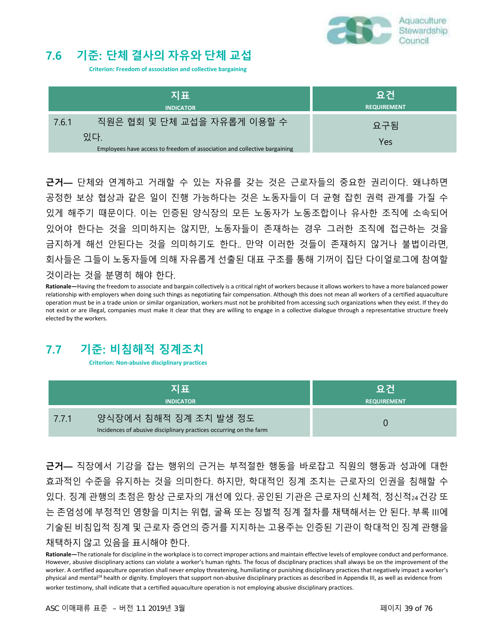

# **7.6 기준: 단체 결사의 자유와 단체 교섭**

**Criterion: Freedom of association and collective bargaining**

| 지표<br><b>INDICATOR</b>                                                           | 요건<br><b>REQUIREMENT</b> |
|----------------------------------------------------------------------------------|--------------------------|
| 직원은 협회 및 단체 교섭을 자유롭게 이용할 수<br>7.6.1                                              | 요구됨                      |
| 있다.<br>Employees have access to freedom of association and collective bargaining | Yes                      |

**근거—** 단체와 연계하고 거래할 수 있는 자유를 갖는 것은 근로자들의 중요한 권리이다. 왜냐하면 공정한 보상 협상과 같은 일이 진행 가능하다는 것은 노동자들이 더 균형 잡힌 권력 관계를 가질 수 있게 해주기 때문이다. 이는 인증된 양식장의 모든 노동자가 노동조합이나 유사한 조직에 소속되어 있어야 한다는 것을 의미하지는 않지만, 노동자들이 존재하는 경우 그러한 조직에 접근하는 것을 금지하게 해선 안된다는 것을 의미하기도 한다.. 만약 이러한 것들이 존재하지 않거나 불법이라면, 회사들은 그들이 노동자들에 의해 자유롭게 선출된 대표 구조를 통해 기꺼이 집단 다이얼로그에 참여할 것이라는 것을 분명히 해야 한다.

**Rationale—**Having the freedom to associate and bargain collectively is a critical right of workers because it allows workers to have a more balanced power relationship with employers when doing such things as negotiating fair compensation. Although this does not mean all workers of a certified aquaculture operation must be in a trade union or similar organization, workers must not be prohibited from accessing such organizations when they exist. If they do not exist or are illegal, companies must make it clear that they are willing to engage in a collective dialogue through a representative structure freely elected by the workers.

# **7.7 기준: 비침해적 징계조치**

**Criterion: Non-abusive disciplinary practices**

| 지표               |                                                                                             | 요건                 |
|------------------|---------------------------------------------------------------------------------------------|--------------------|
| <b>INDICATOR</b> |                                                                                             | <b>REQUIREMENT</b> |
| 7.7.1            | 양식장에서 침해적 징계 조치 발생 정도<br>Incidences of abusive disciplinary practices occurring on the farm |                    |

**근거—** 직장에서 기강을 잡는 행위의 근거는 부적절한 행동을 바로잡고 직원의 행동과 성과에 대한 효과적인 수준을 유지하는 것을 의미한다. 하지만, 학대적인 징계 조치는 근로자의 인권을 침해할 수 있다. 징계 관행의 초점은 항상 근로자의 개선에 있다. 공인된 기관은 근로자의 신체적, 정신적24건강 또 는 존엄성에 부정적인 영향을 미치는 위협, 굴욕 또는 징벌적 징계 절차를 채택해서는 안 된다. 부록 III에 기술된 비침입적 징계 및 근로자 증언의 증거를 지지하는 고용주는 인증된 기관이 학대적인 징계 관행을 채택하지 않고 있음을 표시해야 한다.

**Rationale—**The rationale for discipline in the workplace is to correct improper actions and maintain effective levels of employee conduct and performance. However, abusive disciplinary actions can violate a worker's human rights. The focus of disciplinary practices shall always be on the improvement of the worker. A certified aquaculture operation shall never employ threatening, humiliating or punishing disciplinary practices that negatively impact a worker's physical and mental<sup>24</sup> health or dignity. Employers that support non-abusive disciplinary practices as described in Appendix III, as well as evidence from worker testimony, shall indicate that a certified aquaculture operation is not employing abusive disciplinary practices.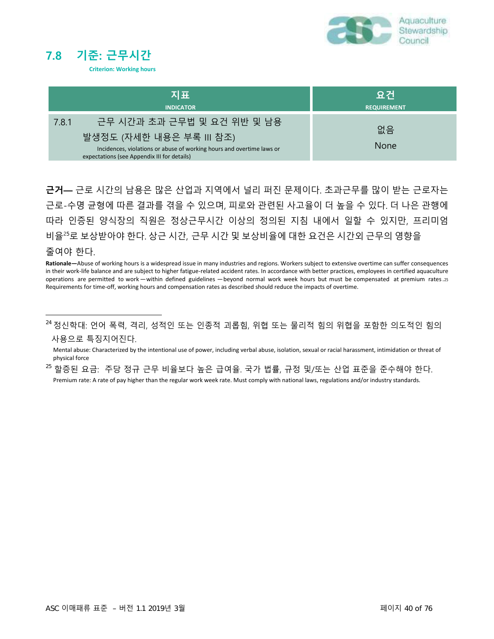



| 지표                                                                                                                                                                                      | <b>Ⅰ요건</b>         |
|-----------------------------------------------------------------------------------------------------------------------------------------------------------------------------------------|--------------------|
| <b>INDICATOR</b>                                                                                                                                                                        | <b>REQUIREMENT</b> |
| 근무 시간과 초과 근무법 및 요건 위반 및 남용<br>7.8.1<br>발생정도 (자세한 내용은 부록 III 참조)<br>Incidences, violations or abuse of working hours and overtime laws or<br>expectations (see Appendix III for details) | 없음<br><b>None</b>  |

**근거—** 근로 시간의 남용은 많은 산업과 지역에서 널리 퍼진 문제이다. 초과근무를 많이 받는 근로자는 근로-수명 균형에 따른 결과를 겪을 수 있으며, 피로와 관련된 사고율이 더 높을 수 있다. 더 나은 관행에 따라 인증된 양식장의 직원은 정상근무시간 이상의 정의된 지침 내에서 일할 수 있지만, 프리미엄 비율<sup>2</sup><sup>5</sup>로 보상받아야 한다. 상근 시간, 근무 시간 및 보상비율에 대한 요건은 시간외 근무의 영향을

#### 줄여야 한다.

**Rationale—**Abuse of working hours is a widespread issue in many industries and regions. Workers subject to extensive overtime can suffer consequences in their work-life balance and are subject to higher fatigue-related accident rates. In accordance with better practices, employees in certified aquaculture operations are permitted to work—within defined guidelines —beyond normal work week hours but must be compensated at premium rates.<sup>25</sup> Requirements for time-off, working hours and compensation rates as described should reduce the impacts of overtime.

 $^{24}$  정신학대: 언어 폭력, 격리, 성적인 또는 인종적 괴롭힘, 위협 또는 물리적 힘의 위협을 포함한 의도적인 힘의 사용으로 특징지어진다.

Mental abuse: Characterized by the intentional use of power, including verbal abuse, isolation, sexual or racial harassment, intimidation or threat of physical force

 $^{\rm 25}$  할증된 요금: 주당 정규 근무 비율보다 높은 급여율. 국가 법률, 규정 및/또는 산업 표준을 준수해야 한다. Premium rate: A rate of pay higher than the regular work week rate. Must comply with national laws, regulations and/or industry standards.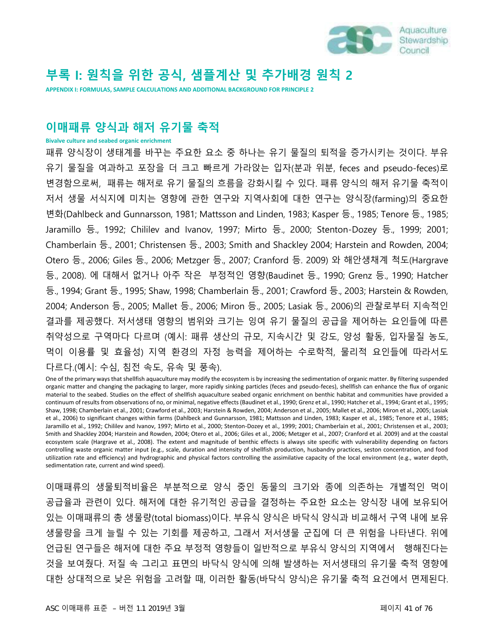

# **부록 I: 원칙을 위한 공식, 샘플계산 및 추가배경 원칙 2**

**APPENDIX I: FORMULAS, SAMPLE CALCULATIONS AND ADDITIONAL BACKGROUND FOR PRINCIPLE 2**

## **이매패류 양식과 해저 유기물 축적**

**Bivalve culture and seabed organic enrichment**

패류 양식장이 생태계를 바꾸는 주요한 요소 중 하나는 유기 물질의 퇴적을 증가시키는 것이다. 부유 유기 물질을 여과하고 포장을 더 크고 빠르게 가라앉는 입자(분과 위분, feces and pseudo-feces)로 변경함으로써, 패류는 해저로 유기 물질의 흐름을 강화시킬 수 있다. 패류 양식의 해저 유기물 축적이 저서 생물 서식지에 미치는 영향에 관한 연구와 지역사회에 대한 연구는 양식장(farming)의 중요한 변화(Dahlbeck and Gunnarsson, 1981; Mattsson and Linden, 1983; Kasper 등., 1985; Tenore 등., 1985; Jaramillo 등., 1992; Chililev and Ivanov, 1997; Mirto 등., 2000; Stenton-Dozey 등., 1999; 2001; Chamberlain 등., 2001; Christensen 등., 2003; Smith and Shackley 2004; Harstein and Rowden, 2004; Otero 등., 2006; Giles 등., 2006; Metzger 등., 2007; Cranford 등. 2009) 와 해안생채계 척도(Hargrave 등., 2008). 에 대해서 없거나 아주 작은 부정적인 영향(Baudinet 등., 1990; Grenz 등., 1990; Hatcher 등., 1994; Grant 등., 1995; Shaw, 1998; Chamberlain 등., 2001; Crawford 등., 2003; Harstein & Rowden, 2004; Anderson 등., 2005; Mallet 등., 2006; Miron 등., 2005; Lasiak 등., 2006)의 관찰로부터 지속적인 결과를 제공했다. 저서생태 영향의 범위와 크기는 잉여 유기 물질의 공급을 제어하는 요인들에 따른 취약성으로 구역마다 다르며 (예시: 패류 생산의 규모, 지속시간 및 강도, 양성 활동, 입자물질 농도, 먹이 이용률 및 효율성) 지역 환경의 자정 능력을 제어하는 수로학적, 물리적 요인들에 따라서도 다르다.(예시: 수심, 침전 속도, 유속 및 풍속).

One of the primary ways that shellfish aquaculture may modify the ecosystem is by increasing the sedimentation of organic matter. By filtering suspended organic matter and changing the packaging to larger, more rapidly sinking particles (feces and pseudo-feces), shellfish can enhance the flux of organic material to the seabed. Studies on the effect of shellfish aquaculture seabed organic enrichment on benthic habitat and communities have provided a continuum of results from observations of no, or minimal, negative effects (Baudinet et al., 1990; Grenz et al., 1990; Hatcher et al., 1994; Grant et al., 1995; Shaw, 1998; Chamberlain et al., 2001; Crawford et al., 2003; Harstein & Rowden, 2004; Anderson et al., 2005; Mallet et al., 2006; Miron et al., 2005; Lasiak et al., 2006) to significant changes within farms (Dahlbeck and Gunnarsson, 1981; Mattsson and Linden, 1983; Kasper et al., 1985; Tenore et al., 1985; Jaramillo et al., 1992; Chililev and Ivanov, 1997; Mirto et al., 2000; Stenton-Dozey et al., 1999; 2001; Chamberlain et al., 2001; Christensen et al., 2003; Smith and Shackley 2004; Harstein and Rowden, 2004; Otero et al., 2006; Giles et al., 2006; Metzger et al., 2007; Cranford et al. 2009) and at the coastal ecosystem scale (Hargrave et al., 2008). The extent and magnitude of benthic effects is always site specific with vulnerability depending on factors controlling waste organic matter input (e.g., scale, duration and intensity of shellfish production, husbandry practices, seston concentration, and food utilization rate and efficiency) and hydrographic and physical factors controlling the assimilative capacity of the local environment (e.g., water depth, sedimentation rate, current and wind speed).

이매패류의 생물퇴적비율은 부분적으로 양식 중인 동물의 크기와 종에 의존하는 개별적인 먹이 공급율과 관련이 있다. 해저에 대한 유기적인 공급을 결정하는 주요한 요소는 양식장 내에 보유되어 있는 이매패류의 총 생물량(total biomass)이다. 부유식 양식은 바닥식 양식과 비교해서 구역 내에 보유 생물량을 크게 늘릴 수 있는 기회를 제공하고, 그래서 저서생물 군집에 더 큰 위험을 나타낸다. 위에 언급된 연구들은 해저에 대한 주요 부정적 영향들이 일반적으로 부유식 양식의 지역에서 행해진다는 것을 보여줬다. 저질 속 그리고 표면의 바닥식 양식에 의해 발생하는 저서생태의 유기물 축적 영향에 대한 상대적으로 낮은 위험을 고려할 때, 이러한 활동(바닥식 양식)은 유기물 축적 요건에서 면제된다.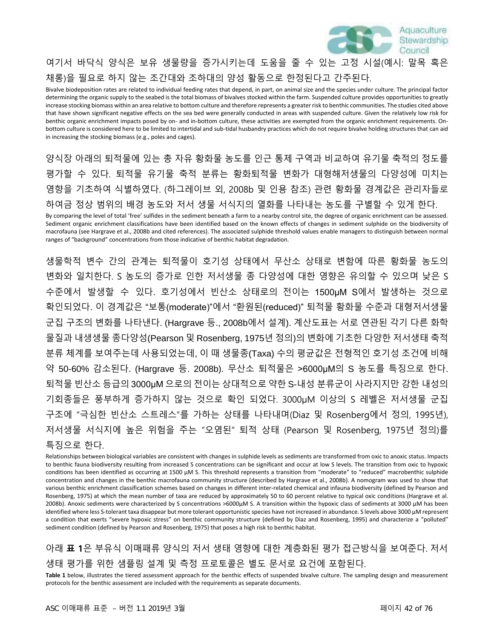

# 여기서 바닥식 양식은 보유 생물량을 증가시키는데 도움을 줄 수 있는 고정 시설(예시: 말목 혹은 채롱)을 필요로 하지 않는 조간대와 조하대의 양성 활동으로 한정된다고 간주된다.

Bivalve biodeposition rates are related to individual feeding rates that depend, in part, on animal size and the species under culture. The principal factor determining the organic supply to the seabed is the total biomass of bivalves stocked within the farm. Suspended culture provides opportunities to greatly increase stocking biomass within an area relative to bottom culture and therefore represents a greater risk to benthic communities. The studies cited above that have shown significant negative effects on the sea bed were generally conducted in areas with suspended culture. Given the relatively low risk for benthic organic enrichment impacts posed by on- and in-bottom culture, these activities are exempted from the organic enrichment requirements. Onbottom culture is considered here to be limited to intertidal and sub-tidal husbandry practices which do not require bivalve holding structures that can aid in increasing the stocking biomass (e.g., poles and cages).

양식장 아래의 퇴적물에 있는 총 자유 황화물 농도를 인근 통제 구역과 비교하여 유기물 축적의 정도를 평가할 수 있다. 퇴적물 유기물 축적 분류는 황화퇴적물 변화가 대형해저생물의 다양성에 미치는 영향을 기초하여 식별하였다. (하그레이브 외, 2008b 및 인용 참조) 관련 황화물 경계값은 관리자들로 하여금 정상 범위의 배경 농도와 저서 생물 서식지의 열화를 나타내는 농도를 구별할 수 있게 한다.

By comparing the level of total 'free' sulfides in the sediment beneath a farm to a nearby control site, the degree of organic enrichment can be assessed. Sediment organic enrichment classifications have been identified based on the known effects of changes in sediment sulphide on the biodiversity of macrofauna (see Hargrave et al., 2008b and cited references). The associated sulphide threshold values enable managers to distinguish between normal ranges of "background" concentrations from those indicative of benthic habitat degradation.

생물학적 변수 간의 관계는 퇴적물이 호기성 상태에서 무산소 상태로 변함에 따른 황화물 농도의 변화와 일치한다. S 농도의 증가로 인한 저서생물 종 다양성에 대한 영향은 유의할 수 있으며 낮은 S 수준에서 발생할 수 있다. 호기성에서 빈산소 상태로의 전이는 1500μM S에서 발생하는 것으로 확인되었다. 이 경계값은 "보통(moderate)"에서 "환원된(reduced)" 퇴적물 황화물 수준과 대형저서생물 군집 구조의 변화를 나타낸다. (Hargrave 등., 2008b에서 설계). 계산도표는 서로 연관된 각기 다른 화학 물질과 내생생물 종다양성(Pearson 및 Rosenberg, 1975년 정의)의 변화에 기초한 다양한 저서생태 축적 분류 체계를 보여주는데 사용되었는데, 이 때 생물종(Taxa) 수의 평균값은 전형적인 호기성 조건에 비해 약 50-60% 감소된다. (Hargrave 등. 2008b). 무산소 퇴적물은 >6000μM의 S 농도를 특징으로 한다. 퇴적물 빈산소 등급의 3000μM 으로의 전이는 상대적으로 약한 S-내성 분류군이 사라지지만 강한 내성의 기회종들은 풍부하게 증가하지 않는 것으로 확인 되었다. 3000μM 이상의 S 레벨은 저서생물 군집 구조에 "극심한 빈산소 스트레스"를 가하는 상태를 나타내며(Diaz 및 Rosenberg에서 정의, 1995년), 저서생물 서식지에 높은 위험을 주는 "오염된" 퇴적 상태 (Pearson 및 Rosenberg, 1975년 정의)를 특징으로 한다.

Relationships between biological variables are consistent with changes in sulphide levels as sediments are transformed from oxic to anoxic status. Impacts to benthic fauna biodiversity resulting from increased S concentrations can be significant and occur at low S levels. The transition from oxic to hypoxic conditions has been identified as occurring at 1500 μM S. This threshold represents a transition from "moderate" to "reduced" macrobenthic sulphide concentration and changes in the benthic macrofauna community structure (described by Hargrave et al., 2008b). A nomogram was used to show that various benthic enrichment classification schemes based on changes in different inter-related chemical and infauna biodiversity (defined by Pearson and Rosenberg, 1975) at which the mean number of taxa are reduced by approximately 50 to 60 percent relative to typical oxic conditions (Hargrave et al. 2008b). Anoxic sediments were characterized by S concentrations >6000μM S. A transition within the hypoxic class of sediments at 3000 μM has been identified where less S-tolerant taxa disappear but more tolerant opportunistic species have not increased in abundance. S levels above 3000 μM represent a condition that exerts "severe hypoxic stress" on benthic community structure (defined by Diaz and Rosenberg, 1995) and characterize a "polluted" sediment condition (defined by Pearson and Rosenberg, 1975) that poses a high risk to benthic habitat.

아래 **표 1**은 부유식 이매패류 양식의 저서 생태 영향에 대한 계층화된 평가 접근방식을 보여준다. 저서 생태 평가를 위한 샘플링 설계 및 측정 프로토콜은 별도 문서로 요건에 포함된다.

**Table 1** below, illustrates the tiered assessment approach for the benthic effects of suspended bivalve culture. The sampling design and measurement protocols for the benthic assessment are included with the requirements as separate documents.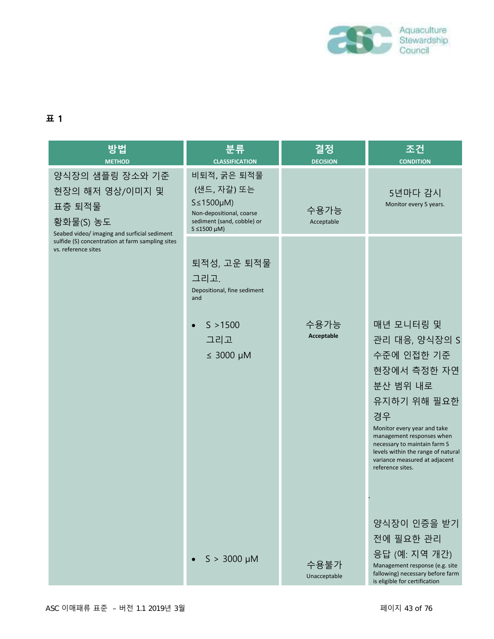

### **표 1**

| 방법<br><b>METHOD</b>                                                                                       | 분류<br><b>CLASSIFICATION</b>                                                                                                        | 결정<br><b>DECISION</b> | 조건<br><b>CONDITION</b>                                                                                                                                                                                                                                                          |
|-----------------------------------------------------------------------------------------------------------|------------------------------------------------------------------------------------------------------------------------------------|-----------------------|---------------------------------------------------------------------------------------------------------------------------------------------------------------------------------------------------------------------------------------------------------------------------------|
| 양식장의 샘플링 장소와 기준<br>현장의 해저 영상/이미지 및<br>표층 퇴적물<br>황화물(S) 농도<br>Seabed video/ imaging and surficial sediment | 비퇴적, 굵은 퇴적물<br>(샌드, 자갈) 또는<br>$S \leq 1500 \mu M$<br>Non-depositional, coarse<br>sediment (sand, cobble) or<br>$S \leq 1500 \mu M$ | 수용가능<br>Acceptable    | 5년마다 감시<br>Monitor every 5 years.                                                                                                                                                                                                                                               |
| sulfide (S) concentration at farm sampling sites<br>vs. reference sites                                   | 퇴적성, 고운 퇴적물<br>그리고.<br>Depositional, fine sediment<br>and<br>S > 1500<br>그리고<br>$\leq$ 3000 µM                                     | 수용가능<br>Acceptable    | 매년 모니터링 및<br>관리 대응, 양식장의 S<br>수준에 인접한 기준<br>현장에서 측정한 자연<br>분산 범위 내로<br>유지하기 위해 필요한<br>경우<br>Monitor every year and take<br>management responses when<br>necessary to maintain farm S<br>levels within the range of natural<br>variance measured at adjacent<br>reference sites. |
|                                                                                                           | $S > 3000 \mu M$                                                                                                                   | 수용불가<br>Unacceptable  | 양식장이 인증을 받기<br>전에 필요한 관리<br>응답 (예: 지역 개간)<br>Management response (e.g. site<br>fallowing) necessary before farm<br>is eligible for certification                                                                                                                                |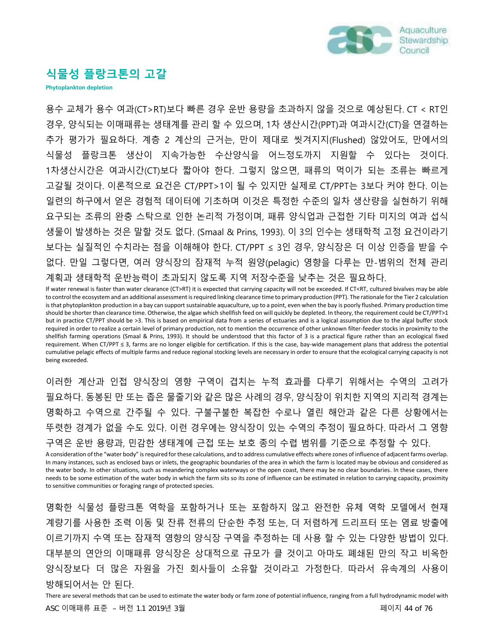

## **식물성 플랑크톤의 고갈**

**Phytoplankton depletion**

용수 교체가 용수 여과(CT>RT)보다 빠른 경우 운반 용량을 초과하지 않을 것으로 예상된다. CT < RT인 경우, 양식되는 이매패류는 생태계를 관리 할 수 있으며, 1차 생산시간(PPT)과 여과시간(CT)을 연결하는 추가 평가가 필요하다. 계층 2 계산의 근거는, 만이 제대로 씻겨지지(Flushed) 않았어도, 만에서의 식물성 플랑크톤 생산이 지속가능한 수산양식을 어느정도까지 지원할 수 있다는 것이다. 1차생산시간은 여과시간(CT)보다 짧아야 한다. 그렇지 않으면, 패류의 먹이가 되는 조류는 빠르게 고갈될 것이다. 이론적으로 요건은 CT/PPT>1이 될 수 있지만 실제로 CT/PPT는 3보다 커야 한다. 이는 일련의 하구에서 얻은 경험적 데이터에 기초하며 이것은 특정한 수준의 일차 생산량을 실현하기 위해 요구되는 조류의 완충 스탁으로 인한 논리적 가정이며, 패류 양식업과 근접한 기타 미지의 여과 섭식 생물이 발생하는 것은 말할 것도 없다. (Smaal & Prins, 1993). 이 3의 인수는 생태학적 고정 요건이라기 보다는 실질적인 수치라는 점을 이해해야 한다. CT/PPT ≤ 3인 경우, 양식장은 더 이상 인증을 받을 수 없다. 만일 그렇다면, 여러 양식장의 잠재적 누적 원양(pelagic) 영향을 다루는 만-범위의 전체 관리 계획과 생태학적 운반능력이 초과되지 않도록 지역 저장수준을 낮추는 것은 필요하다.

If water renewal is faster than water clearance (CT>RT) it is expected that carrying capacity will not be exceeded. If CT<RT, cultured bivalves may be able to control the ecosystem and an additional assessment is required linking clearance time to primary production (PPT). The rationale for the Tier 2 calculation is that phytoplankton production in a bay can support sustainable aquaculture, up to a point, even when the bay is poorly flushed. Primary production time should be shorter than clearance time. Otherwise, the algae which shellfish feed on will quickly be depleted. In theory, the requirement could be CT/PPT>1 but in practice CT/PPT should be >3. This is based on empirical data from a series of estuaries and is a logical assumption due to the algal buffer stock required in order to realize a certain level of primary production, not to mention the occurrence of other unknown filter-feeder stocks in proximity to the shellfish farming operations (Smaal & Prins, 1993). It should be understood that this factor of 3 is a practical figure rather than an ecological fixed requirement. When CT/PPT ≤ 3, farms are no longer eligible for certification. If this is the case, bay-wide management plans that address the potential cumulative pelagic effects of multiple farms and reduce regional stocking levels are necessary in order to ensure that the ecological carrying capacity is not being exceeded.

이러한 계산과 인접 양식장의 영향 구역이 겹치는 누적 효과를 다루기 위해서는 수역의 고려가 필요하다. 동봉된 만 또는 좁은 물줄기와 같은 많은 사례의 경우, 양식장이 위치한 지역의 지리적 경계는 명확하고 수역으로 간주될 수 있다. 구불구불한 복잡한 수로나 열린 해안과 같은 다른 상황에서는 뚜렷한 경계가 없을 수도 있다. 이런 경우에는 양식장이 있는 수역의 추정이 필요하다. 따라서 그 영향 구역은 운반 용량과, 민감한 생태계에 근접 또는 보호 종의 수렵 범위를 기준으로 추정할 수 있다.

A consideration of the "water body" is required for these calculations, and to address cumulative effects where zones of influence of adjacent farms overlap. In many instances, such as enclosed bays or inlets, the geographic boundaries of the area in which the farm is located may be obvious and considered as the water body. In other situations, such as meandering complex waterways or the open coast, there may be no clear boundaries. In these cases, there needs to be some estimation of the water body in which the farm sits so its zone of influence can be estimated in relation to carrying capacity, proximity to sensitive communities or foraging range of protected species.

명확한 식물성 플랑크톤 역학을 포함하거나 또는 포함하지 않고 완전한 유체 역학 모델에서 현재 계량기를 사용한 조력 이동 및 잔류 전류의 단순한 추정 또는, 더 저렴하게 드리프터 또는 염료 방출에 이르기까지 수역 또는 잠재적 영향의 양식장 구역을 추정하는 데 사용 할 수 있는 다양한 방법이 있다. 대부분의 연안의 이매패류 양식장은 상대적으로 규모가 클 것이고 아마도 폐쇄된 만의 작고 비옥한 양식장보다 더 많은 자원을 가진 회사들이 소유할 것이라고 가정한다. 따라서 유속계의 사용이 방해되어서는 안 된다.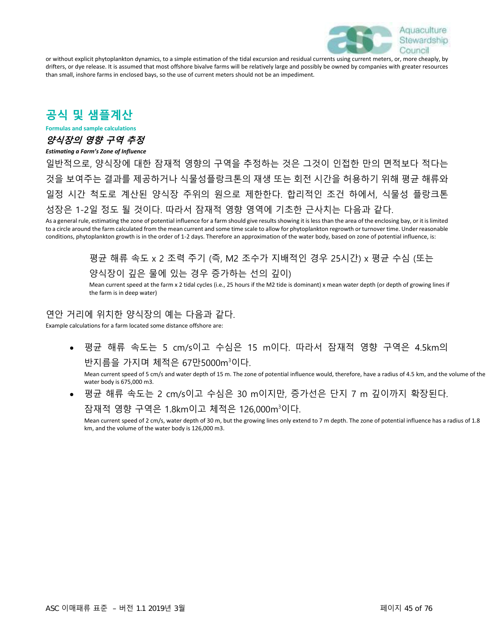

or without explicit phytoplankton dynamics, to a simple estimation of the tidal excursion and residual currents using current meters, or, more cheaply, by drifters, or dye release. It is assumed that most offshore bivalve farms will be relatively large and possibly be owned by companies with greater resources than small, inshore farms in enclosed bays, so the use of current meters should not be an impediment.

# **공식 및 샘플계산**

**Formulas and sample calculations**

### **양식장의 영향 구역 추정**

#### *Estimating a Farm's Zone of Influence*

일반적으로, 양식장에 대한 잠재적 영향의 구역을 추정하는 것은 그것이 인접한 만의 면적보다 적다는 것을 보여주는 결과를 제공하거나 식물성플랑크톤의 재생 또는 회전 시간을 허용하기 위해 평균 해류와 일정 시간 척도로 계산된 양식장 주위의 원으로 제한한다. 합리적인 조건 하에서, 식물성 플랑크톤 성장은 1-2일 정도 될 것이다. 따라서 잠재적 영향 영역에 기초한 근사치는 다음과 같다.

As a general rule, estimating the zone of potential influence for a farm should give results showing it is less than the area of the enclosing bay, or it is limited to a circle around the farm calculated from the mean current and some time scale to allow for phytoplankton regrowth or turnover time. Under reasonable conditions, phytoplankton growth is in the order of 1-2 days. Therefore an approximation of the water body, based on zone of potential influence, is:

> 평균 해류 속도 x 2 조력 주기 (즉, M2 조수가 지배적인 경우 25시간) x 평균 수심 (또는 양식장이 깊은 물에 있는 경우 증가하는 선의 깊이)

Mean current speed at the farm x 2 tidal cycles (i.e., 25 hours if the M2 tide is dominant) x mean water depth (or depth of growing lines if the farm is in deep water)

#### 연안 거리에 위치한 양식장의 예는 다음과 같다.

Example calculations for a farm located some distance offshore are:

• 평균 해류 속도는 5 cm/s이고 수심은 15 m이다. 따라서 잠재적 영향 구역은 4.5km의 반지름을 가지며 체적은 67만5000m<sup>3</sup>이다.

Mean current speed of 5 cm/s and water depth of 15 m. The zone of potential influence would, therefore, have a radius of 4.5 km, and the volume of the water body is 675,000 m3.

• 평균 해류 속도는 2 cm/s이고 수심은 30 m이지만, 증가선은 단지 7 m 깊이까지 확장된다.

#### 잠재적 영향 구역은 1.8km이고 체적은 126,000m<sup>3</sup>이다.

Mean current speed of 2 cm/s, water depth of 30 m, but the growing lines only extend to 7 m depth. The zone of potential influence has a radius of 1.8 km, and the volume of the water body is 126,000 m3.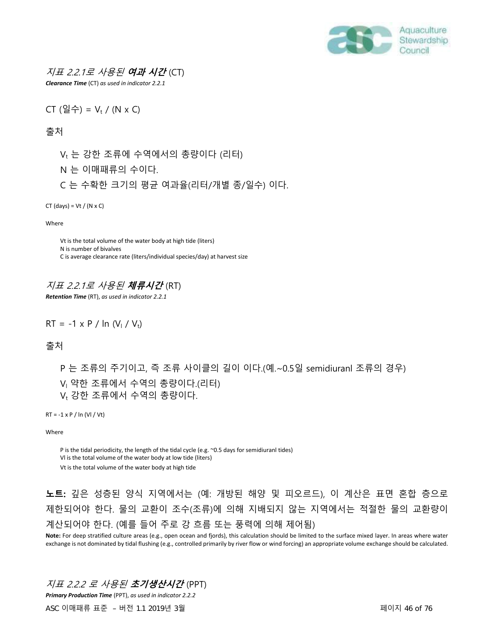

### 지표 2.2.1로 사용된 **여과 시간** (CT)

*Clearance Time* (CT) *as used in indicator 2.2.1*

CT 
$$
(\mathcal{Q} \triangleq)
$$
 = V<sub>t</sub> / (N x C)

출처

 $V_t$  는 강한 조류에 수역에서의 총량이다 (리터)

- N 는 이매패류의 수이다.
- C 는 수확한 크기의 평균 여과율(리터/개별 종/일수) 이다.

 $CT$  (days) = Vt / (N x C)

Where

Vt is the total volume of the water body at high tide (liters) N is number of bivalves C is average clearance rate (liters/individual species/day) at harvest size

### 지표 2.2.1로 사용된 **체류시간** (RT)

*Retention Time* (RT), *as used in indicator 2.2.1* 

 $RT = -1 \times P / ln (V_1 / V_1)$ 

출처

P 는 조류의 주기이고, 즉 조류 사이클의 길이 이다.(예.~0.5일 semidiuranl 조류의 경우) V<sub>I</sub> 약한 조류에서 수역의 총량이다.(리터) V<sub>t</sub> 강한 조류에서 수역의 총량이다.

 $RT = -1 \times P / \ln (VI / Vt)$ 

Where

P is the tidal periodicity, the length of the tidal cycle (e.g. ~0.5 days for semidiuranl tides) Vl is the total volume of the water body at low tide (liters)

Vt is the total volume of the water body at high tide

## **노트:** 깊은 성층된 양식 지역에서는 (예: 개방된 해양 및 피오르드), 이 계산은 표면 혼합 층으로 제한되어야 한다. 물의 교환이 조수(조류)에 의해 지배되지 않는 지역에서는 적절한 물의 교환량이 계산되어야 한다. (예를 들어 주로 강 흐름 또는 풍력에 의해 제어됨)

**Note:** For deep stratified culture areas (e.g., open ocean and fjords), this calculation should be limited to the surface mixed layer. In areas where water exchange is not dominated by tidal flushing (e.g., controlled primarily by river flow or wind forcing) an appropriate volume exchange should be calculated.

### 지표 2.2.2 로 사용된 **초기생산시간** (PPT)

*Primary Production Time* (PPT), *as used in indicator 2.2.2*

ASC 이매패류 표준 – 버전 1.1 2019년 3월 페이지 46 of 76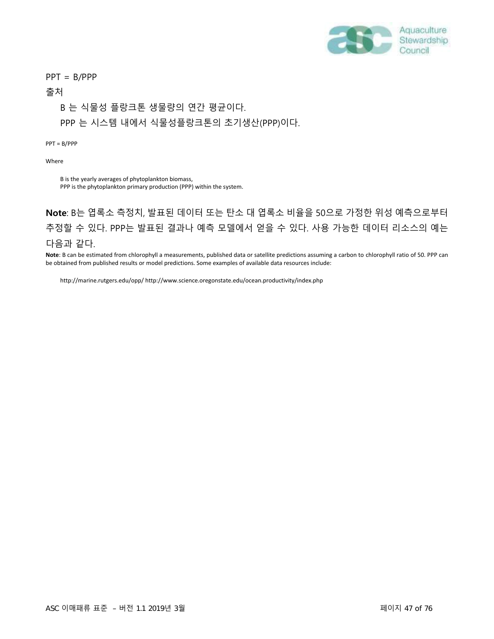

PPT = B/PPP

#### 출처

#### B 는 식물성 플랑크톤 생물량의 연간 평균이다.

PPP 는 시스템 내에서 식물성플랑크톤의 초기생산(PPP)이다.

PPT = B/PPP

Where

B is the yearly averages of phytoplankton biomass, PPP is the phytoplankton primary production (PPP) within the system.

**Note**: B는 엽록소 측정치, 발표된 데이터 또는 탄소 대 엽록소 비율을 50으로 가정한 위성 예측으로부터 추정할 수 있다. PPP는 발표된 결과나 예측 모델에서 얻을 수 있다. 사용 가능한 데이터 리소스의 예는 다음과 같다.

**Note**: B can be estimated from chlorophyll a measurements, published data or satellite predictions assuming a carbon to chlorophyll ratio of 50. PPP can be obtained from published results or model predictions. Some examples of available data resources include:

<http://marine.rutgers.edu/opp/> <http://www.science.oregonstate.edu/ocean.productivity/index.php>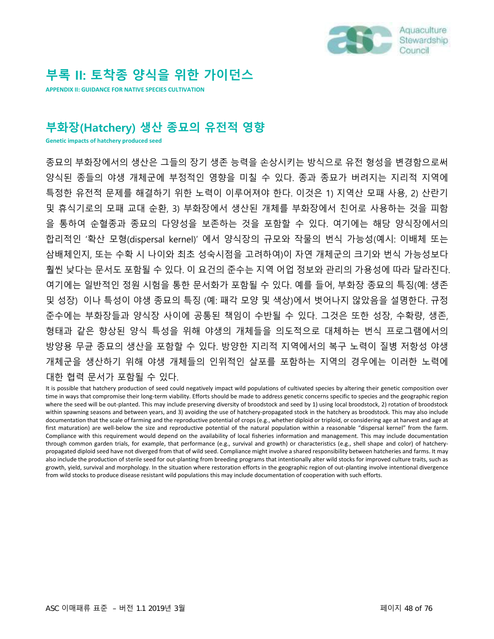

# **부록 II: 토착종 양식을 위한 가이던스**

**APPENDIX II: GUIDANCE FOR NATIVE SPECIES CULTIVATION**

# **부화장(Hatchery) 생산 종묘의 유전적 영향**

**Genetic impacts of hatchery produced seed**

종묘의 부화장에서의 생산은 그들의 장기 생존 능력을 손상시키는 방식으로 유전 형성을 변경함으로써 양식된 종들의 야생 개체군에 부정적인 영향을 미칠 수 있다. 종과 종묘가 버려지는 지리적 지역에 특정한 유전적 문제를 해결하기 위한 노력이 이루어져야 한다. 이것은 1) 지역산 모패 사용, 2) 산란기 및 휴식기로의 모패 교대 순환, 3) 부화장에서 생산된 개체를 부화장에서 친어로 사용하는 것을 피함 을 통하여 순혈종과 종묘의 다양성을 보존하는 것을 포함할 수 있다. 여기에는 해당 양식장에서의 합리적인 '확산 모형(dispersal kernel)' 에서 양식장의 규모와 작물의 번식 가능성(예시: 이배체 또는 삼배체인지, 또는 수확 시 나이와 최초 성숙시점을 고려하여)이 자연 개체군의 크기와 번식 가능성보다 훨씬 낮다는 문서도 포함될 수 있다. 이 요건의 준수는 지역 어업 정보와 관리의 가용성에 따라 달라진다. 여기에는 일반적인 정원 시험을 통한 문서화가 포함될 수 있다. 예를 들어, 부화장 종묘의 특징(예: 생존 및 성장) 이나 특성이 야생 종묘의 특징 (예: 패각 모양 및 색상)에서 벗어나지 않았음을 설명한다. 규정 준수에는 부화장들과 양식장 사이에 공통된 책임이 수반될 수 있다. 그것은 또한 성장, 수확량, 생존, 형태과 같은 향상된 양식 특성을 위해 야생의 개체들을 의도적으로 대체하는 번식 프로그램에서의 방양용 무균 종묘의 생산을 포함할 수 있다. 방양한 지리적 지역에서의 복구 노력이 질병 저항성 야생 개체군을 생산하기 위해 야생 개체들의 인위적인 살포를 포함하는 지역의 경우에는 이러한 노력에 대한 협력 문서가 포함될 수 있다.

It is possible that hatchery production of seed could negatively impact wild populations of cultivated species by altering their genetic composition over time in ways that compromise their long-term viability. Efforts should be made to address genetic concerns specific to species and the geographic region where the seed will be out-planted. This may include preserving diversity of broodstock and seed by 1) using local broodstock, 2) rotation of broodstock within spawning seasons and between years, and 3) avoiding the use of hatchery-propagated stock in the hatchery as broodstock. This may also include documentation that the scale of farming and the reproductive potential of crops (e.g., whether diploid or triploid, or considering age at harvest and age at first maturation) are well-below the size and reproductive potential of the natural population within a reasonable "dispersal kernel" from the farm. Compliance with this requirement would depend on the availability of local fisheries information and management. This may include documentation through common garden trials, for example, that performance (e.g., survival and growth) or characteristics (e.g., shell shape and color) of hatcherypropagated diploid seed have not diverged from that of wild seed. Compliance might involve a shared responsibility between hatcheries and farms. It may also include the production of sterile seed for out-planting from breeding programs that intentionally alter wild stocks for improved culture traits, such as growth, yield, survival and morphology. In the situation where restoration efforts in the geographic region of out-planting involve intentional divergence from wild stocks to produce disease resistant wild populations this may include documentation of cooperation with such efforts.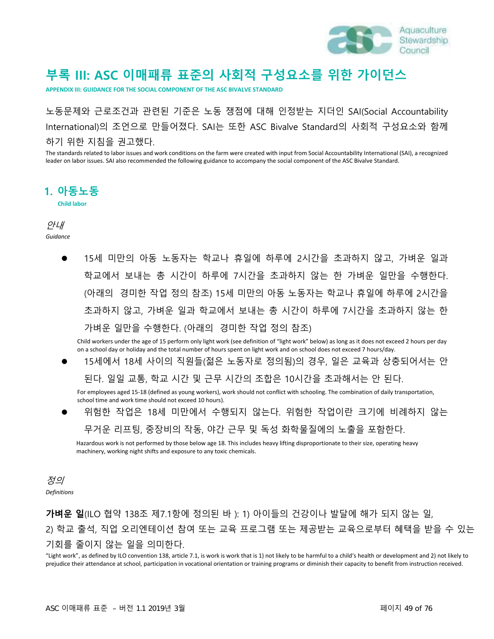

# **부록 III: ASC 이매패류 표준의 사회적 구성요소를 위한 가이던스**

**APPENDIX III: GUIDANCE FOR THE SOCIAL COMPONENT OF THE ASC BIVALVE STANDARD**

노동문제와 근로조건과 관련된 기준은 노동 쟁점에 대해 인정받는 지더인 SAI(Social Accountability International)의 조언으로 만들어졌다. SAI는 또한 ASC Bivalve Standard의 사회적 구성요소와 함께 하기 위한 지침을 권고했다.

The standards related to labor issues and work conditions on the farm were created with input from Social Accountability International (SAI), a recognized leader on labor issues. SAI also recommended the following guidance to accompany the social component of the ASC Bivalve Standard.

### **1. 아동노동**

**Child labor**

안내 *Guidance*

> ● 15세 미만의 아동 노동자는 학교나 휴일에 하루에 2시간을 초과하지 않고, 가벼운 일과 학교에서 보내는 총 시간이 하루에 7시간을 초과하지 않는 한 가벼운 일만을 수행한다. (아래의 경미한 작업 정의 참조) 15세 미만의 아동 노동자는 학교나 휴일에 하루에 2시간을 초과하지 않고, 가벼운 일과 학교에서 보내는 총 시간이 하루에 7시간을 초과하지 않는 한 가벼운 일만을 수행한다. (아래의 경미한 작업 정의 참조)

Child workers under the age of 15 perform only light work (see definition of "light work" below) as long as it does not exceed 2 hours per day on a school day or holiday and the total number of hours spent on light work and on school does not exceed 7 hours/day.

⚫ 15세에서 18세 사이의 직원들(젊은 노동자로 정의됨)의 경우, 일은 교육과 상충되어서는 안

된다. 일일 교통, 학교 시간 및 근무 시간의 조합은 10시간을 초과해서는 안 된다.

For employees aged 15-18 (defined as young workers), work should not conflict with schooling. The combination of daily transportation, school time and work time should not exceed 10 hours).

⚫ 위험한 작업은 18세 미만에서 수행되지 않는다. 위험한 작업이란 크기에 비례하지 않는 무거운 리프팅, 중장비의 작동, 야간 근무 및 독성 화학물질에의 노출을 포함한다.

Hazardous work is not performed by those below age 18. This includes heavy lifting disproportionate to their size, operating heavy machinery, working night shifts and exposure to any toxic chemicals.

정의 *Definitions*

**가벼운 일**(ILO 협약 138조 제7.1항에 정의된 바 ): 1) 아이들의 건강이나 발달에 해가 되지 않는 일, 2) 학교 출석, 직업 오리엔테이션 참여 또는 교육 프로그램 또는 제공받는 교육으로부터 혜택을 받을 수 있는 기회를 줄이지 않는 일을 의미한다.

"Light work", as defined by ILO convention 138, article 7.1, is work is work that is 1) not likely to be harmful to a child's health or development and 2) not likely to prejudice their attendance at school, participation in vocational orientation or training programs or diminish their capacity to benefit from instruction received.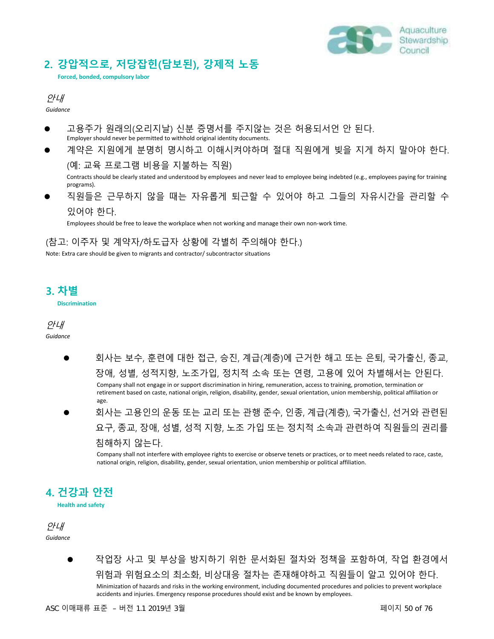

## **2. 강압적으로, 저당잡힌(담보된), 강제적 노동**

**Forced, bonded, compulsory labor**

안내

*Guidance*

- ⚫ 고용주가 원래의(오리지날) 신분 증명서를 주지않는 것은 허용되서언 안 된다. Employer should never be permitted to withhold original identity documents.
- 계약은 지원에게 분명히 명시하고 이해시켜야하며 절대 직원에게 빚을 지게 하지 말아야 한다. (예: 교육 프로그램 비용을 지불하는 직원)

Contracts should be clearly stated and understood by employees and never lead to employee being indebted (e.g., employees paying for training programs).

⚫ 직원들은 근무하지 않을 때는 자유롭게 퇴근할 수 있어야 하고 그들의 자유시간을 관리할 수 있어야 한다.

Employees should be free to leave the workplace when not working and manage their own non-work time.

(참고: 이주자 및 계약자/하도급자 상황에 각별히 주의해야 한다.)

Note: Extra care should be given to migrants and contractor/ subcontractor situations

### **3. 차별**

**Discrimination**

#### 안내 *Guidance*

- ⚫ 회사는 보수, 훈련에 대한 접근, 승진, 계급(계층)에 근거한 해고 또는 은퇴, 국가출신, 종교, 장애, 성별, 성적지향, 노조가입, 정치적 소속 또는 연령, 고용에 있어 차별해서는 안된다. Company shall not engage in or support discrimination in hiring, remuneration, access to training, promotion, termination or retirement based on caste, national origin, religion, disability, gender, sexual orientation, union membership, political affiliation or age.
- ⚫ 회사는 고용인의 운동 또는 교리 또는 관행 준수, 인종, 계급(계층), 국가출신, 선거와 관련된 요구, 종교, 장애, 성별, 성적 지향, 노조 가입 또는 정치적 소속과 관련하여 직원들의 권리를 침해하지 않는다.

Company shall not interfere with employee rights to exercise or observe tenets or practices, or to meet needs related to race, caste, national origin, religion, disability, gender, sexual orientation, union membership or political affiliation.

# **4. 건강과 안전**

**Health and safety**

안내 *Guidance*

> ⚫ 작업장 사고 및 부상을 방지하기 위한 문서화된 절차와 정책을 포함하여, 작업 환경에서 위험과 위험요소의 최소화, 비상대응 절차는 존재해야하고 직원들이 알고 있어야 한다. Minimization of hazards and risks in the working environment, including documented procedures and policies to prevent workplace accidents and injuries. Emergency response procedures should exist and be known by employees.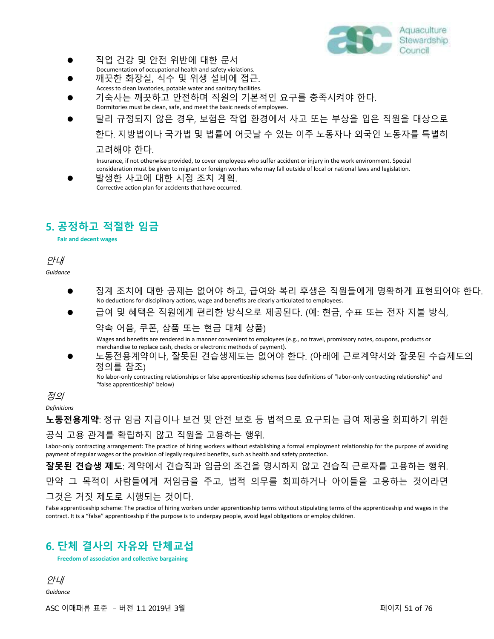

- ⚫ 직업 건강 및 안전 위반에 대한 문서
- Documentation of occupational health and safety violations. ⚫ 깨끗한 화장실, 식수 및 위생 설비에 접근. Access to clean lavatories, potable water and sanitary facilities.
- ⚫ 기숙사는 깨끗하고 안전하며 직원의 기본적인 요구를 충족시켜야 한다. Dormitories must be clean, safe, and meet the basic needs of employees.
- ⚫ 달리 규정되지 않은 경우, 보험은 작업 환경에서 사고 또는 부상을 입은 직원을 대상으로 한다. 지방법이나 국가법 및 법률에 어긋날 수 있는 이주 노동자나 외국인 노동자를 특별히 고려해야 한다.

Insurance, if not otherwise provided, to cover employees who suffer accident or injury in the work environment. Special consideration must be given to migrant or foreign workers who may fall outside of local or national laws and legislation.

⚫ 발생한 사고에 대한 시정 조치 계획. Corrective action plan for accidents that have occurred.

# **5. 공정하고 적절한 임금**

**Fair and decent wages**

안내

*Guidance*

- ⚫ 징계 조치에 대한 공제는 없어야 하고, 급여와 복리 후생은 직원들에게 명확하게 표현되어야 한다. No deductions for disciplinary actions, wage and benefits are clearly articulated to employees.
- ⚫ 급여 및 혜택은 직원에게 편리한 방식으로 제공된다. (예: 현금, 수표 또는 전자 지불 방식,
	- 약속 어음, 쿠폰, 상품 또는 현금 대체 상품)

Wages and benefits are rendered in a manner convenient to employees (e.g., no travel, promissory notes, coupons, products or merchandise to replace cash, checks or electronic methods of payment).

⚫ 노동전용계약이나, 잘못된 견습생제도는 없어야 한다. (아래에 근로계약서와 잘못된 수습제도의 정의를 참조)

No labor-only contracting relationships or false apprenticeship schemes (see definitions of "labor-only contracting relationship" and "false apprenticeship" below)

#### 정의

*Definitions*

**노동전용계약**: 정규 임금 지급이나 보건 및 안전 보호 등 법적으로 요구되는 급여 제공을 회피하기 위한 공식 고용 관계를 확립하지 않고 직원을 고용하는 행위.

Labor-only contracting arrangement: The practice of hiring workers without establishing a formal employment relationship for the purpose of avoiding payment of regular wages or the provision of legally required benefits, such as health and safety protection.

**잘못된 견습생 제도**: 계약에서 견습직과 임금의 조건을 명시하지 않고 견습직 근로자를 고용하는 행위. 만약 그 목적이 사람들에게 저임금을 주고, 법적 의무를 회피하거나 아이들을 고용하는 것이라면 그것은 거짓 제도로 시행되는 것이다.

False apprenticeship scheme: The practice of hiring workers under apprenticeship terms without stipulating terms of the apprenticeship and wages in the contract. It is a "false" apprenticeship if the purpose is to underpay people, avoid legal obligations or employ children.

# **6. 단체 결사의 자유와 단체교섭**

**Freedom of association and collective bargaining**

안내 *Guidance*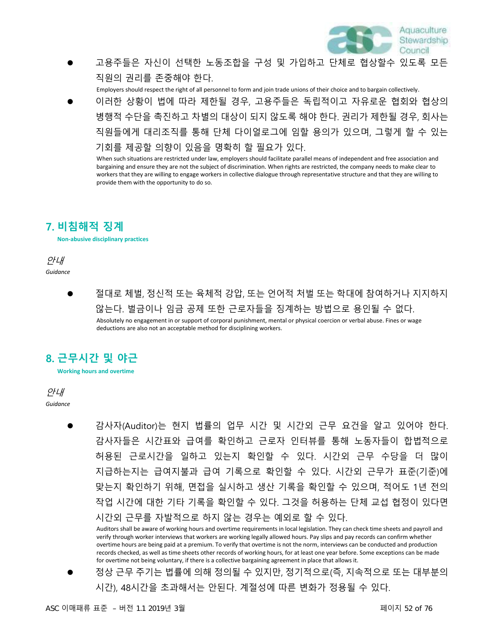

⚫ 고용주들은 자신이 선택한 노동조합을 구성 및 가입하고 단체로 협상할수 있도록 모든 직원의 권리를 존중해야 한다.

Employers should respect the right of all personnel to form and join trade unions of their choice and to bargain collectively.

⚫ 이러한 상황이 법에 따라 제한될 경우, 고용주들은 독립적이고 자유로운 협회와 협상의 병행적 수단을 촉진하고 차별의 대상이 되지 않도록 해야 한다. 권리가 제한될 경우, 회사는 직원들에게 대리조직를 통해 단체 다이얼로그에 임할 용의가 있으며, 그렇게 할 수 있는 기회를 제공할 의향이 있음을 명확히 할 필요가 있다.

When such situations are restricted under law, employers should facilitate parallel means of independent and free association and bargaining and ensure they are not the subject of discrimination. When rights are restricted, the company needs to make clear to workers that they are willing to engage workers in collective dialogue through representative structure and that they are willing to provide them with the opportunity to do so.

## **7. 비침해적 징계**

**Non-abusive disciplinary practices**

안내 *Guidance*

> ⚫ 절대로 체벌, 정신적 또는 육체적 강압, 또는 언어적 처벌 또는 학대에 참여하거나 지지하지 않는다. 벌금이나 임금 공제 또한 근로자들을 징계하는 방법으로 용인될 수 없다. Absolutely no engagement in or support of corporal punishment, mental or physical coercion or verbal abuse. Fines or wage deductions are also not an acceptable method for disciplining workers.

## **8. 근무시간 및 야근**

안내 *Guidance*

> ⚫ 감사자(Auditor)는 현지 법률의 업무 시간 및 시간외 근무 요건을 알고 있어야 한다. 감사자들은 시간표와 급여를 확인하고 근로자 인터뷰를 통해 노동자들이 합법적으로 허용된 근로시간을 일하고 있는지 확인할 수 있다. 시간외 근무 수당을 더 많이 지급하는지는 급여지불과 급여 기록으로 확인할 수 있다. 시간외 근무가 표준(기준)에 맞는지 확인하기 위해, 면접을 실시하고 생산 기록을 확인할 수 있으며, 적어도 1년 전의 작업 시간에 대한 기타 기록을 확인할 수 있다. 그것을 허용하는 단체 교섭 협정이 있다면 시간외 근무를 자발적으로 하지 않는 경우는 예외로 할 수 있다.

Auditors shall be aware of working hours and overtime requirements in local legislation. They can check time sheets and payroll and verify through worker interviews that workers are working legally allowed hours. Pay slips and pay records can confirm whether overtime hours are being paid at a premium. To verify that overtime is not the norm, interviews can be conducted and production records checked, as well as time sheets other records of working hours, for at least one year before. Some exceptions can be made for overtime not being voluntary, if there is a collective bargaining agreement in place that allows it.

⚫ 정상 근무 주기는 법률에 의해 정의될 수 있지만, 정기적으로(즉, 지속적으로 또는 대부분의 시간), 48시간을 초과해서는 안된다. 계절성에 따른 변화가 정용될 수 있다.

**Working hours and overtime**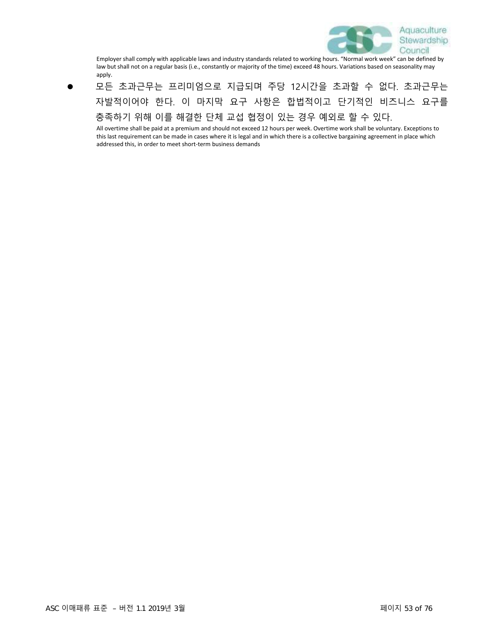

Employer shall comply with applicable laws and industry standards related to working hours. "Normal work week" can be defined by law but shall not on a regular basis (i.e., constantly or majority of the time) exceed 48 hours. Variations based on seasonality may apply.

⚫ 모든 초과근무는 프리미엄으로 지급되며 주당 12시간을 초과할 수 없다. 초과근무는 자발적이어야 한다. 이 마지막 요구 사항은 합법적이고 단기적인 비즈니스 요구를 충족하기 위해 이를 해결한 단체 교섭 협정이 있는 경우 예외로 할 수 있다.

All overtime shall be paid at a premium and should not exceed 12 hours per week. Overtime work shall be voluntary. Exceptions to this last requirement can be made in cases where it is legal and in which there is a collective bargaining agreement in place which addressed this, in order to meet short-term business demands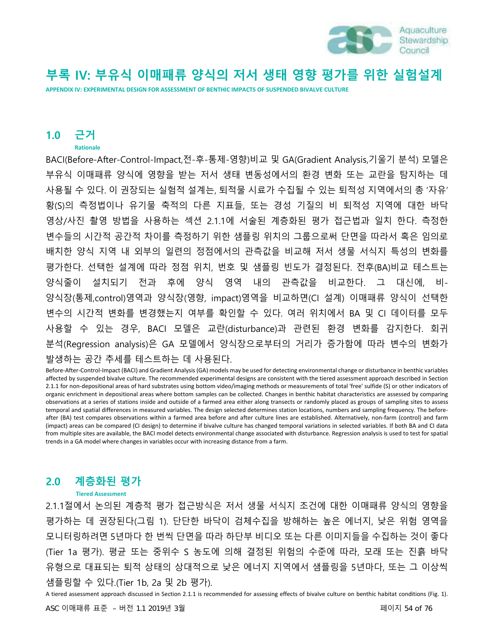

# **부록 IV: 부유식 이매패류 양식의 저서 생태 영향 평가를 위한 실험설계**

**APPENDIX IV: EXPERIMENTAL DESIGN FOR ASSESSMENT OF BENTHIC IMPACTS OF SUSPENDED BIVALVE CULTURE**

### **1.0 근거**

#### **Rationale**

BACI(Before-After-Control-Impact,전-후-통제-영향)비교 및 GA(Gradient Analysis,기울기 분석) 모델은 부유식 이매패류 양식에 영향을 받는 저서 생태 변동성에서의 환경 변화 또는 교란을 탐지하는 데 사용될 수 있다. 이 권장되는 실험적 설계는, 퇴적물 시료가 수집될 수 있는 퇴적성 지역에서의 총 '자유' 황(S)의 측정법이나 유기물 축적의 다른 지표들, 또는 경성 기질의 비 퇴적성 지역에 대한 바닥 영상/사진 촬영 방법을 사용하는 섹션 2.1.1에 서술된 계층화된 평가 접근법과 일치 한다. 측정한 변수들의 시간적 공간적 차이를 측정하기 위한 샘플링 위치의 그룹으로써 단면을 따라서 혹은 임의로 배치한 양식 지역 내 외부의 일련의 정점에서의 관측값을 비교해 저서 생물 서식지 특성의 변화를 평가한다. 선택한 설계에 따라 정점 위치, 번호 및 샘플링 빈도가 결정된다. 전후(BA)비교 테스트는 양식줄이 설치되기 전과 후에 양식 영역 내의 관측값을 비교한다. 그 대신에, 비-양식장(통제,control)영역과 양식장(영향, impact)영역을 비교하면(CI 설계) 이매패류 양식이 선택한 변수의 시간적 변화를 변경했는지 여부를 확인할 수 있다. 여러 위치에서 BA 및 CI 데이터를 모두 사용할 수 있는 경우, BACI 모델은 교란(disturbance)과 관련된 환경 변화를 감지한다. 회귀 분석(Regression analysis)은 GA 모델에서 양식장으로부터의 거리가 증가함에 따라 변수의 변화가 발생하는 공간 추세를 테스트하는 데 사용된다.

Before-After-Control-Impact (BACI) and Gradient Analysis (GA) models may be used for detecting environmental change or disturbance in benthic variables affected by suspended bivalve culture. The recommended experimental designs are consistent with the tiered assessment approach described in Section 2.1.1 for non-depositional areas of hard substrates using bottom video/imaging methods or measurements of total 'free' sulfide (S) or other indicators of organic enrichment in depositional areas where bottom samples can be collected. Changes in benthic habitat characteristics are assessed by comparing observations at a series of stations inside and outside of a farmed area either along transects or randomly placed as groups of sampling sites to assess temporal and spatial differences in measured variables. The design selected determines station locations, numbers and sampling frequency. The beforeafter (BA) test compares observations within a farmed area before and after culture lines are established. Alternatively, non-farm (control) and farm (impact) areas can be compared (CI design) to determine if bivalve culture has changed temporal variations in selected variables. If both BA and CI data from multiple sites are available, the BACI model detects environmental change associated with disturbance. Regression analysis is used to test for spatial trends in a GA model where changes in variables occur with increasing distance from a farm.

### **2.0 계층화된 평가**

#### **Tiered Assessment**

2.1.1절에서 논의된 계층적 평가 접근방식은 저서 생물 서식지 조건에 대한 이매패류 양식의 영향을 평가하는 데 권장된다(그림 1). 단단한 바닥이 검체수집을 방해하는 높은 에너지, 낮은 위험 영역을 모니터링하려면 5년마다 한 번씩 단면을 따라 하단부 비디오 또는 다른 이미지들을 수집하는 것이 좋다 (Tier 1a 평가). 평균 또는 중위수 S 농도에 의해 결정된 위험의 수준에 따라, 모래 또는 진흙 바닥 유형으로 대표되는 퇴적 상태의 상대적으로 낮은 에너지 지역에서 샘플링을 5년마다, 또는 그 이상씩 샘플링할 수 있다.(Tier 1b, 2a 및 2b 평가).

A tiered assessment approach discussed in Section 2.1.1 is recommended for assessing effects of bivalve culture on benthic habitat conditions (Fig. 1).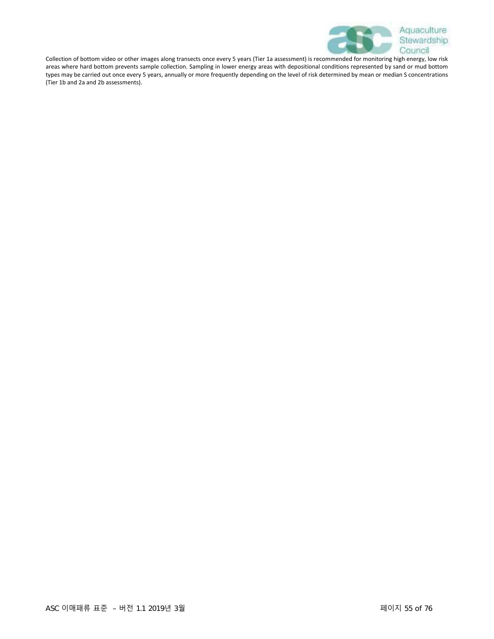

Collection of bottom video or other images along transects once every 5 years (Tier 1a assessment) is recommended for monitoring high energy, low risk areas where hard bottom prevents sample collection. Sampling in lower energy areas with depositional conditions represented by sand or mud bottom types may be carried out once every 5 years, annually or more frequently depending on the level of risk determined by mean or median S concentrations (Tier 1b and 2a and 2b assessments).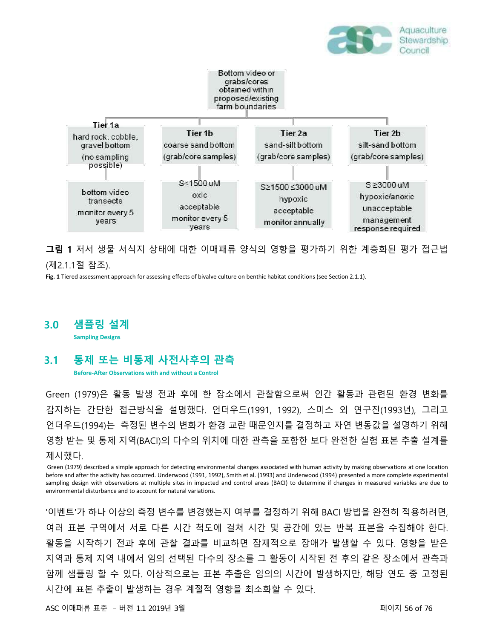



**그림 1** 저서 생물 서식지 상태에 대한 이매패류 양식의 영향을 평가하기 위한 계층화된 평가 접근법 (제2.1.1절 참조).

**Fig. 1** Tiered assessment approach for assessing effects of bivalve culture on benthic habitat conditions (see Section 2.1.1).

**3.0 샘플링 설계**

**Sampling Designs**

### **3.1 통제 또는 비통제 사전사후의 관측**

**Before-After Observations with and without a Control**

Green (1979)은 활동 발생 전과 후에 한 장소에서 관찰함으로써 인간 활동과 관련된 환경 변화를 감지하는 간단한 접근방식을 설명했다. 언더우드(1991, 1992), 스미스 외 연구진(1993년), 그리고 언더우드(1994)는 측정된 변수의 변화가 환경 교란 때문인지를 결정하고 자연 변동값을 설명하기 위해 영향 받는 및 통제 지역(BACI)의 다수의 위치에 대한 관측을 포함한 보다 완전한 실험 표본 추출 설계를 제시했다.

Green (1979) described a simple approach for detecting environmental changes associated with human activity by making observations at one location before and after the activity has occurred. Underwood (1991, 1992), Smith et al. (1993) and Underwood (1994) presented a more complete experimental sampling design with observations at multiple sites in impacted and control areas (BACI) to determine if changes in measured variables are due to environmental disturbance and to account for natural variations.

'이벤트'가 하나 이상의 측정 변수를 변경했는지 여부를 결정하기 위해 BACI 방법을 완전히 적용하려면, 여러 표본 구역에서 서로 다른 시간 척도에 걸쳐 시간 및 공간에 있는 반복 표본을 수집해야 한다. 활동을 시작하기 전과 후에 관찰 결과를 비교하면 잠재적으로 장애가 발생할 수 있다. 영향을 받은 지역과 통제 지역 내에서 임의 선택된 다수의 장소를 그 활동이 시작된 전 후의 같은 장소에서 관측과 함께 샘플링 할 수 있다. 이상적으로는 표본 추출은 임의의 시간에 발생하지만, 해당 연도 중 고정된 시간에 표본 추출이 발생하는 경우 계절적 영향을 최소화할 수 있다.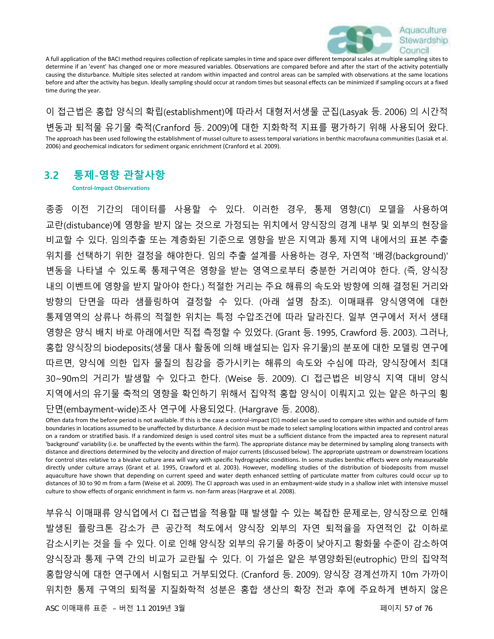

A full application of the BACI method requires collection of replicate samples in time and space over different temporal scales at multiple sampling sites to determine if an 'event' has changed one or more measured variables. Observations are compared before and after the start of the activity potentially causing the disturbance. Multiple sites selected at random within impacted and control areas can be sampled with observations at the same locations before and after the activity has begun. Ideally sampling should occur at random times but seasonal effects can be minimized if sampling occurs at a fixed time during the year.

이 접근법은 홍합 양식의 확립(establishment)에 따라서 대형저서생물 군집(Lasyak 등. 2006) 의 시간적 변동과 퇴적물 유기물 축적(Cranford 등. 2009)에 대한 지화학적 지표를 평가하기 위해 사용되어 왔다. The approach has been used following the establishment of mussel culture to assess temporal variations in benthic macrofauna communities (Lasiak et al. 2006) and geochemical indicators for sediment organic enrichment (Cranford et al. 2009).

### **3.2 통제-영향 관찰사항**

**Control-Impact Observations**

종종 이전 기간의 데이터를 사용할 수 있다. 이러한 경우, 통제 영향(CI) 모델을 사용하여 교란(distubance)에 영향을 받지 않는 것으로 가정되는 위치에서 양식장의 경계 내부 및 외부의 현장을 비교할 수 있다. 임의추출 또는 계층화된 기준으로 영향을 받은 지역과 통제 지역 내에서의 표본 추출 위치를 선택하기 위한 결정을 해야한다. 임의 추출 설계를 사용하는 경우, 자연적 '배경(background)' 변동을 나타낼 수 있도록 통제구역은 영향을 받는 영역으로부터 충분한 거리여야 한다. (즉, 양식장 내의 이벤트에 영향을 받지 말아야 한다.) 적절한 거리는 주요 해류의 속도와 방향에 의해 결정된 거리와 방향의 단면을 따라 샘플링하여 결정할 수 있다. (아래 설명 참조). 이매패류 양식영역에 대한 통제영역의 상류나 하류의 적절한 위치는 특정 수압조건에 따라 달라진다. 일부 연구에서 저서 생태 영향은 양식 배치 바로 아래에서만 직접 측정할 수 있었다. (Grant 등. 1995, Crawford 등. 2003). 그러나, 홍합 양식장의 biodeposits(생물 대사 활동에 의해 배설되는 입자 유기물)의 분포에 대한 모델링 연구에 따르면, 양식에 의한 입자 물질의 침강을 증가시키는 해류의 속도와 수심에 따라, 양식장에서 최대 30~90m의 거리가 발생할 수 있다고 한다. (Weise 등. 2009). CI 접근법은 비양식 지역 대비 양식 지역에서의 유기물 축적의 영향을 확인하기 위해서 집약적 홍합 양식이 이뤄지고 있는 얕은 하구의 횡

단면(embayment-wide)조사 연구에 사용되었다. (Hargrave 등. 2008).

Often data from the before period is not available. If this is the case a control-impact (CI) model can be used to compare sites within and outside of farm boundaries in locations assumed to be unaffected by disturbance. A decision must be made to select sampling locations within impacted and control areas on a random or stratified basis. If a randomized design is used control sites must be a sufficient distance from the impacted area to represent natural 'background' variability (i.e. be unaffected by the events within the farm). The appropriate distance may be determined by sampling along transects with distance and directions determined by the velocity and direction of major currents (discussed below). The appropriate upstream or downstream locations for control sites relative to a bivalve culture area will vary with specific hydrographic conditions. In some studies benthic effects were only measureable directly under culture arrays (Grant et al. 1995, Crawford et al. 2003). However, modelling studies of the distribution of biodeposits from mussel aquaculture have shown that depending on current speed and water depth enhanced settling of particulate matter from cultures could occur up to distances of 30 to 90 m from a farm (Weise et al. 2009). The CI approach was used in an embayment-wide study in a shallow inlet with intensive mussel culture to show effects of organic enrichment in farm vs. non-farm areas (Hargrave et al. 2008).

부유식 이매패류 양식업에서 CI 접근법을 적용할 때 발생할 수 있는 복잡한 문제로는, 양식장으로 인해 발생된 플랑크톤 감소가 큰 공간적 척도에서 양식장 외부의 자연 퇴적율을 자연적인 값 이하로 감소시키는 것을 들 수 있다. 이로 인해 양식장 외부의 유기물 하중이 낮아지고 황화물 수준이 감소하여 양식장과 통제 구역 간의 비교가 교란될 수 있다. 이 가설은 얕은 부영양화된(eutrophic) 만의 집약적 홍합양식에 대한 연구에서 시험되고 거부되었다. (Cranford 등. 2009). 양식장 경계선까지 10m 가까이 위치한 통제 구역의 퇴적물 지질화학적 성분은 홍합 생산의 확장 전과 후에 주요하게 변하지 않은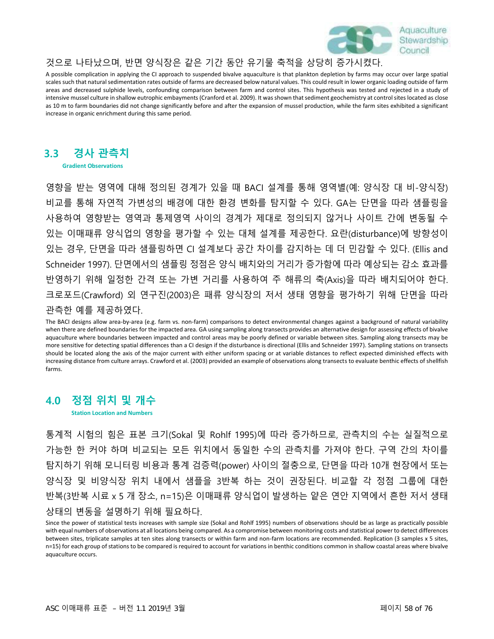

### 것으로 나타났으며, 반면 양식장은 같은 기간 동안 유기물 축적을 상당히 증가시켰다.

A possible complication in applying the CI approach to suspended bivalve aquaculture is that plankton depletion by farms may occur over large spatial scales such that natural sedimentation rates outside of farms are decreased below natural values. This could result in lower organic loading outside of farm areas and decreased sulphide levels, confounding comparison between farm and control sites. This hypothesis was tested and rejected in a study of intensive mussel culture in shallow eutrophic embayments (Cranford et al. 2009). It was shown that sediment geochemistry at control sites located as close as 10 m to farm boundaries did not change significantly before and after the expansion of mussel production, while the farm sites exhibited a significant increase in organic enrichment during this same period.

## **3.3 경사 관측치**

**Gradient Observations**

영향을 받는 영역에 대해 정의된 경계가 있을 때 BACI 설계를 통해 영역별(예: 양식장 대 비-양식장) 비교를 통해 자연적 가변성의 배경에 대한 환경 변화를 탐지할 수 있다. GA는 단면을 따라 샘플링을 사용하여 영향받는 영역과 통제영역 사이의 경계가 제대로 정의되지 않거나 사이트 간에 변동될 수 있는 이매패류 양식업의 영향을 평가할 수 있는 대체 설계를 제공한다. 요란(disturbance)에 방향성이 있는 경우, 단면을 따라 샘플링하면 CI 설계보다 공간 차이를 감지하는 데 더 민감할 수 있다. (Ellis and Schneider 1997). 단면에서의 샘플링 정점은 양식 배치와의 거리가 증가함에 따라 예상되는 감소 효과를 반영하기 위해 일정한 간격 또는 가변 거리를 사용하여 주 해류의 축(Axis)을 따라 배치되어야 한다. 크로포드(Crawford) 외 연구진(2003)은 패류 양식장의 저서 생태 영향을 평가하기 위해 단면을 따라 관측한 예를 제공하였다.

The BACI designs allow area-by-area (e.g. farm vs. non-farm) comparisons to detect environmental changes against a background of natural variability when there are defined boundaries for the impacted area. GA using sampling along transects provides an alternative design for assessing effects of bivalve aquaculture where boundaries between impacted and control areas may be poorly defined or variable between sites. Sampling along transects may be more sensitive for detecting spatial differences than a CI design if the disturbance is directional (Ellis and Schneider 1997). Sampling stations on transects should be located along the axis of the major current with either uniform spacing or at variable distances to reflect expected diminished effects with increasing distance from culture arrays. Crawford et al. (2003) provided an example of observations along transects to evaluate benthic effects of shellfish farms.

## **4.0 정점 위치 및 개수**

**Station Location and Numbers**

통계적 시험의 힘은 표본 크기(Sokal 및 Rohlf 1995)에 따라 증가하므로, 관측치의 수는 실질적으로 가능한 한 커야 하며 비교되는 모든 위치에서 동일한 수의 관측치를 가져야 한다. 구역 간의 차이를 탐지하기 위해 모니터링 비용과 통계 검증력(power) 사이의 절충으로, 단면을 따라 10개 현장에서 또는 양식장 및 비양식장 위치 내에서 샘플을 3반복 하는 것이 권장된다. 비교할 각 정점 그룹에 대한 반복(3반복 시료 x 5 개 장소, n=15)은 이매패류 양식업이 발생하는 얕은 연안 지역에서 흔한 저서 생태 상태의 변동을 설명하기 위해 필요하다.

Since the power of statistical tests increases with sample size (Sokal and Rohlf 1995) numbers of observations should be as large as practically possible with equal numbers of observations at all locations being compared. As a compromise between monitoring costs and statistical power to detect differences between sites, triplicate samples at ten sites along transects or within farm and non-farm locations are recommended. Replication (3 samples x 5 sites, n=15) for each group of stations to be compared is required to account for variations in benthic conditions common in shallow coastal areas where bivalve aquaculture occurs.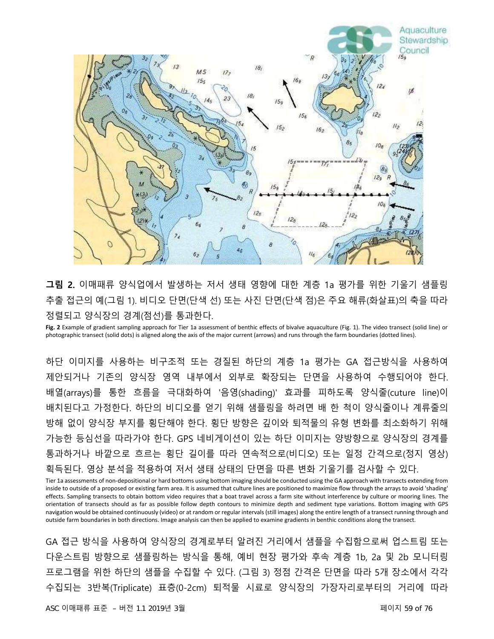

**그림 2.** 이매패류 양식업에서 발생하는 저서 생태 영향에 대한 계층 1a 평가를 위한 기울기 샘플링 추출 접근의 예(그림 1). 비디오 단면(단색 선) 또는 사진 단면(단색 점)은 주요 해류(화살표)의 축을 따라 정렬되고 양식장의 경계(점선)를 통과한다.

**Fig. 2** Example of gradient sampling approach for Tier 1a assessment of benthic effects of bivalve aquaculture (Fig. 1). The video transect (solid line) or photographic transect (solid dots) is aligned along the axis of the major current (arrows) and runs through the farm boundaries (dotted lines).

하단 이미지를 사용하는 비구조적 또는 경질된 하단의 계층 1a 평가는 GA 접근방식을 사용하여 제안되거나 기존의 양식장 영역 내부에서 외부로 확장되는 단면을 사용하여 수행되어야 한다. 배열(arrays)를 통한 흐름을 극대화하여 '음영(shading)' 효과를 피하도록 양식줄(cuture line)이 배치된다고 가정한다. 하단의 비디오를 얻기 위해 샘플링을 하려면 배 한 척이 양식줄이나 계류줄의 방해 없이 양식장 부지를 횡단해야 한다. 횡단 방향은 깊이와 퇴적물의 유형 변화를 최소화하기 위해 가능한 등심선을 따라가야 한다. GPS 네비게이션이 있는 하단 이미지는 양방향으로 양식장의 경계를 통과하거나 바깥으로 흐르는 횡단 길이를 따라 연속적으로(비디오) 또는 일정 간격으로(정지 영상) 획득된다. 영상 분석을 적용하여 저서 생태 상태의 단면을 따른 변화 기울기를 검사할 수 있다.

Tier 1a assessments of non-depositional or hard bottoms using bottom imaging should be conducted using the GA approach with transects extending from inside to outside of a proposed or existing farm area. It is assumed that culture lines are positioned to maximize flow through the arrays to avoid 'shading' effects. Sampling transects to obtain bottom video requires that a boat travel across a farm site without interference by culture or mooring lines. The orientation of transects should as far as possible follow depth contours to minimize depth and sediment type variations. Bottom imaging with GPS navigation would be obtained continuously (video) or at random or regular intervals (still images) along the entire length of a transect running through and outside farm boundaries in both directions. Image analysis can then be applied to examine gradients in benthic conditions along the transect.

GA 접근 방식을 사용하여 양식장의 경계로부터 알려진 거리에서 샘플을 수집함으로써 업스트림 또는 다운스트림 방향으로 샘플링하는 방식을 통해, 예비 현장 평가와 후속 계층 1b, 2a 및 2b 모니터링 프로그램을 위한 하단의 샘플을 수집할 수 있다. (그림 3) 정점 간격은 단면을 따라 5개 장소에서 각각 수집되는 3반복(Triplicate) 표층(0-2cm) 퇴적물 시료로 양식장의 가장자리로부터의 거리에 따라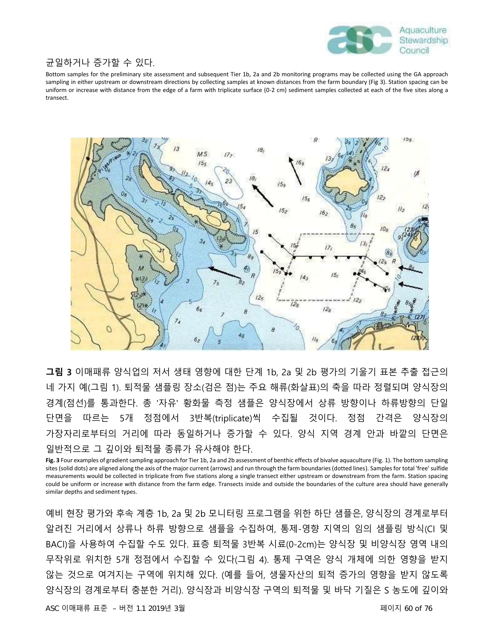

### 균일하거나 증가할 수 있다.

Bottom samples for the preliminary site assessment and subsequent Tier 1b, 2a and 2b monitoring programs may be collected using the GA approach sampling in either upstream or downstream directions by collecting samples at known distances from the farm boundary (Fig 3). Station spacing can be uniform or increase with distance from the edge of a farm with triplicate surface (0-2 cm) sediment samples collected at each of the five sites along a transect.



**그림 3** 이매패류 양식업의 저서 생태 영향에 대한 단계 1b, 2a 및 2b 평가의 기울기 표본 추출 접근의 네 가지 예(그림 1). 퇴적물 샘플링 장소(검은 점)는 주요 해류(화살표)의 축을 따라 정렬되며 양식장의 경계(점선)를 통과한다. 총 '자유' 황화물 측정 샘플은 양식장에서 상류 방향이나 하류방향의 단일 단면을 따르는 5개 정점에서 3반복(triplicate)씩 수집될 것이다. 정점 간격은 양식장의 가장자리로부터의 거리에 따라 동일하거나 증가할 수 있다. 양식 지역 경계 안과 바깥의 단면은 일반적으로 그 깊이와 퇴적물 종류가 유사해야 한다.

**Fig. 3** Four examples of gradient sampling approach for Tier 1b, 2a and 2b assessment of benthic effects of bivalve aquaculture (Fig. 1). The bottom sampling sites (solid dots) are aligned along the axis of the major current (arrows) and run through the farm boundaries (dotted lines). Samples for total 'free' sulfide measurements would be collected in triplicate from five stations along a single transect either upstream or downstream from the farm. Station spacing could be uniform or increase with distance from the farm edge. Transects inside and outside the boundaries of the culture area should have generally similar depths and sediment types.

예비 현장 평가와 후속 계층 1b, 2a 및 2b 모니터링 프로그램을 위한 하단 샘플은, 양식장의 경계로부터 알려진 거리에서 상류나 하류 방향으로 샘플을 수집하여, 통제-영향 지역의 임의 샘플링 방식(CI 및 BACI)을 사용하여 수집할 수도 있다. 표층 퇴적물 3반복 시료(0-2cm)는 양식장 및 비양식장 영역 내의 무작위로 위치한 5개 정점에서 수집할 수 있다(그림 4). 통제 구역은 양식 개체에 의한 영향을 받지 않는 것으로 여겨지는 구역에 위치해 있다. (예를 들어, 생물자산의 퇴적 증가의 영향을 받지 않도록 양식장의 경계로부터 충분한 거리). 양식장과 비양식장 구역의 퇴적물 및 바닥 기질은 S 농도에 깊이와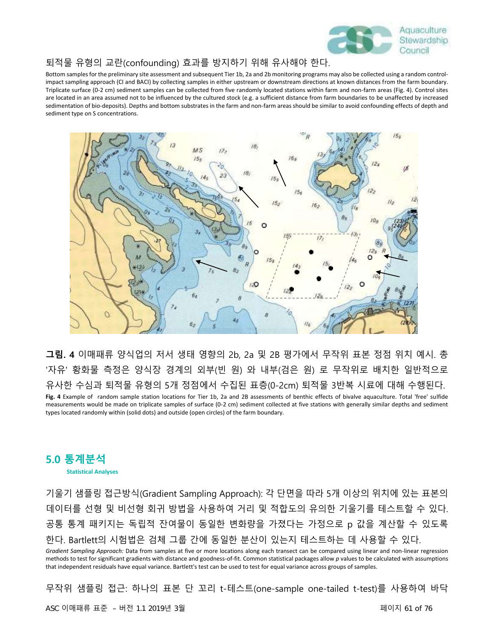

#### 퇴적물 유형의 교란(confounding) 효과를 방지하기 위해 유사해야 한다.

Bottom samples for the preliminary site assessment and subsequent Tier 1b, 2a and 2b monitoring programs may also be collected using a random controlimpact sampling approach (CI and BACI) by collecting samples in either upstream or downstream directions at known distances from the farm boundary. Triplicate surface (0-2 cm) sediment samples can be collected from five randomly located stations within farm and non-farm areas (Fig. 4). Control sites are located in an area assumed not to be influenced by the cultured stock (e.g. a sufficient distance from farm boundaries to be unaffected by increased sedimentation of bio-deposits). Depths and bottom substrates in the farm and non-farm areas should be similar to avoid confounding effects of depth and sediment type on S concentrations.



**그림. 4** 이매패류 양식업의 저서 생태 영향의 2b, 2a 및 2B 평가에서 무작위 표본 정점 위치 예시. 총 '자유' 황화물 측정은 양식장 경계의 외부(빈 원) 와 내부(검은 원) 로 무작위로 배치한 일반적으로 유사한 수심과 퇴적물 유형의 5개 정점에서 수집된 표층(0-2cm) 퇴적물 3반복 시료에 대해 수행된다. **Fig. 4** Example of random sample station locations for Tier 1b, 2a and 2B assessments of benthic effects of bivalve aquaculture. Total 'free' sulfide measurements would be made on triplicate samples of surface (0-2 cm) sediment collected at five stations with generally similar depths and sediment types located randomly within (solid dots) and outside (open circles) of the farm boundary.

### **5.0 통계분석 Statistical Analyses**

기울기 샘플링 접근방식(Gradient Sampling Approach): 각 단면을 따라 5개 이상의 위치에 있는 표본의 데이터를 선형 및 비선형 회귀 방법을 사용하여 거리 및 적합도의 유의한 기울기를 테스트할 수 있다. 공통 통계 패키지는 독립적 잔여물이 동일한 변화량을 가졌다는 가정으로 p 값을 계산할 수 있도록 한다. Bartlett의 시험법은 검체 그룹 간에 동일한 분산이 있는지 테스트하는 데 사용할 수 있다.

*Gradient Sampling Approach:* Data from samples at five or more locations along each transect can be compared using linear and non-linear regression methods to test for significant gradients with distance and goodness-of-fit. Common statistical packages allow *p* values to be calculated with assumptions that independent residuals have equal variance. Bartlett's test can be used to test for equal variance across groups of samples.

무작위 샘플링 접근: 하나의 표본 단 꼬리 t-테스트(one-sample one-tailed t-test)를 사용하여 바닥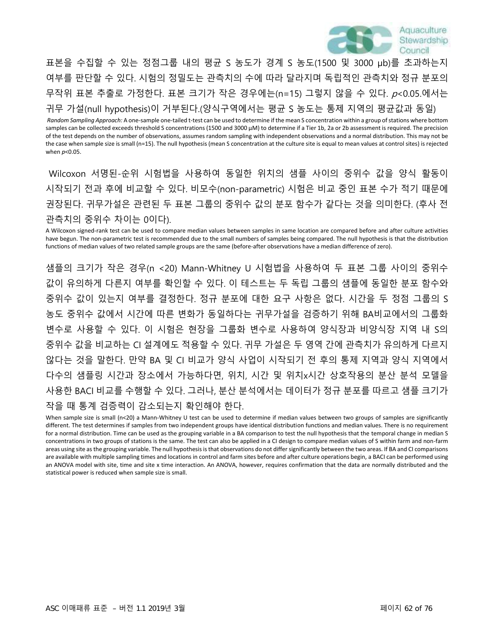

표본을 수집할 수 있는 정점그룹 내의 평균 S 농도가 경계 S 농도(1500 및 3000 μb)를 초과하는지 여부를 판단할 수 있다. 시험의 정밀도는 관측치의 수에 따라 달라지며 독립적인 관측치와 정규 분포의 무작위 표본 추출로 가정한다. 표본 크기가 작은 경우에는(n=15) 그렇지 않을 수 있다. p<0.05.에서는

귀무 가설(null hypothesis)이 거부된다.(양식구역에서는 평균 S 농도는 통제 지역의 평균값과 동일)

*Random Sampling Approach:* A one-sample one-tailed t-test can be used to determine if the mean S concentration within a group of stations where bottom samples can be collected exceeds threshold S concentrations (1500 and 3000 μM) to determine if a Tier 1b, 2a or 2b assessment is required. The precision of the test depends on the number of observations, assumes random sampling with independent observations and a normal distribution. This may not be the case when sample size is small (n=15). The null hypothesis (mean S concentration at the culture site is equal to mean values at control sites) is rejected when *p*<0.05.

Wilcoxon 서명된-순위 시험법을 사용하여 동일한 위치의 샘플 사이의 중위수 값을 양식 활동이 시작되기 전과 후에 비교할 수 있다. 비모수(non-parametric) 시험은 비교 중인 표본 수가 적기 때문에 권장된다. 귀무가설은 관련된 두 표본 그룹의 중위수 값의 분포 함수가 같다는 것을 의미한다. (후사 전 관측치의 중위수 차이는 0이다).

A Wilcoxon signed-rank test can be used to compare median values between samples in same location are compared before and after culture activities have begun. The non-parametric test is recommended due to the small numbers of samples being compared. The null hypothesis is that the distribution functions of median values of two related sample groups are the same (before-after observations have a median difference of zero).

샘플의 크기가 작은 경우(n <20) Mann-Whitney U 시험법을 사용하여 두 표본 그룹 사이의 중위수 값이 유의하게 다른지 여부를 확인할 수 있다. 이 테스트는 두 독립 그룹의 샘플에 동일한 분포 함수와 중위수 값이 있는지 여부를 결정한다. 정규 분포에 대한 요구 사항은 없다. 시간을 두 정점 그룹의 S 농도 중위수 값에서 시간에 따른 변화가 동일하다는 귀무가설을 검증하기 위해 BA비교에서의 그룹화 변수로 사용할 수 있다. 이 시험은 현장을 그룹화 변수로 사용하여 양식장과 비양식장 지역 내 S의 중위수 값을 비교하는 CI 설계에도 적용할 수 있다. 귀무 가설은 두 영역 간에 관측치가 유의하게 다르지 않다는 것을 말한다. 만약 BA 및 CI 비교가 양식 사업이 시작되기 전 후의 통제 지역과 양식 지역에서 다수의 샘플링 시간과 장소에서 가능하다면, 위치, 시간 및 위치x시간 상호작용의 분산 분석 모델을 사용한 BACI 비교를 수행할 수 있다. 그러나, 분산 분석에서는 데이터가 정규 분포를 따르고 샘플 크기가 작을 때 통계 검증력이 감소되는지 확인해야 한다.

When sample size is small (n<20) a Mann-Whitney U test can be used to determine if median values between two groups of samples are significantly different. The test determines if samples from two independent groups have identical distribution functions and median values. There is no requirement for a normal distribution. Time can be used as the grouping variable in a BA comparison to test the null hypothesis that the temporal change in median S concentrations in two groups of stations is the same. The test can also be applied in a CI design to compare median values of S within farm and non-farm areas using site as the grouping variable. The null hypothesis is that observations do not differ significantly between the two areas. If BA and CI comparisons are available with multiple sampling times and locations in control and farm sites before and after culture operations begin, a BACI can be performed using an ANOVA model with site, time and site x time interaction. An ANOVA, however, requires confirmation that the data are normally distributed and the statistical power is reduced when sample size is small.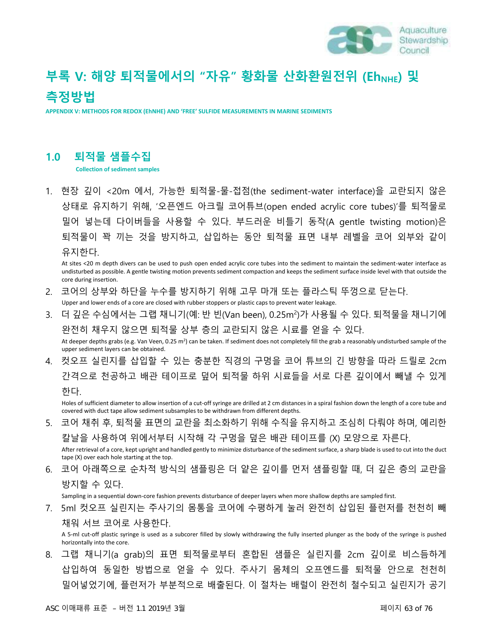

# **부록 V: 해양 퇴적물에서의 "자유" 황화물 산화환원전위 (EhNHE) 및 측정방법**

**APPENDIX V: METHODS FOR REDOX (EhNHE) AND 'FREE' SULFIDE MEASUREMENTS IN MARINE SEDIMENTS**

### **1.0 퇴적물 샘플수집**

**Collection of sediment samples**

1. 현장 깊이 <20m 에서, 가능한 퇴적물-물-접점(the sediment-water interface)을 교란되지 않은 상태로 유지하기 위해, '오픈엔드 아크릴 코어튜브(open ended acrylic core tubes)'를 퇴적물로 밀어 넣는데 다이버들을 사용할 수 있다. 부드러운 비틀기 동작(A gentle twisting motion)은 퇴적물이 꽉 끼는 것을 방지하고, 삽입하는 동안 퇴적물 표면 내부 레벨을 코어 외부와 같이 유지한다.

At sites <20 m depth divers can be used to push open ended acrylic core tubes into the sediment to maintain the sediment-water interface as undisturbed as possible. A gentle twisting motion prevents sediment compaction and keeps the sediment surface inside level with that outside the core during insertion.

- 2. 코어의 상부와 하단을 누수를 방지하기 위해 고무 마개 또는 플라스틱 뚜껑으로 닫는다. Upper and lower ends of a core are closed with rubber stoppers or plastic caps to prevent water leakage.
- 3. 더 깊은 수심에서는 그랩 채니기(예: 반 빈(Van been), 0.25m²)가 사용될 수 있다. 퇴적물을 채니기에 완전히 채우지 않으면 퇴적물 상부 층의 교란되지 않은 시료를 얻을 수 있다. At deeper depths grabs (e.g. Van Veen, 0.25 m<sup>2</sup>) can be taken. If sediment does not completely fill the grab a reasonably undisturbed sample of the upper sediment layers can be obtained.
- 4. 컷오프 실린지를 삽입할 수 있는 충분한 직경의 구멍을 코어 튜브의 긴 방향을 따라 드릴로 2cm 간격으로 천공하고 배관 테이프로 덮어 퇴적물 하위 시료들을 서로 다른 깊이에서 빼낼 수 있게 한다.

Holes of sufficient diameter to allow insertion of a cut-off syringe are drilled at 2 cm distances in a spiral fashion down the length of a core tube and covered with duct tape allow sediment subsamples to be withdrawn from different depths.

- 5. 코어 채취 후, 퇴적물 표면의 교란을 최소화하기 위해 수직을 유지하고 조심히 다뤄야 하며, 예리한 칼날을 사용하여 위에서부터 시작해 각 구멍을 덮은 배관 테이프를 (X) 모양으로 자른다. After retrieval of a core, kept upright and handled gently to minimize disturbance of the sediment surface, a sharp blade is used to cut into the duct tape (X) over each hole starting at the top.
- 6. 코어 아래쪽으로 순차적 방식의 샘플링은 더 얕은 깊이를 먼저 샘플링할 때, 더 깊은 층의 교란을 방지할 수 있다.

Sampling in a sequential down-core fashion prevents disturbance of deeper layers when more shallow depths are sampled first.

7. 5ml 컷오프 실린지는 주사기의 몸통을 코어에 수평하게 눌러 완전히 삽입된 플런저를 천천히 빼 채워 서브 코어로 사용한다.

A 5-ml cut-off plastic syringe is used as a subcorer filled by slowly withdrawing the fully inserted plunger as the body of the syringe is pushed horizontally into the core.

8. 그랩 채니기(a grab)의 표면 퇴적물로부터 혼합된 샘플은 실린지를 2cm 깊이로 비스듬하게 삽입하여 동일한 방법으로 얻을 수 있다. 주사기 몸체의 오프엔드를 퇴적물 안으로 천천히 밀어넣었기에, 플런저가 부분적으로 배출된다. 이 절차는 배럴이 완전히 철수되고 실린지가 공기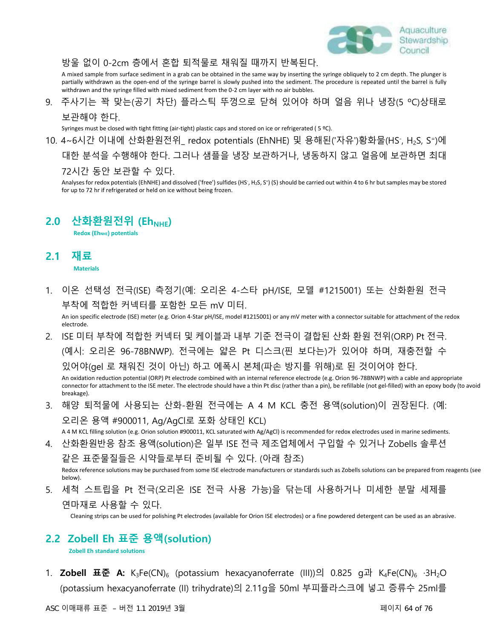

#### 방울 없이 0-2cm 층에서 혼합 퇴적물로 채워질 때까지 반복된다.

A mixed sample from surface sediment in a grab can be obtained in the same way by inserting the syringe obliquely to 2 cm depth. The plunger is partially withdrawn as the open-end of the syringe barrel is slowly pushed into the sediment. The procedure is repeated until the barrel is fully withdrawn and the syringe filled with mixed sediment from the 0-2 cm layer with no air bubbles.

9. 주사기는 꽉 맞는(공기 차단) 플라스틱 뚜껑으로 닫혀 있어야 하며 얼음 위나 냉장(5 ºC)상태로 보관해야 한다.

Syringes must be closed with tight fitting (air-tight) plastic caps and stored on ice or refrigerated ( 5 ºC).

10. 4~6시간 이내에 산화환원전위\_ redox potentials (EhNHE) 및 용해된('자유')황화물(HS<sup>-</sup>, H<sub>2</sub>S, S<sup>=</sup>)에 대한 분석을 수행해야 한다. 그러나 샘플을 냉장 보관하거나, 냉동하지 않고 얼음에 보관하면 최대 72시간 동안 보관할 수 있다.

Analyses for redox potentials (EhNHE) and dissolved ('free') sulfides (HS<sup>-</sup>, H<sub>2</sub>S, S<sup>=</sup>) (S) should be carried out within 4 to 6 hr but samples may be stored for up to 72 hr if refrigerated or held on ice without being frozen.

### **2.0 산화환원전위 (EhNHE)**

**Redox (EhNHE) potentials**

### **2.1 재료**

**Materials**

1. 이온 선택성 전극(ISE) 측정기(예: 오리온 4-스타 pH/ISE, 모델 #1215001) 또는 산화환원 전극 부착에 적합한 커넥터를 포함한 모든 mV 미터.

An ion specific electrode (ISE) meter (e.g. Orion 4-Star pH/ISE, model #1215001) or any mV meter with a connector suitable for attachment of the redox electrode.

- 2. ISE 미터 부착에 적합한 커넥터 및 케이블과 내부 기준 전극이 결합된 산화 환원 전위(ORP) Pt 전극. (예시: 오리온 96-78BNWP). 전극에는 얇은 Pt 디스크(핀 보다는)가 있어야 하며, 재충전할 수 있어야(gel 로 채워진 것이 아닌) 하고 에폭시 본체(파손 방지를 위해)로 된 것이어야 한다. An oxidation reduction potential (ORP) Pt electrode combined with an internal reference electrode (e.g. Orion 96-78BNWP) with a cable and appropriate connector for attachment to the ISE meter. The electrode should have a thin Pt disc (rather than a pin), be refillable (not gel-filled) with an epoxy body (to avoid breakage).
- 3. 해양 퇴적물에 사용되는 산화-환원 전극에는 A 4 M KCL 충전 용액(solution)이 권장된다. (예: 오리온 용액 #900011, Ag/AgCl로 포화 상태인 KCL) A 4 M KCL filling solution (e.g. Orion solution #900011, KCL saturated with Ag/AgCl) is recommended for redox electrodes used in marine sediments.
- 4. 산화환원반응 참조 용액(solution)은 일부 ISE 전극 제조업체에서 구입할 수 있거나 Zobells 솔루션

같은 표준물질들은 시약들로부터 준비될 수 있다. (아래 참조)

Redox reference solutions may be purchased from some ISE electrode manufacturers or standards such as Zobells solutions can be prepared from reagents (see below).

5. 세척 스트립을 Pt 전극(오리온 ISE 전극 사용 가능)을 닦는데 사용하거나 미세한 분말 세제를 연마재로 사용할 수 있다.

Cleaning strips can be used for polishing Pt electrodes (available for Orion ISE electrodes) or a fine powdered detergent can be used as an abrasive.

### **2.2 Zobell Eh 표준 용액(solution)**

**Zobell Eh standard solutions**

1. **Zobell 표준 A:** K3Fe(CN)<sup>6</sup> (potassium hexacyanoferrate (III))의 0.825 g과 K4Fe(CN)<sup>6</sup> ·3H2O (potassium hexacyanoferrate (II) trihydrate)의 2.11g을 50ml 부피플라스크에 넣고 증류수 25ml를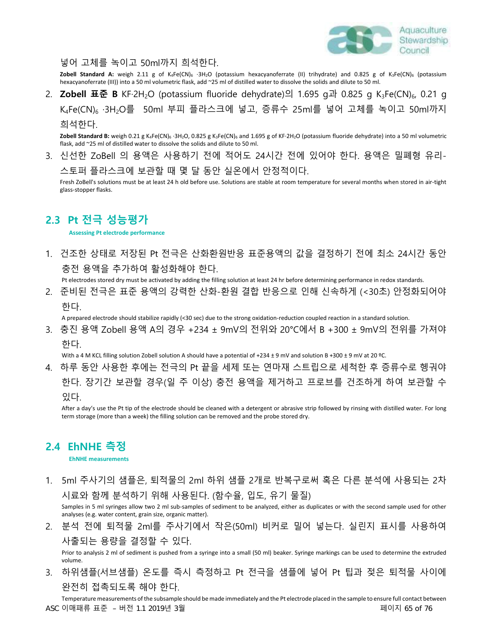

넣어 고체를 녹이고 50ml까지 희석한다.

**Zobell Standard A:** weigh 2.11 g of K4Fe(CN)<sup>6</sup> ·3H2O (potassium hexacyanoferrate (II) trihydrate) and 0.825 g of K3Fe(CN)<sup>6</sup> (potassium hexacyanoferrate (III)) into a 50 ml volumetric flask, add ~25 ml of distilled water to dissolve the solids and dilute to 50 ml.

2. **Zobell 표준 B** KF·2H<sub>2</sub>O (potassium fluoride dehydrate)의 1.695 g과 0.825 g K<sub>3</sub>Fe(CN)<sub>6</sub>, 0.21 g K<sub>4</sub>Fe(CN)<sub>6</sub> ·3H<sub>2</sub>O를 50ml 부피 플라스크에 넣고, 증류수 25ml를 넣어 고체를 녹이고 50ml까지 희석한다.

Zobell Standard B: weigh 0.21 g K<sub>4</sub>Fe(CN)<sub>6</sub> ·3H<sub>2</sub>O, 0.825 g K<sub>3</sub>Fe(CN)<sub>6</sub> and 1.695 g of KF·2H<sub>2</sub>O (potassium fluoride dehydrate) into a 50 ml volumetric flask, add ~25 ml of distilled water to dissolve the solids and dilute to 50 ml.

3. 신선한 ZoBell 의 용액은 사용하기 전에 적어도 24시간 전에 있어야 한다. 용액은 밀폐형 유리-

스토퍼 플라스크에 보관할 때 몇 달 동안 실온에서 안정적이다.

Fresh ZoBell's solutions must be at least 24 h old before use. Solutions are stable at room temperature for several months when stored in air-tight glass-stopper flasks.

## **2.3 Pt 전극 성능평가**

**Assessing Pt electrode performance**

1. 건조한 상태로 저장된 Pt 전극은 산화환원반응 표준용액의 값을 결정하기 전에 최소 24시간 동안 충전 용액을 추가하여 활성화해야 한다.

Pt electrodes stored dry must be activated by adding the filling solution at least 24 hr before determining performance in redox standards.

2. 준비된 전극은 표준 용액의 강력한 산화-환원 결합 반응으로 인해 신속하게 (<30초) 안정화되어야 한다.

A prepared electrode should stabilize rapidly (<30 sec) due to the strong oxidation-reduction coupled reaction in a standard solution.

3. 충진 용액 Zobell 용액 A의 경우 +234 ± 9mV의 전위와 20°C에서 B +300 ± 9mV의 전위를 가져야 한다.

With a 4 M KCL filling solution Zobell solution A should have a potential of +234 ± 9 mV and solution B +300 ± 9 mV at 20 °C.

4. 하루 동안 사용한 후에는 전극의 Pt 끝을 세제 또는 연마재 스트립으로 세척한 후 증류수로 헹궈야 한다. 장기간 보관할 경우(일 주 이상) 충전 용액을 제거하고 프로브를 건조하게 하여 보관할 수 있다.

After a day's use the Pt tip of the electrode should be cleaned with a detergent or abrasive strip followed by rinsing with distilled water. For long term storage (more than a week) the filling solution can be removed and the probe stored dry.

### **2.4 EhNHE 측정**

**EhNHE measurements**

1. 5ml 주사기의 샘플은, 퇴적물의 2ml 하위 샘플 2개로 반복구로써 혹은 다른 분석에 사용되는 2차 시료와 함께 분석하기 위해 사용된다. (함수율, 입도, 유기 물질)

Samples in 5 ml syringes allow two 2 ml sub-samples of sediment to be analyzed, either as duplicates or with the second sample used for other analyses (e.g. water content, grain size, organic matter).

2. 분석 전에 퇴적물 2ml를 주사기에서 작은(50ml) 비커로 밀어 넣는다. 실린지 표시를 사용하여 사출되는 용량을 결정할 수 있다.

Prior to analysis 2 ml of sediment is pushed from a syringe into a small (50 ml) beaker. Syringe markings can be used to determine the extruded volume.

3. 하위샘플(서브샘플) 온도를 즉시 측정하고 Pt 전극을 샘플에 넣어 Pt 팁과 젖은 퇴적물 사이에 완전히 접촉되도록 해야 한다.

Temperature measurements of the subsample should be made immediately and the Pt electrode placed in the sample to ensure full contact between ASC 이매패류 표준 – 버전 1.1 2019년 3월 페이지 65 of 76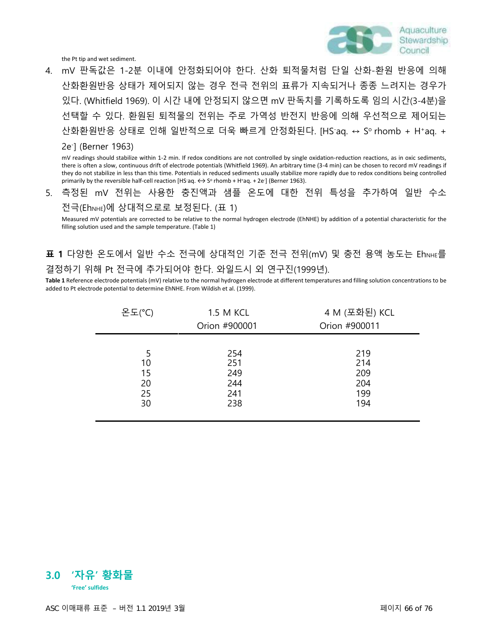

the Pt tip and wet sediment.

4. mV 판독값은 1-2분 이내에 안정화되어야 한다. 산화 퇴적물처럼 단일 산화-환원 반응에 의해 산화환원반응 상태가 제어되지 않는 경우 전극 전위의 표류가 지속되거나 종종 느려지는 경우가 있다. (Whitfield 1969). 이 시간 내에 안정되지 않으면 mV 판독치를 기록하도록 임의 시간(3-4분)을 선택할 수 있다. 환원된 퇴적물의 전위는 주로 가역성 반전지 반응에 의해 우선적으로 제어되는 산화환원반응 상태로 인해 일반적으로 더욱 빠르게 안정화된다. [HS·aq. ↔ Sº rhomb + H\*aq. +

#### 2e- ] (Berner 1963)

mV readings should stabilize within 1-2 min. If redox conditions are not controlled by single oxidation-reduction reactions, as in oxic sediments, there is often a slow, continuous drift of electrode potentials (Whitfield 1969). An arbitrary time (3-4 min) can be chosen to record mV readings if they do not stabilize in less than this time. Potentials in reduced sediments usually stabilize more rapidly due to redox conditions being controlled primarily by the reversible half-cell reaction [HS-aq.  $\leftrightarrow$  S° rhomb + H+aq. + 2e<sup>-</sup>] (Berner 1963).

5. 측정된 mV 전위는 사용한 충진액과 샘플 온도에 대한 전위 특성을 추가하여 일반 수소 전극(EhNHE)에 상대적으로로 보정된다. (표 1)

Measured mV potentials are corrected to be relative to the normal hydrogen electrode (EhNHE) by addition of a potential characteristic for the filling solution used and the sample temperature. (Table 1)

**표 1** 다양한 온도에서 일반 수소 전극에 상대적인 기준 전극 전위(mV) 및 충전 용액 농도는 EhNHE를 결정하기 위해 Pt 전극에 추가되어야 한다. 와일드시 외 연구진(1999년).

**Table 1** Reference electrode potentials (mV) relative to the normal hydrogen electrode at different temperatures and filling solution concentrations to be added to Pt electrode potential to determine EhNHE. From Wildish et al. (1999).

| 온도(°C) | 1.5 M KCL     | 4 M (포화된) KCL |
|--------|---------------|---------------|
|        | Orion #900001 | Orion #900011 |
|        |               |               |
| 10     | 254<br>251    | 219<br>214    |
| 15     | 249           | 209           |
| 20     | 244           | 204           |
| 25     | 241           | 199           |
| 30     | 238           | 194           |
|        |               |               |

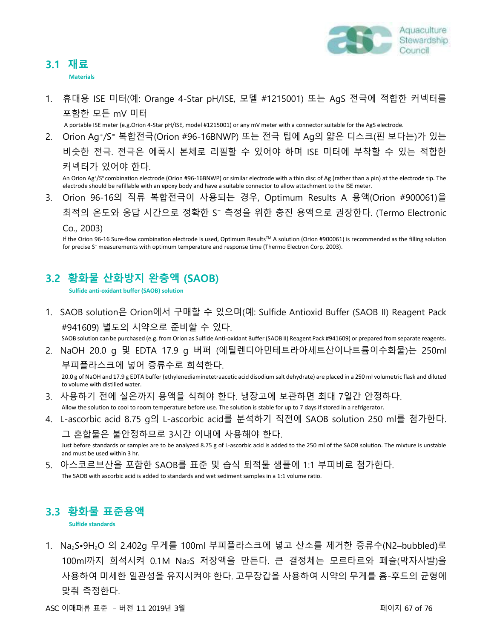

### **3.1 재료**

**Materials**

1. 휴대용 ISE 미터(예: Orange 4-Star pH/ISE, 모델 #1215001) 또는 AgS 전극에 적합한 커넥터를 포함한 모든 mV 미터

A portable ISE meter (e.g.Orion 4-Star pH/ISE, model #1215001) or any mV meter with a connector suitable for the AgS electrode.

2. Orion Ag<sup>+</sup> /S<sup>=</sup> 복합전극(Orion #96-16BNWP) 또는 전극 팁에 Ag의 얇은 디스크(핀 보다는)가 있는 비슷한 전극. 전극은 에폭시 본체로 리필할 수 있어야 하며 ISE 미터에 부착할 수 있는 적합한 커넥터가 있어야 한다.

An Orion Ag<sup>+</sup> /S<sup>=</sup>combination electrode (Orion #96-16BNWP) or similar electrode with a thin disc of Ag (rather than a pin) at the electrode tip. The electrode should be refillable with an epoxy body and have a suitable connector to allow attachment to the ISE meter.

3. Orion 96-16의 직류 복합전극이 사용되는 경우, Optimum Results A 용액(Orion #900061)을 최적의 온도와 응답 시간으로 정확한 S <sup>=</sup> 측정을 위한 충진 용액으로 권장한다. (Termo Electronic

Co., 2003)

If the Orion 96-16 Sure-flow combination electrode is used, Optimum Results™ A solution (Orion #900061) is recommended as the filling solution for precise S <sup>=</sup> measurements with optimum temperature and response time (Thermo Electron Corp. 2003).

## **3.2 황화물 산화방지 완충액 (SAOB)**

**Sulfide anti-oxidant buffer (SAOB) solution**

1. SAOB solution은 Orion에서 구매할 수 있으며(예: Sulfide Antioxid Buffer (SAOB II) Reagent Pack #941609) 별도의 시약으로 준비할 수 있다.

SAOB solution can be purchased (e.g. from Orion as Sulfide Anti-oxidant Buffer (SAOB II) Reagent Pack #941609) or prepared from separate reagents.

2. NaOH 20.0 g 및 EDTA 17.9 g 버퍼 (에틸렌디아민테트라아세트산이나트륨이수화물)는 250ml 부피플라스크에 넣어 증류수로 희석한다.

20.0 g of NaOH and 17.9 g EDTA buffer (ethylenediaminetetraacetic acid disodium salt dehydrate) are placed in a 250 ml volumetric flask and diluted to volume with distilled water.

- 3. 사용하기 전에 실온까지 용액을 식혀야 한다. 냉장고에 보관하면 최대 7일간 안정하다. Allow the solution to cool to room temperature before use. The solution is stable for up to 7 days if stored in a refrigerator.
- 4. L-ascorbic acid 8.75 g의 L-ascorbic acid를 분석하기 직전에 SAOB solution 250 ml를 첨가한다. 그 혼합물은 불안정하므로 3시간 이내에 사용해야 한다.

Just before standards or samples are to be analyzed 8.75 g of L-ascorbic acid is added to the 250 ml of the SAOB solution. The mixture is unstable and must be used within 3 hr.

5. 아스코르브산을 포함한 SAOB를 표준 및 습식 퇴적물 샘플에 1:1 부피비로 첨가한다. The SAOB with ascorbic acid is added to standards and wet sediment samples in a 1:1 volume ratio.

## **3.3 황화물 표준용액**

**Sulfide standards**

1. Na<sub>2</sub>S•9H<sub>2</sub>O 의 2.402g 무게를 100ml 부피플라스크에 넣고 산소를 제거한 증류수(N2–bubbled)로 100ml까지 희석시켜 0.1M Na2S 저장액을 만든다. 큰 결정체는 모르타르와 페슬(막자사발)을 사용하여 미세한 일관성을 유지시켜야 한다. 고무장갑을 사용하여 시약의 무게를 흄-후드의 균형에 맞춰 측정한다.

ASC 이매패류 표준 – 버전 1.1 2019년 3월 페이지 67 of 76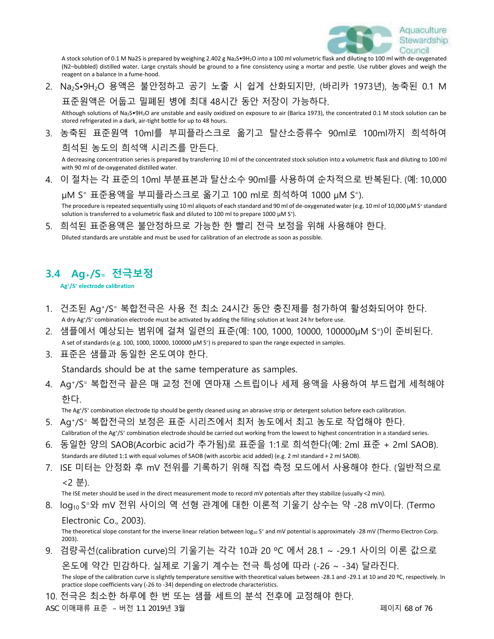

A stock solution of 0.1 M Na2S is prepared by weighing 2.402 g Na2S•9H2O into a 100 ml volumetric flask and diluting to 100 ml with de-oxygenated (N2–bubbled) distilled water. Large crystals should be ground to a fine consistency using a mortar and pestle. Use rubber gloves and weigh the reagent on a balance in a fume-hood.

2. Na2S•9H2O 용액은 불안정하고 공기 노출 시 쉽게 산화되지만, (바리카 1973년), 농축된 0.1 M 표준원액은 어둡고 밀폐된 병에 최대 48시간 동안 저장이 가능하다.

Although solutions of Na2S•9H2O are unstable and easily oxidized on exposure to air (Barica 1973), the concentrated 0.1 M stock solution can be stored refrigerated in a dark, air-tight bottle for up to 48 hours.

3. 농축된 표준원액 10ml를 부피플라스크로 옮기고 탈산소증류수 90ml로 100ml까지 희석하여 희석된 농도의 희석액 시리즈를 만든다.

A decreasing concentration series is prepared by transferring 10 ml of the concentrated stock solution into a volumetric flask and diluting to 100 ml with 90 ml of de-oxygenated distilled water.

4. 이 절차는 각 표준의 10ml 부분표본과 탈산소수 90ml를 사용하여 순차적으로 반복된다. (예: 10,000

μM S= 표준용액을 부피플라스크로 옮기고 100 ml로 희석하여 1000 μM S=). The procedure is repeated sequentially using 10 ml aliquots of each standard and 90 ml of de-oxygenated water (e.g. 10 ml of 10,000 μM S= standard solution is transferred to a volumetric flask and diluted to 100 ml to prepare 1000 μM S<sup>=</sup>).

5. 희석된 표준용액은 불안정하므로 가능한 한 빨리 전극 보정을 위해 사용해야 한다. Diluted standards are unstable and must be used for calibration of an electrode as soon as possible.

### **3.4 Ag+/S<sup>=</sup> 전극보정**

**Ag<sup>+</sup>/S <sup>=</sup> electrode calibration**

- 1. 건조된 Ag<sup>+</sup> /S <sup>=</sup> 복합전극은 사용 전 최소 24시간 동안 충진제를 첨가하여 활성화되어야 한다. A dry Ag<sup>+</sup>/S<sup>=</sup> combination electrode must be activated by adding the filling solution at least 24 hr before use.
- 2. 샘플에서 예상되는 범위에 걸쳐 일련의 표준(예: 100, 1000, 10000, 100000μM S = )이 준비된다. A set of standards (e.g. 100, 1000, 10000, 100000 μM S<sup>=</sup>) is prepared to span the range expected in samples.
- 3. 표준은 샘플과 동일한 온도여야 한다.

Standards should be at the same temperature as samples.

4. Ag<sup>+</sup> /S <sup>=</sup> 복합전극 끝은 매 교정 전에 연마재 스트립이나 세제 용액을 사용하여 부드럽게 세척해야 한다.

The Ag+/S<sup>=</sup> combination electrode tip should be gently cleaned using an abrasive strip or detergent solution before each calibration.

- 5. Ag<sup>+</sup> /S <sup>=</sup> 복합전극의 보정은 표준 시리즈에서 최저 농도에서 최고 농도로 작업해야 한다. Calibration of the Ag<sup>+</sup>/S<sup>=</sup> combination electrode should be carried out working from the lowest to highest concentration in a standard series.
- 6. 동일한 양의 SAOB(Acorbic acid가 추가됨)로 표준을 1:1로 희석한다(예: 2ml 표준 + 2ml SAOB). Standards are diluted 1:1 with equal volumes of SAOB (with ascorbic acid added) (e.g. 2 ml standard + 2 ml SAOB).
- 7. ISE 미터는 안정화 후 mV 전위를 기록하기 위해 직접 측정 모드에서 사용해야 한다. (일반적으로 <2 분).

The ISE meter should be used in the direct measurement mode to record mV potentials after they stabilize (usually <2 min).

8. log<sub>10</sub> S=와 mV 전위 사이의 역 선형 관계에 대한 이론적 기울기 상수는 약 -28 mV이다. (Termo Electronic Co., 2003).

The theoretical slope constant for the inverse linear relation between log<sub>10</sub> S<sup>=</sup> and mV potential is approximately -28 mV (Thermo Electron Corp. 2003).

9. 검량곡선(calibration curve)의 기울기는 각각 10과 20 ºC 에서 28.1 ~ -29.1 사이의 이론 값으로 온도에 약간 민감하다. 실제로 기울기 계수는 전극 특성에 따라 (-26 ~ -34) 달라진다.

The slope of the calibration curve is slightly temperature sensitive with theoretical values between -28.1 and -29.1 at 10 and 20 °C, respectively. In practice slope coefficients vary (-26 to -34) depending on electrode characteristics.

10. 전극은 최소한 하루에 한 번 또는 샘플 세트의 분석 전후에 교정해야 한다.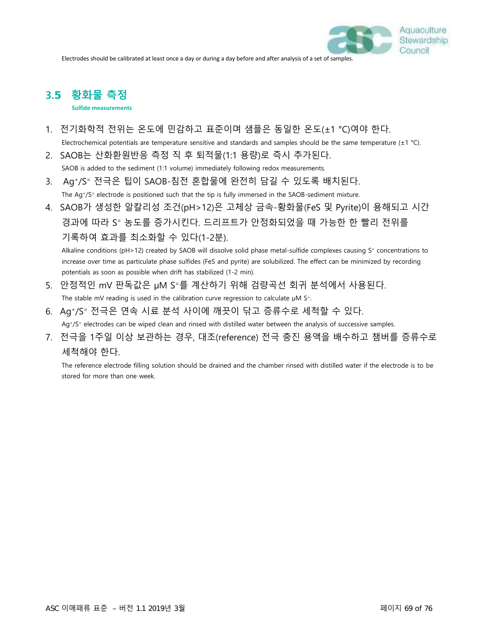Electrodes should be calibrated at least once a day or during a day before and after analysis of a set of samples.

# **3.**5 **황화물 측정**

**Sulfide measurements**

- 1. 전기화학적 전위는 온도에 민감하고 표준이며 샘플은 동일한 온도(±1 °C)여야 한다. Electrochemical potentials are temperature sensitive and standards and samples should be the same temperature  $(\pm 1 \degree C)$ .
- 2. SAOB는 산화환원반응 측정 직 후 퇴적물(1:1 용량)로 즉시 추가된다. SAOB is added to the sediment (1:1 volume) immediately following redox measurements.
- 3. Ag<sup>+</sup> /S <sup>=</sup> 전극은 팁이 SAOB-침전 혼합물에 완전히 담길 수 있도록 배치된다. The Ag<sup>+</sup>/S<sup>=</sup> electrode is positioned such that the tip is fully immersed in the SAOB-sediment mixture.
- 4. SAOB가 생성한 알칼리성 조건(pH>12)은 고체상 금속-황화물(FeS 및 Pyrite)이 용해되고 시간 경과에 따라 S <sup>=</sup> 농도를 증가시킨다. 드리프트가 안정화되었을 때 가능한 한 빨리 전위를 기록하여 효과를 최소화할 수 있다(1-2분).

Alkaline conditions (pH>12) created by SAOB will dissolve solid phase metal-sulfide complexes causing S<sup>=</sup> concentrations to increase over time as particulate phase sulfides (FeS and pyrite) are solubilized. The effect can be minimized by recording potentials as soon as possible when drift has stabilized (1-2 min).

- 5. 안정적인 mV 판독값은 μM S=를 계산하기 위해 검량곡선 회귀 분석에서 사용된다. The stable mV reading is used in the calibration curve regression to calculate  $\mu$ M S<sup>=</sup>.
- 6. Ag<sup>+</sup> /S <sup>=</sup> 전극은 연속 시료 분석 사이에 깨끗이 닦고 증류수로 세척할 수 있다. Ag<sup>+</sup>/S<sup>=</sup> electrodes can be wiped clean and rinsed with distilled water between the analysis of successive samples.
- 7. 전극을 1주일 이상 보관하는 경우, 대조(reference) 전극 충진 용액을 배수하고 챔버를 증류수로 세척해야 한다.

The reference electrode filling solution should be drained and the chamber rinsed with distilled water if the electrode is to be stored for more than one week.

Aquaculture Stewardship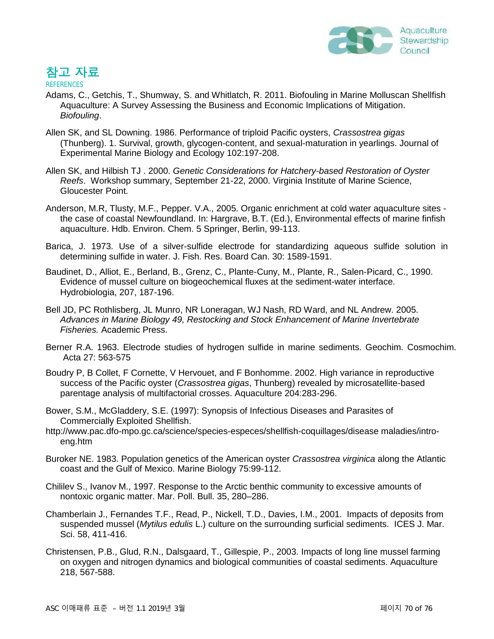

# 참고 자료

**REFERENCES** 

- Adams, C., Getchis, T., Shumway, S. and Whitlatch, R. 2011. Biofouling in Marine Molluscan Shellfish Aquaculture: A Survey Assessing the Business and Economic Implications of Mitigation. *Biofouling*.
- Allen SK, and SL Downing. 1986. Performance of triploid Pacific oysters, *Crassostrea gigas* (Thunberg). 1. Survival, growth, glycogen-content, and sexual-maturation in yearlings. Journal of Experimental Marine Biology and Ecology 102:197-208.
- Allen SK, and Hilbish TJ . 2000. *Genetic Considerations for Hatchery-based Restoration of Oyster Reefs*. Workshop summary, September 21-22, 2000. Virginia Institute of Marine Science, Gloucester Point.
- Anderson, M.R, Tlusty, M.F., Pepper. V.A., 2005. Organic enrichment at cold water aquaculture sites the case of coastal Newfoundland. In: Hargrave, B.T. (Ed.), Environmental effects of marine finfish aquaculture. Hdb. Environ. Chem. 5 Springer, Berlin, 99-113.
- Barica, J. 1973. Use of a silver-sulfide electrode for standardizing aqueous sulfide solution in determining sulfide in water. J. Fish. Res. Board Can. 30: 1589-1591.
- Baudinet, D., Alliot, E., Berland, B., Grenz, C., Plante-Cuny, M., Plante, R., Salen-Picard, C., 1990. Evidence of mussel culture on biogeochemical fluxes at the sediment-water interface. Hydrobiologia, 207, 187-196.
- Bell JD, PC Rothlisberg, JL Munro, NR Loneragan, WJ Nash, RD Ward, and NL Andrew. 2005. *Advances in Marine Biology 49, Restocking and Stock Enhancement of Marine Invertebrate Fisheries.* Academic Press.
- Berner R.A. 1963. Electrode studies of hydrogen sulfide in marine sediments. Geochim. Cosmochim. Acta 27: 563-575
- Boudry P, B Collet, F Cornette, V Hervouet, and F Bonhomme. 2002. High variance in reproductive success of the Pacific oyster (*Crassostrea gigas*, Thunberg) revealed by microsatellite-based parentage analysis of multifactorial crosses. Aquaculture 204:283-296.
- Bower, S.M., McGladdery, S.E. (1997): Synopsis of Infectious Diseases and Parasites of Commercially Exploited Shellfish.
- http://www.pac.dfo-mpo.gc.ca/science/species-especes/shellfish-coquillages/disease maladies/introeng.htm
- Buroker NE. 1983. Population genetics of the American oyster *Crassostrea virginica* along the Atlantic coast and the Gulf of Mexico. Marine Biology 75:99-112.
- Chililev S., Ivanov M., 1997. Response to the Arctic benthic community to excessive amounts of nontoxic organic matter. Mar. Poll. Bull. 35, 280–286.
- Chamberlain J., Fernandes T.F., Read, P., Nickell, T.D., Davies, I.M., 2001. Impacts of deposits from suspended mussel (*Mytilus edulis* L.) culture on the surrounding surficial sediments. ICES J. Mar. Sci. 58, 411-416.
- Christensen, P.B., Glud, R.N., Dalsgaard, T., Gillespie, P., 2003. Impacts of long line mussel farming on oxygen and nitrogen dynamics and biological communities of coastal sediments. Aquaculture 218, 567-588.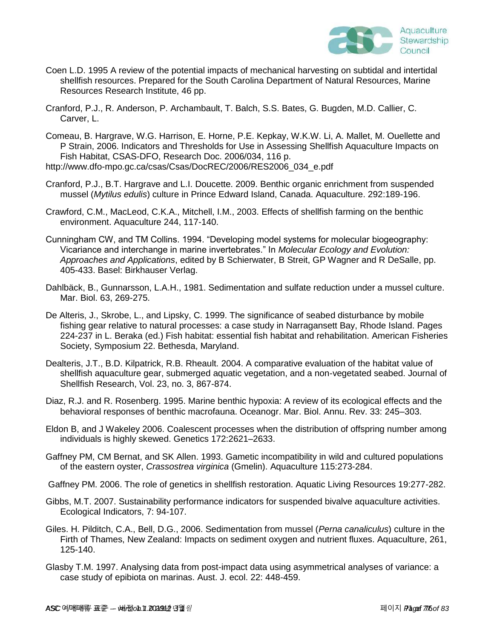

- Coen L.D. 1995 A review of the potential impacts of mechanical harvesting on subtidal and intertidal shellfish resources. Prepared for the South Carolina Department of Natural Resources, Marine Resources Research Institute, 46 pp.
- Cranford, P.J., R. Anderson, P. Archambault, T. Balch, S.S. Bates, G. Bugden, M.D. Callier, C. Carver, L.
- Comeau, B. Hargrave, W.G. Harrison, E. Horne, P.E. Kepkay, W.K.W. Li, A. Mallet, M. Ouellette and P Strain, 2006. Indicators and Thresholds for Use in Assessing Shellfish Aquaculture Impacts on Fish Habitat, CSAS-DFO, Research Doc. 2006/034, 116 p. http://www.dfo-mpo.gc.ca/csas/Csas/DocREC/2006/RES2006\_034\_e.pdf
- 
- Cranford, P.J., B.T. Hargrave and L.I. Doucette. 2009. Benthic organic enrichment from suspended mussel (*Mytilus edulis*) culture in Prince Edward Island, Canada. Aquaculture. 292:189-196.
- Crawford, C.M., MacLeod, C.K.A., Mitchell, I.M., 2003. Effects of shellfish farming on the benthic environment. Aquaculture 244, 117-140.
- Cunningham CW, and TM Collins. 1994. "Developing model systems for molecular biogeography: Vicariance and interchange in marine invertebrates.‖ In *Molecular Ecology and Evolution: Approaches and Applications*, edited by B Schierwater, B Streit, GP Wagner and R DeSalle, pp. 405-433. Basel: Birkhauser Verlag.
- Dahlbäck, B., Gunnarsson, L.A.H., 1981. Sedimentation and sulfate reduction under a mussel culture. Mar. Biol. 63, 269-275.
- De Alteris, J., Skrobe, L., and Lipsky, C. 1999. The significance of seabed disturbance by mobile fishing gear relative to natural processes: a case study in Narragansett Bay, Rhode Island. Pages 224-237 in L. Beraka (ed.) Fish habitat: essential fish habitat and rehabilitation. American Fisheries Society, Symposium 22. Bethesda, Maryland.
- Dealteris, J.T., B.D. Kilpatrick, R.B. Rheault. 2004. A comparative evaluation of the habitat value of shellfish aquaculture gear, submerged aquatic vegetation, and a non-vegetated seabed. Journal of Shellfish Research, Vol. 23, no. 3, 867-874.
- Diaz, R.J. and R. Rosenberg. 1995. Marine benthic hypoxia: A review of its ecological effects and the behavioral responses of benthic macrofauna. Oceanogr. Mar. Biol. Annu. Rev. 33: 245–303.
- Eldon B, and J Wakeley 2006. Coalescent processes when the distribution of offspring number among individuals is highly skewed. Genetics 172:2621–2633.
- Gaffney PM, CM Bernat, and SK Allen. 1993. Gametic incompatibility in wild and cultured populations of the eastern oyster, *Crassostrea virginica* (Gmelin). Aquaculture 115:273-284.
- Gaffney PM. 2006. The role of genetics in shellfish restoration. Aquatic Living Resources 19:277-282.
- Gibbs, M.T. 2007. Sustainability performance indicators for suspended bivalve aquaculture activities. Ecological Indicators, 7: 94-107.
- Giles. H. Pilditch, C.A., Bell, D.G., 2006. Sedimentation from mussel (*Perna canaliculus*) culture in the Firth of Thames, New Zealand: Impacts on sediment oxygen and nutrient fluxes. Aquaculture, 261, 125-140.
- Glasby T.M. 1997. Analysing data from post-impact data using asymmetrical analyses of variance: a case study of epibiota on marinas. Aust. J. ecol. 22: 448-459.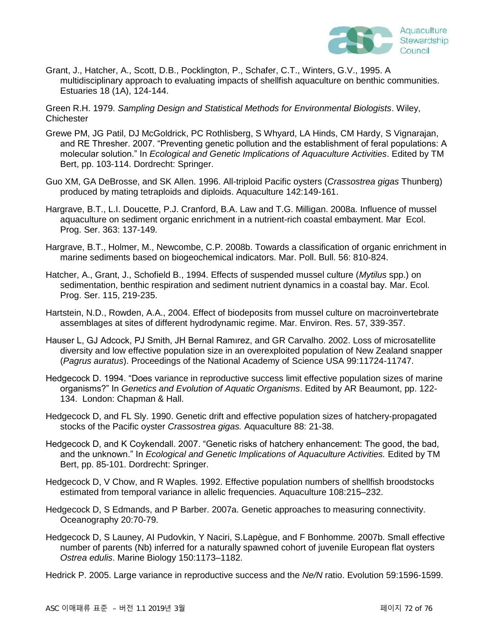

Grant, J., Hatcher, A., Scott, D.B., Pocklington, P., Schafer, C.T., Winters, G.V., 1995. A multidisciplinary approach to evaluating impacts of shellfish aquaculture on benthic communities. Estuaries 18 (1A), 124-144.

Green R.H. 1979. *Sampling Design and Statistical Methods for Environmental Biologists*. Wiley, **Chichester** 

- Grewe PM, JG Patil, DJ McGoldrick, PC Rothlisberg, S Whyard, LA Hinds, CM Hardy, S Vignarajan, and RE Thresher. 2007. "Preventing genetic pollution and the establishment of feral populations: A molecular solution.‖ In *Ecological and Genetic Implications of Aquaculture Activities*. Edited by TM Bert, pp. 103-114. Dordrecht: Springer.
- Guo XM, GA DeBrosse, and SK Allen. 1996. All-triploid Pacific oysters (*Crassostrea gigas* Thunberg) produced by mating tetraploids and diploids. Aquaculture 142:149-161.
- Hargrave, B.T., L.I. Doucette, P.J. Cranford, B.A. Law and T.G. Milligan. 2008a. Influence of mussel aquaculture on sediment organic enrichment in a nutrient-rich coastal embayment. Mar Ecol. Prog. Ser. 363: 137-149.
- Hargrave, B.T., Holmer, M., Newcombe, C.P. 2008b. Towards a classification of organic enrichment in marine sediments based on biogeochemical indicators. Mar. Poll. Bull. 56: 810-824.
- Hatcher, A., Grant, J., Schofield B., 1994. Effects of suspended mussel culture (*Mytilus* spp.) on sedimentation, benthic respiration and sediment nutrient dynamics in a coastal bay. Mar. Ecol. Prog. Ser. 115, 219-235.
- Hartstein, N.D., Rowden, A.A., 2004. Effect of biodeposits from mussel culture on macroinvertebrate assemblages at sites of different hydrodynamic regime. Mar. Environ. Res. 57, 339-357.
- Hauser L, GJ Adcock, PJ Smith, JH Bernal Ramırez, and GR Carvalho. 2002. Loss of microsatellite diversity and low effective population size in an overexploited population of New Zealand snapper (*Pagrus auratus*). Proceedings of the National Academy of Science USA 99:11724-11747.
- Hedgecock D. 1994. "Does variance in reproductive success limit effective population sizes of marine organisms?‖ In *Genetics and Evolution of Aquatic Organisms*. Edited by AR Beaumont, pp. 122- 134. London: Chapman & Hall.
- Hedgecock D, and FL Sly. 1990. Genetic drift and effective population sizes of hatchery-propagated stocks of the Pacific oyster *Crassostrea gigas.* Aquaculture 88: 21-38.
- Hedgecock D, and K Coykendall. 2007. "Genetic risks of hatchery enhancement: The good, the bad, and the unknown." In *Ecological and Genetic Implications of Aquaculture Activities*. Edited by TM Bert, pp. 85-101. Dordrecht: Springer.
- Hedgecock D, V Chow, and R Waples. 1992. Effective population numbers of shellfish broodstocks estimated from temporal variance in allelic frequencies. Aquaculture 108:215–232.
- Hedgecock D, S Edmands, and P Barber. 2007a. Genetic approaches to measuring connectivity. Oceanography 20:70-79.
- Hedgecock D, S Launey, AI Pudovkin, Y Naciri, S.Lapègue, and F Bonhomme. 2007b. Small effective number of parents (Nb) inferred for a naturally spawned cohort of juvenile European flat oysters *Ostrea edulis*. Marine Biology 150:1173–1182.
- Hedrick P. 2005. Large variance in reproductive success and the *Ne/N* ratio. Evolution 59:1596-1599.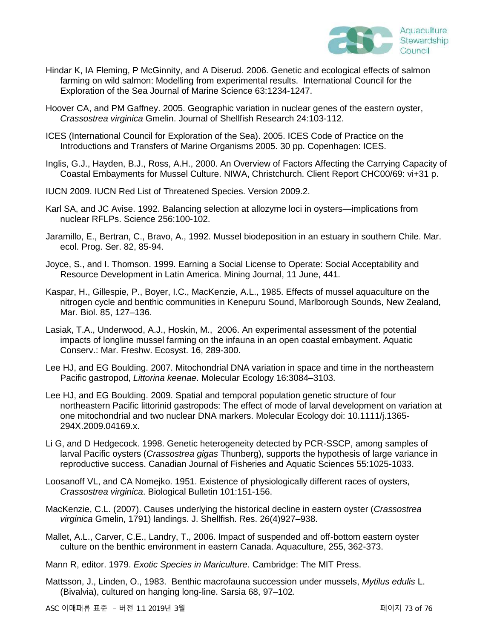

- Hindar K, IA Fleming, P McGinnity, and A Diserud. 2006. Genetic and ecological effects of salmon farming on wild salmon: Modelling from experimental results. International Council for the Exploration of the Sea Journal of Marine Science 63:1234-1247.
- Hoover CA, and PM Gaffney. 2005. Geographic variation in nuclear genes of the eastern oyster, *Crassostrea virginica* Gmelin. Journal of Shellfish Research 24:103-112.
- ICES (International Council for Exploration of the Sea). 2005. ICES Code of Practice on the Introductions and Transfers of Marine Organisms 2005. 30 pp. Copenhagen: ICES.
- Inglis, G.J., Hayden, B.J., Ross, A.H., 2000. An Overview of Factors Affecting the Carrying Capacity of Coastal Embayments for Mussel Culture. NIWA, Christchurch. Client Report CHC00/69: vi+31 p.
- IUCN 2009. IUCN Red List of Threatened Species. Version 2009.2.
- Karl SA, and JC Avise. 1992. Balancing selection at allozyme loci in oysters—implications from nuclear RFLPs. Science 256:100-102.
- Jaramillo, E., Bertran, C., Bravo, A., 1992. Mussel biodeposition in an estuary in southern Chile. Mar. ecol. Prog. Ser. 82, 85-94.
- Joyce, S., and I. Thomson. 1999. Earning a Social License to Operate: Social Acceptability and Resource Development in Latin America. Mining Journal, 11 June, 441.
- Kaspar, H., Gillespie, P., Boyer, I.C., MacKenzie, A.L., 1985. Effects of mussel aquaculture on the nitrogen cycle and benthic communities in Kenepuru Sound, Marlborough Sounds, New Zealand, Mar. Biol. 85, 127–136.
- Lasiak, T.A., Underwood, A.J., Hoskin, M., 2006. An experimental assessment of the potential impacts of longline mussel farming on the infauna in an open coastal embayment. Aquatic Conserv.: Mar. Freshw. Ecosyst. 16, 289-300.
- Lee HJ, and EG Boulding. 2007. Mitochondrial DNA variation in space and time in the northeastern Pacific gastropod, *Littorina keenae*. Molecular Ecology 16:3084–3103.
- Lee HJ, and EG Boulding. 2009. Spatial and temporal population genetic structure of four northeastern Pacific littorinid gastropods: The effect of mode of larval development on variation at one mitochondrial and two nuclear DNA markers. Molecular Ecology doi: 10.1111/j.1365- 294X.2009.04169.x.
- Li G, and D Hedgecock. 1998. Genetic heterogeneity detected by PCR-SSCP, among samples of larval Pacific oysters (*Crassostrea gigas* Thunberg), supports the hypothesis of large variance in reproductive success. Canadian Journal of Fisheries and Aquatic Sciences 55:1025-1033.
- Loosanoff VL, and CA Nomejko. 1951. Existence of physiologically different races of oysters, *Crassostrea virginica*. Biological Bulletin 101:151-156.
- MacKenzie, C.L. (2007). Causes underlying the historical decline in eastern oyster (*Crassostrea virginica* Gmelin, 1791) landings. J. Shellfish. Res. 26(4)927–938.
- Mallet, A.L., Carver, C.E., Landry, T., 2006. Impact of suspended and off-bottom eastern oyster culture on the benthic environment in eastern Canada. Aquaculture, 255, 362-373.
- Mann R, editor. 1979. *Exotic Species in Mariculture*. Cambridge: The MIT Press.
- Mattsson, J., Linden, O., 1983. Benthic macrofauna succession under mussels, *Mytilus edulis* L. (Bivalvia), cultured on hanging long-line. Sarsia 68, 97–102.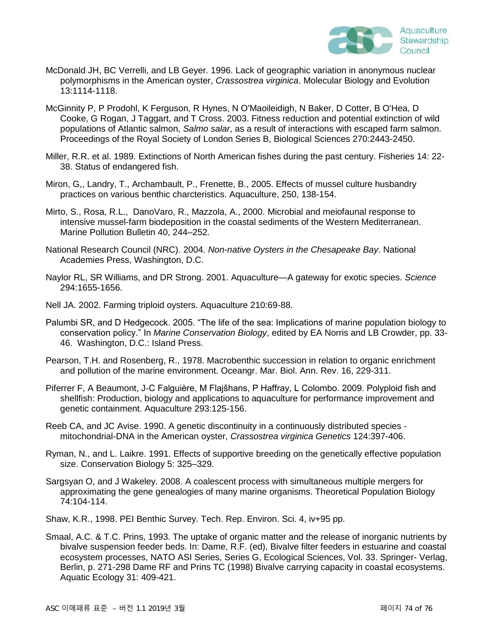

- McDonald JH, BC Verrelli, and LB Geyer. 1996. Lack of geographic variation in anonymous nuclear polymorphisms in the American oyster, *Crassostrea virginica*. Molecular Biology and Evolution 13:1114-1118.
- McGinnity P, P Prodohl, K Ferguson, R Hynes, N O'Maoileidigh, N Baker, D Cotter, B O'Hea, D Cooke, G Rogan, J Taggart, and T Cross. 2003. Fitness reduction and potential extinction of wild populations of Atlantic salmon, *Salmo salar*, as a result of interactions with escaped farm salmon. Proceedings of the Royal Society of London Series B, Biological Sciences 270:2443-2450.
- Miller, R.R. et al. 1989. Extinctions of North American fishes during the past century. Fisheries 14: 22- 38. Status of endangered fish.
- Miron, G,, Landry, T., Archambault, P., Frenette, B., 2005. Effects of mussel culture husbandry practices on various benthic charcteristics. Aquaculture, 250, 138-154.
- Mirto, S., Rosa, R.L., DanoVaro, R., Mazzola, A., 2000. Microbial and meiofaunal response to intensive mussel-farm biodeposition in the coastal sediments of the Western Mediterranean. Marine Pollution Bulletin 40, 244–252.
- National Research Council (NRC). 2004. *Non-native Oysters in the Chesapeake Bay*. National Academies Press, Washington, D.C.
- Naylor RL, SR Williams, and DR Strong. 2001. Aquaculture—A gateway for exotic species. *Science* 294:1655-1656.
- Nell JA. 2002. Farming triploid oysters. Aquaculture 210:69-88.
- Palumbi SR, and D Hedgecock. 2005. "The life of the sea: Implications of marine population biology to conservation policy." In Marine Conservation Biology, edited by EA Norris and LB Crowder, pp. 33-46. Washington, D.C.: Island Press.
- Pearson, T.H. and Rosenberg, R., 1978. Macrobenthic succession in relation to organic enrichment and pollution of the marine environment. Oceangr. Mar. Biol. Ann. Rev. 16, 229-311.
- Piferrer F, A Beaumont, J-C Falguière, M Flajšhans, P Haffray, L Colombo. 2009. Polyploid fish and shellfish: Production, biology and applications to aquaculture for performance improvement and genetic containment. Aquaculture 293:125-156.
- Reeb CA, and JC Avise. 1990. A genetic discontinuity in a continuously distributed species mitochondrial-DNA in the American oyster, *Crassostrea virginica Genetics* 124:397-406.
- Ryman, N., and L. Laikre. 1991. Effects of supportive breeding on the genetically effective population size. Conservation Biology 5: 325–329.
- Sargsyan O, and J Wakeley. 2008. A coalescent process with simultaneous multiple mergers for approximating the gene genealogies of many marine organisms. Theoretical Population Biology 74:104-114.
- Shaw, K.R., 1998. PEI Benthic Survey. Tech. Rep. Environ. Sci. 4, iv+95 pp.
- Smaal, A.C. & T.C. Prins, 1993. The uptake of organic matter and the release of inorganic nutrients by bivalve suspension feeder beds. In: Dame, R.F. (ed), Bivalve filter feeders in estuarine and coastal ecosystem processes, NATO ASI Series, Series G, Ecological Sciences, Vol. 33. Springer- Verlag, Berlin, p. 271-298 Dame RF and Prins TC (1998) Bivalve carrying capacity in coastal ecosystems. Aquatic Ecology 31: 409-421.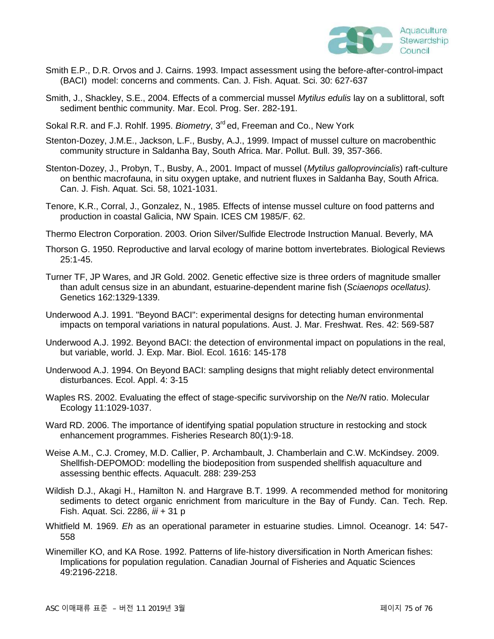

- Smith E.P., D.R. Orvos and J. Cairns. 1993. Impact assessment using the before-after-control-impact (BACI) model: concerns and comments. Can. J. Fish. Aquat. Sci. 30: 627-637
- Smith, J., Shackley, S.E., 2004. Effects of a commercial mussel *Mytilus edulis* lay on a sublittoral, soft sediment benthic community. Mar. Ecol. Prog. Ser. 282-191.
- Sokal R.R. and F.J. Rohlf. 1995. *Biometry*, 3<sup>rd</sup> ed. Freeman and Co., New York
- Stenton-Dozey, J.M.E., Jackson, L.F., Busby, A.J., 1999. Impact of mussel culture on macrobenthic community structure in Saldanha Bay, South Africa. Mar. Pollut. Bull. 39, 357-366.
- Stenton-Dozey, J., Probyn, T., Busby, A., 2001. Impact of mussel (*Mytilus galloprovincialis*) raft-culture on benthic macrofauna, in situ oxygen uptake, and nutrient fluxes in Saldanha Bay, South Africa. Can. J. Fish. Aquat. Sci. 58, 1021-1031.
- Tenore, K.R., Corral, J., Gonzalez, N., 1985. Effects of intense mussel culture on food patterns and production in coastal Galicia, NW Spain. ICES CM 1985/F. 62.
- Thermo Electron Corporation. 2003. Orion Silver/Sulfide Electrode Instruction Manual. Beverly, MA
- Thorson G. 1950. Reproductive and larval ecology of marine bottom invertebrates. Biological Reviews 25:1-45.
- Turner TF, JP Wares, and JR Gold. 2002. Genetic effective size is three orders of magnitude smaller than adult census size in an abundant, estuarine-dependent marine fish (*Sciaenops ocellatus).* Genetics 162:1329-1339.
- Underwood A.J. 1991. "Beyond BACI": experimental designs for detecting human environmental impacts on temporal variations in natural populations. Aust. J. Mar. Freshwat. Res. 42: 569-587
- Underwood A.J. 1992. Beyond BACI: the detection of environmental impact on populations in the real, but variable, world. J. Exp. Mar. Biol. Ecol. 1616: 145-178
- Underwood A.J. 1994. On Beyond BACI: sampling designs that might reliably detect environmental disturbances. Ecol. Appl. 4: 3-15
- Waples RS. 2002. Evaluating the effect of stage-specific survivorship on the *Ne/N* ratio. Molecular Ecology 11:1029-1037.
- Ward RD. 2006. The importance of identifying spatial population structure in restocking and stock enhancement programmes. Fisheries Research 80(1):9-18.
- Weise A.M., C.J. Cromey, M.D. Callier, P. Archambault, J. Chamberlain and C.W. McKindsey. 2009. Shellfish-DEPOMOD: modelling the biodeposition from suspended shellfish aquaculture and assessing benthic effects. Aquacult. 288: 239-253
- Wildish D.J., Akagi H., Hamilton N. and Hargrave B.T. 1999. A recommended method for monitoring sediments to detect organic enrichment from mariculture in the Bay of Fundy. Can. Tech. Rep. Fish. Aquat. Sci. 2286, *iii* + 31 p
- Whitfield M. 1969. *Eh* as an operational parameter in estuarine studies. Limnol. Oceanogr. 14: 547- 558
- Winemiller KO, and KA Rose. 1992. Patterns of life-history diversification in North American fishes: Implications for population regulation. Canadian Journal of Fisheries and Aquatic Sciences 49:2196-2218.